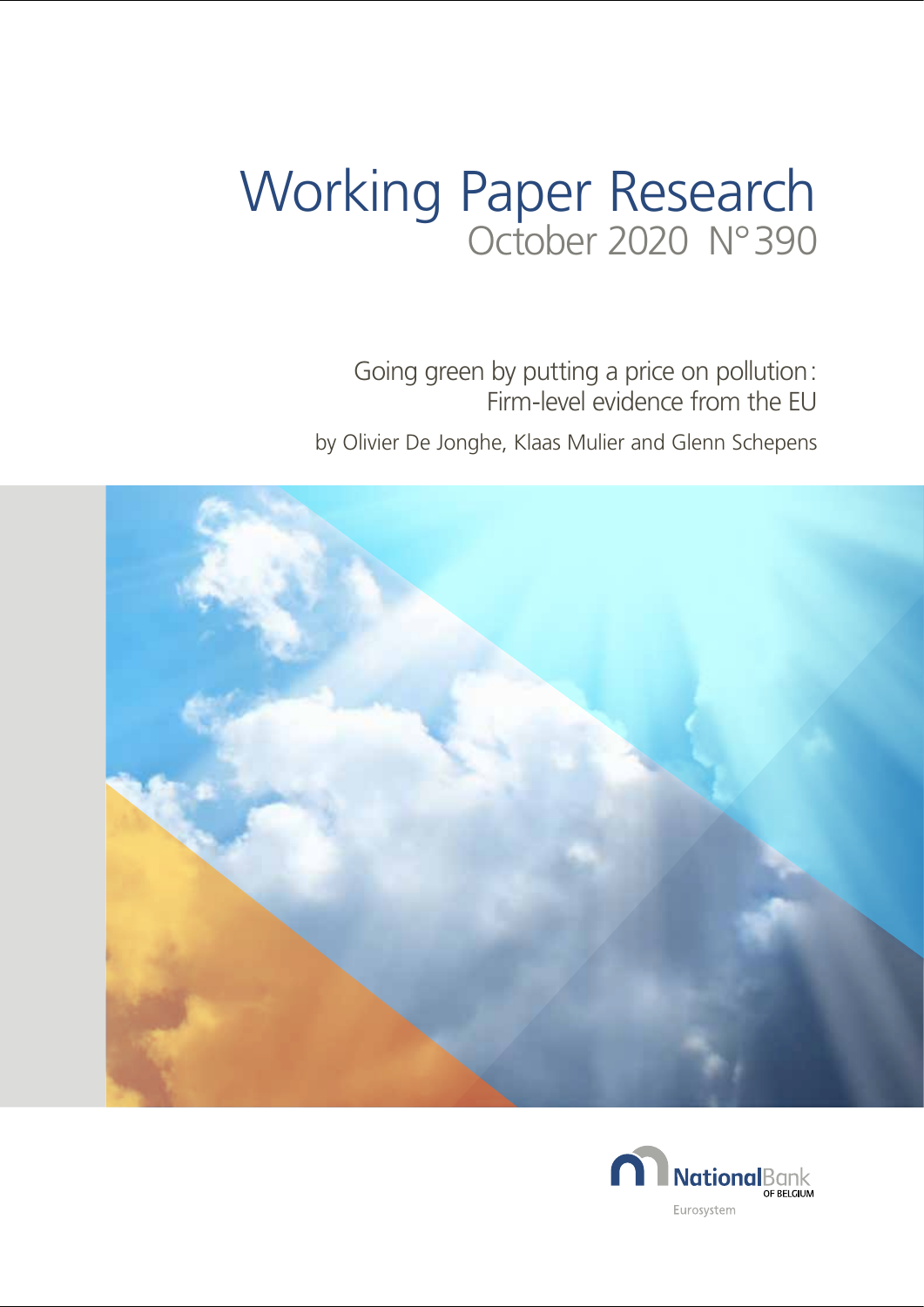# Working Paper Research October 2020 N° 390

Going green by putting a price on pollution : Firm-level evidence from the EU by Olivier De Jonghe, Klaas Mulier and Glenn Schepens



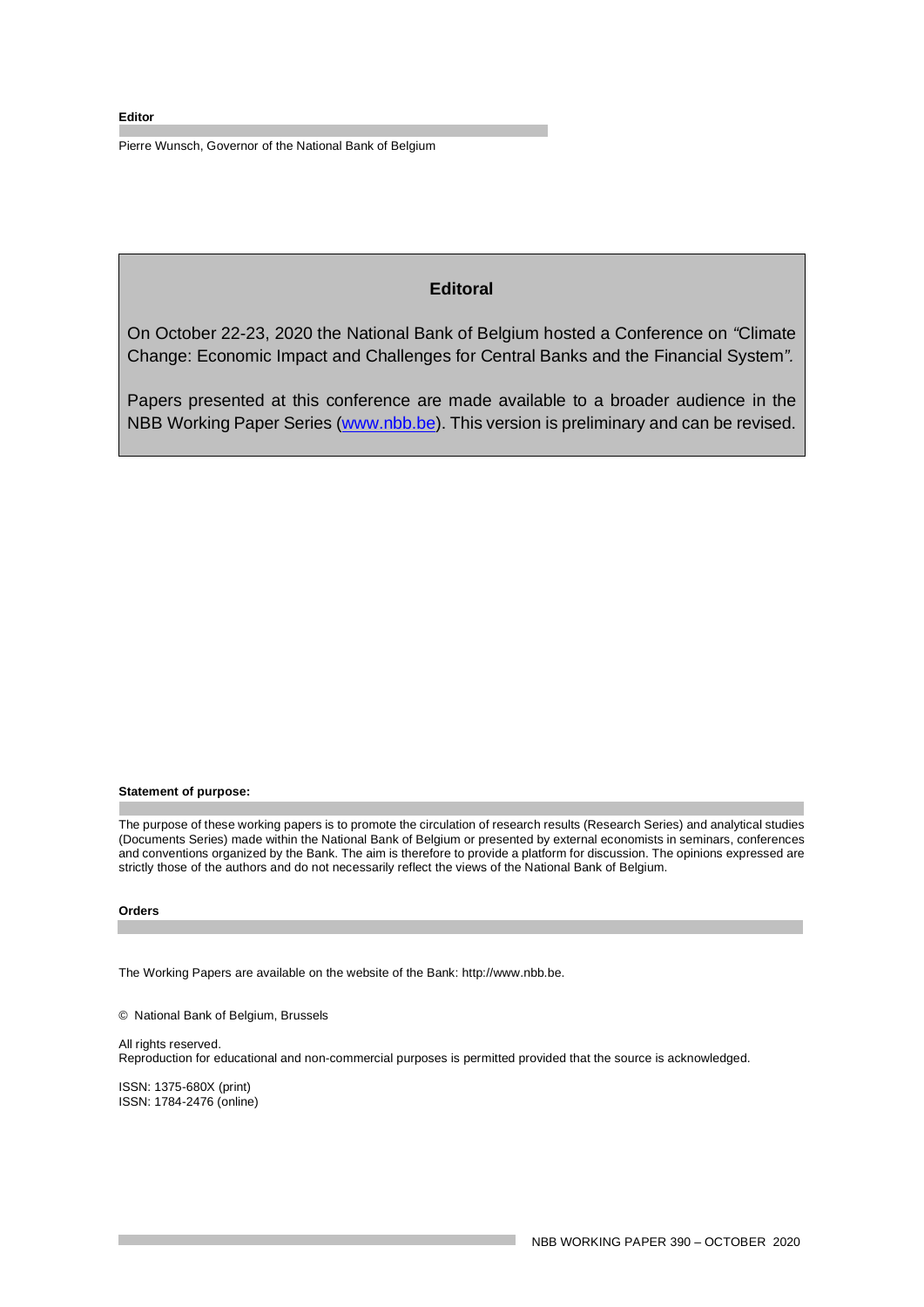#### **Editor**

Pierre Wunsch, Governor of the National Bank of Belgium

# **Editoral**

On October 22-23, 2020 the National Bank of Belgium hosted a Conference on *"*Climate Change: Economic Impact and Challenges for Central Banks and the Financial System*".*

Papers presented at this conference are made available to a broader audience in the NBB Working Paper Series [\(www.nbb.be\)](http://www.nbb.be/). This version is preliminary and can be revised.

#### **Statement of purpose:**

The purpose of these working papers is to promote the circulation of research results (Research Series) and analytical studies (Documents Series) made within the National Bank of Belgium or presented by external economists in seminars, conferences and conventions organized by the Bank. The aim is therefore to provide a platform for discussion. The opinions expressed are strictly those of the authors and do not necessarily reflect the views of the National Bank of Belgium.

#### **Orders**

The Working Papers are available on the website of the Bank: http://www.nbb.be.

© National Bank of Belgium, Brussels

All rights reserved. Reproduction for educational and non-commercial purposes is permitted provided that the source is acknowledged.

ISSN: 1375-680X (print) ISSN: 1784-2476 (online)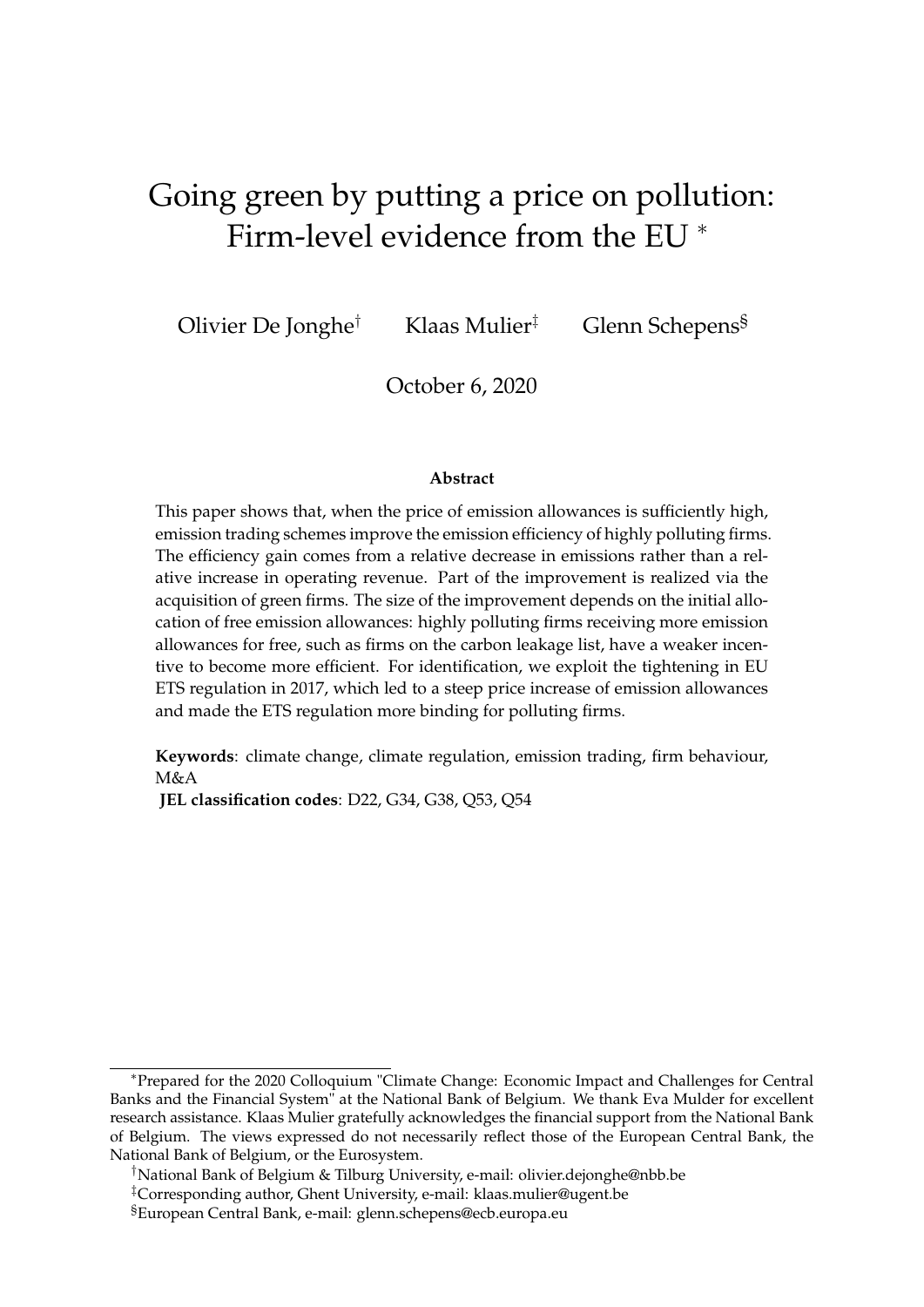# Going green by putting a price on pollution: Firm-level evidence from the EU <sup>∗</sup>

Olivier De Jonghe† Klaas Mulier‡ Glenn Schepens§

October 6, 2020

### **Abstract**

This paper shows that, when the price of emission allowances is sufficiently high, emission trading schemes improve the emission efficiency of highly polluting firms. The efficiency gain comes from a relative decrease in emissions rather than a relative increase in operating revenue. Part of the improvement is realized via the acquisition of green firms. The size of the improvement depends on the initial allocation of free emission allowances: highly polluting firms receiving more emission allowances for free, such as firms on the carbon leakage list, have a weaker incentive to become more efficient. For identification, we exploit the tightening in EU ETS regulation in 2017, which led to a steep price increase of emission allowances and made the ETS regulation more binding for polluting firms.

**Keywords**: climate change, climate regulation, emission trading, firm behaviour, M&A

**JEL classification codes**: D22, G34, G38, Q53, Q54

<sup>∗</sup>Prepared for the 2020 Colloquium "Climate Change: Economic Impact and Challenges for Central Banks and the Financial System" at the National Bank of Belgium. We thank Eva Mulder for excellent research assistance. Klaas Mulier gratefully acknowledges the financial support from the National Bank of Belgium. The views expressed do not necessarily reflect those of the European Central Bank, the National Bank of Belgium, or the Eurosystem.

<sup>†</sup>National Bank of Belgium & Tilburg University, e-mail: olivier.dejonghe@nbb.be

<sup>‡</sup>Corresponding author, Ghent University, e-mail: klaas.mulier@ugent.be

<sup>§</sup>European Central Bank, e-mail: glenn.schepens@ecb.europa.eu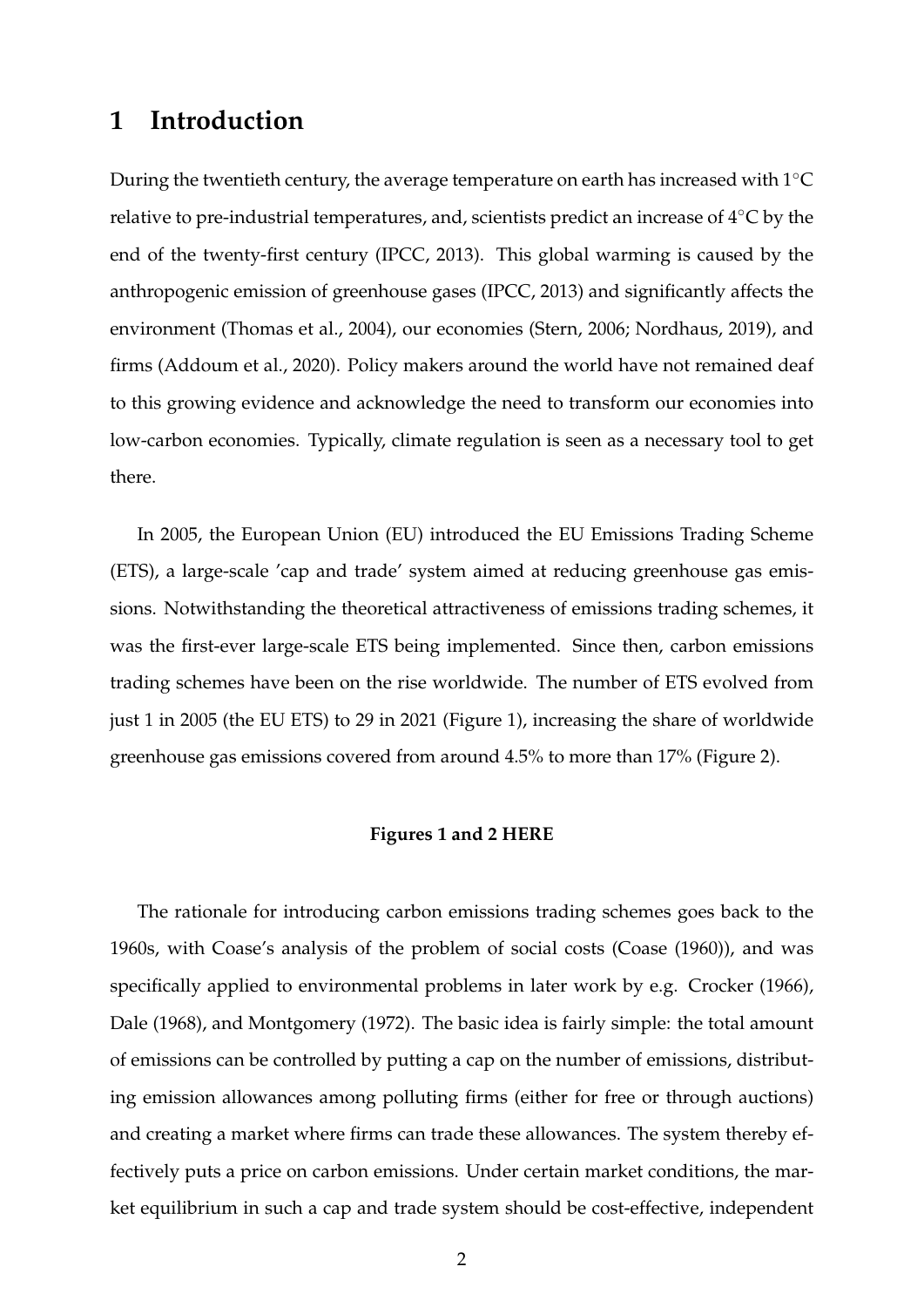# **1 Introduction**

During the twentieth century, the average temperature on earth has increased with 1◦C relative to pre-industrial temperatures, and, scientists predict an increase of 4◦C by the end of the twenty-first century (IPCC, 2013). This global warming is caused by the anthropogenic emission of greenhouse gases [\(IPCC,](#page-31-0) [2013\)](#page-31-0) and significantly affects the environment [\(Thomas et al.,](#page-33-0) [2004\)](#page-33-0), our economies [\(Stern,](#page-33-1) [2006;](#page-33-1) [Nordhaus,](#page-32-0) [2019\)](#page-32-0), and firms [\(Addoum et al.,](#page-30-0) [2020\)](#page-30-0). Policy makers around the world have not remained deaf to this growing evidence and acknowledge the need to transform our economies into low-carbon economies. Typically, climate regulation is seen as a necessary tool to get there.

In 2005, the European Union (EU) introduced the EU Emissions Trading Scheme (ETS), a large-scale 'cap and trade' system aimed at reducing greenhouse gas emissions. Notwithstanding the theoretical attractiveness of emissions trading schemes, it was the first-ever large-scale ETS being implemented. Since then, carbon emissions trading schemes have been on the rise worldwide. The number of ETS evolved from just 1 in 2005 (the EU ETS) to 29 in 2021 (Figure [1\)](#page-34-0), increasing the share of worldwide greenhouse gas emissions covered from around 4.5% to more than 17% (Figure [2\)](#page-34-1).

### **Figures [1](#page-34-0) and [2](#page-34-1) HERE**

The rationale for introducing carbon emissions trading schemes goes back to the 1960s, with Coase's analysis of the problem of social costs [\(Coase](#page-30-1) [\(1960\)](#page-30-1)), and was specifically applied to environmental problems in later work by e.g. [Crocker](#page-30-2) [\(1966\)](#page-30-2), [Dale](#page-30-3) [\(1968\)](#page-30-3), and [Montgomery](#page-32-1) [\(1972\)](#page-32-1). The basic idea is fairly simple: the total amount of emissions can be controlled by putting a cap on the number of emissions, distributing emission allowances among polluting firms (either for free or through auctions) and creating a market where firms can trade these allowances. The system thereby effectively puts a price on carbon emissions. Under certain market conditions, the market equilibrium in such a cap and trade system should be cost-effective, independent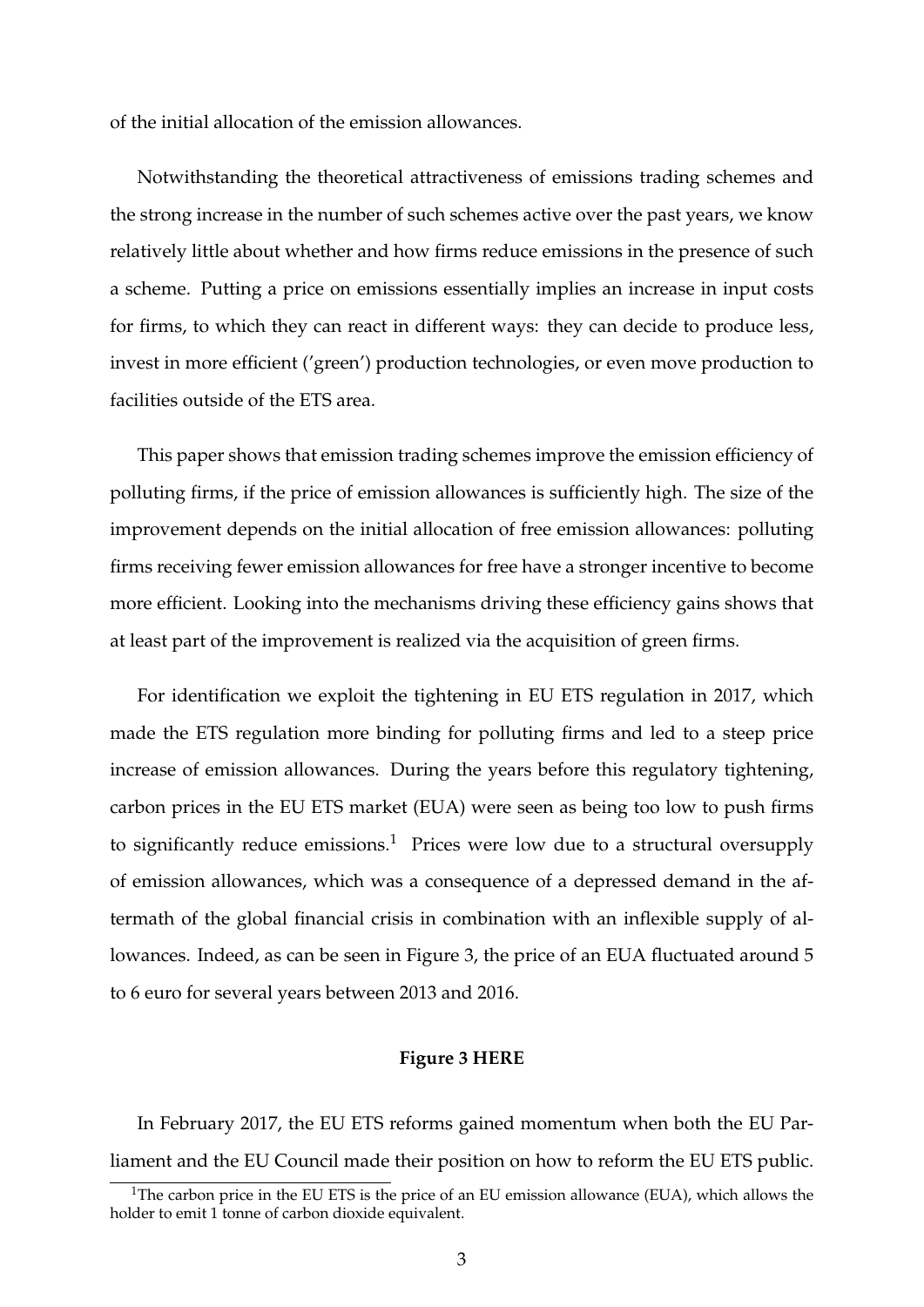of the initial allocation of the emission allowances.

Notwithstanding the theoretical attractiveness of emissions trading schemes and the strong increase in the number of such schemes active over the past years, we know relatively little about whether and how firms reduce emissions in the presence of such a scheme. Putting a price on emissions essentially implies an increase in input costs for firms, to which they can react in different ways: they can decide to produce less, invest in more efficient ('green') production technologies, or even move production to facilities outside of the ETS area.

This paper shows that emission trading schemes improve the emission efficiency of polluting firms, if the price of emission allowances is sufficiently high. The size of the improvement depends on the initial allocation of free emission allowances: polluting firms receiving fewer emission allowances for free have a stronger incentive to become more efficient. Looking into the mechanisms driving these efficiency gains shows that at least part of the improvement is realized via the acquisition of green firms.

For identification we exploit the tightening in EU ETS regulation in 2017, which made the ETS regulation more binding for polluting firms and led to a steep price increase of emission allowances. During the years before this regulatory tightening, carbon prices in the EU ETS market (EUA) were seen as being too low to push firms to significantly reduce  $emissions.<sup>1</sup>$  $emissions.<sup>1</sup>$  $emissions.<sup>1</sup>$  Prices were low due to a structural oversupply of emission allowances, which was a consequence of a depressed demand in the aftermath of the global financial crisis in combination with an inflexible supply of allowances. Indeed, as can be seen in Figure [3,](#page-35-0) the price of an EUA fluctuated around 5 to 6 euro for several years between 2013 and 2016.

## **Figure [3](#page-35-0) HERE**

In February 2017, the EU ETS reforms gained momentum when both the EU Parliament and the EU Council made their position on how to reform the EU ETS public.

<span id="page-4-0"></span><sup>&</sup>lt;sup>1</sup>The carbon price in the EU ETS is the price of an EU emission allowance (EUA), which allows the holder to emit 1 tonne of carbon dioxide equivalent.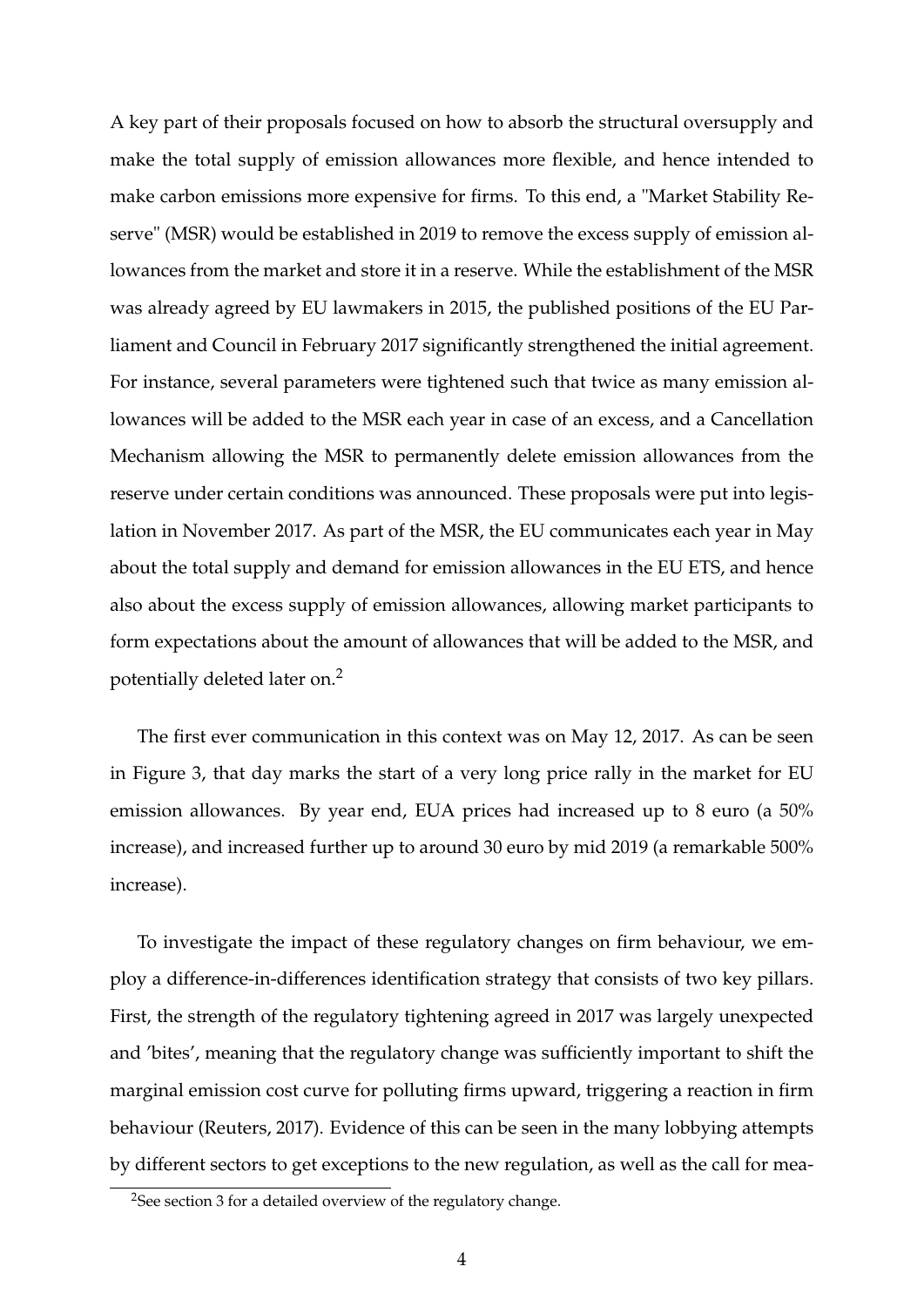A key part of their proposals focused on how to absorb the structural oversupply and make the total supply of emission allowances more flexible, and hence intended to make carbon emissions more expensive for firms. To this end, a "Market Stability Reserve" (MSR) would be established in 2019 to remove the excess supply of emission allowances from the market and store it in a reserve. While the establishment of the MSR was already agreed by EU lawmakers in 2015, the published positions of the EU Parliament and Council in February 2017 significantly strengthened the initial agreement. For instance, several parameters were tightened such that twice as many emission allowances will be added to the MSR each year in case of an excess, and a Cancellation Mechanism allowing the MSR to permanently delete emission allowances from the reserve under certain conditions was announced. These proposals were put into legislation in November 2017. As part of the MSR, the EU communicates each year in May about the total supply and demand for emission allowances in the EU ETS, and hence also about the excess supply of emission allowances, allowing market participants to form expectations about the amount of allowances that will be added to the MSR, and potentially deleted later on.[2](#page-5-0)

The first ever communication in this context was on May 12, 2017. As can be seen in Figure [3,](#page-35-0) that day marks the start of a very long price rally in the market for EU emission allowances. By year end, EUA prices had increased up to 8 euro (a 50% increase), and increased further up to around 30 euro by mid 2019 (a remarkable 500% increase).

To investigate the impact of these regulatory changes on firm behaviour, we employ a difference-in-differences identification strategy that consists of two key pillars. First, the strength of the regulatory tightening agreed in 2017 was largely unexpected and 'bites', meaning that the regulatory change was sufficiently important to shift the marginal emission cost curve for polluting firms upward, triggering a reaction in firm behaviour [\(Reuters,](#page-33-2) [2017\)](#page-33-2). Evidence of this can be seen in the many lobbying attempts by different sectors to get exceptions to the new regulation, as well as the call for mea-

<span id="page-5-0"></span><sup>&</sup>lt;sup>2</sup>See section [3](#page-10-0) for a detailed overview of the regulatory change.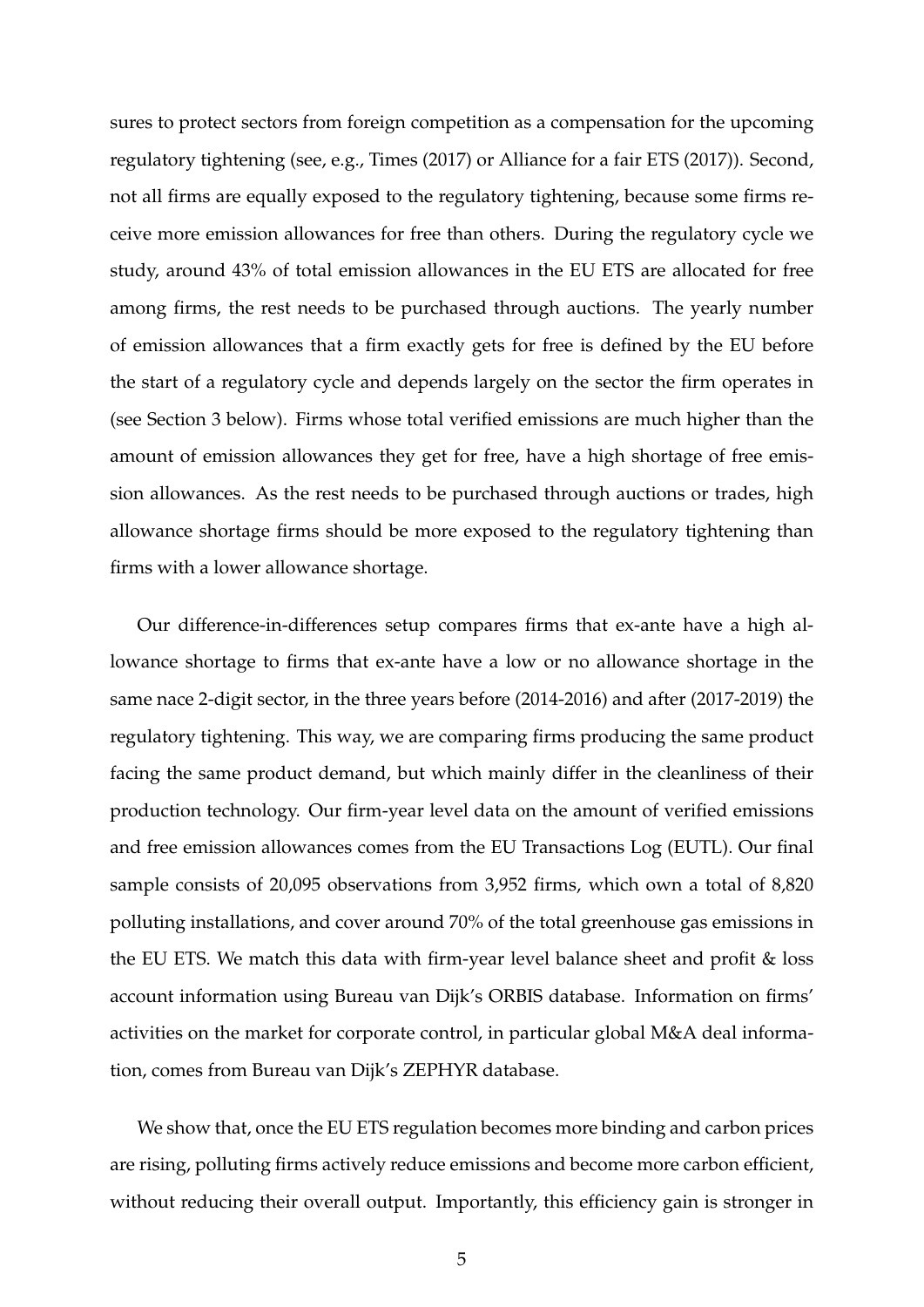sures to protect sectors from foreign competition as a compensation for the upcoming regulatory tightening (see, e.g., [Times](#page-33-3) [\(2017\)](#page-33-3) or [Alliance for a fair ETS](#page-30-4) [\(2017\)](#page-30-4)). Second, not all firms are equally exposed to the regulatory tightening, because some firms receive more emission allowances for free than others. During the regulatory cycle we study, around 43% of total emission allowances in the EU ETS are allocated for free among firms, the rest needs to be purchased through auctions. The yearly number of emission allowances that a firm exactly gets for free is defined by the EU before the start of a regulatory cycle and depends largely on the sector the firm operates in (see Section [3](#page-10-0) below). Firms whose total verified emissions are much higher than the amount of emission allowances they get for free, have a high shortage of free emission allowances. As the rest needs to be purchased through auctions or trades, high allowance shortage firms should be more exposed to the regulatory tightening than firms with a lower allowance shortage.

Our difference-in-differences setup compares firms that ex-ante have a high allowance shortage to firms that ex-ante have a low or no allowance shortage in the same nace 2-digit sector, in the three years before (2014-2016) and after (2017-2019) the regulatory tightening. This way, we are comparing firms producing the same product facing the same product demand, but which mainly differ in the cleanliness of their production technology. Our firm-year level data on the amount of verified emissions and free emission allowances comes from the EU Transactions Log (EUTL). Our final sample consists of 20,095 observations from 3,952 firms, which own a total of 8,820 polluting installations, and cover around 70% of the total greenhouse gas emissions in the EU ETS. We match this data with firm-year level balance sheet and profit & loss account information using Bureau van Dijk's ORBIS database. Information on firms' activities on the market for corporate control, in particular global M&A deal information, comes from Bureau van Dijk's ZEPHYR database.

We show that, once the EU ETS regulation becomes more binding and carbon prices are rising, polluting firms actively reduce emissions and become more carbon efficient, without reducing their overall output. Importantly, this efficiency gain is stronger in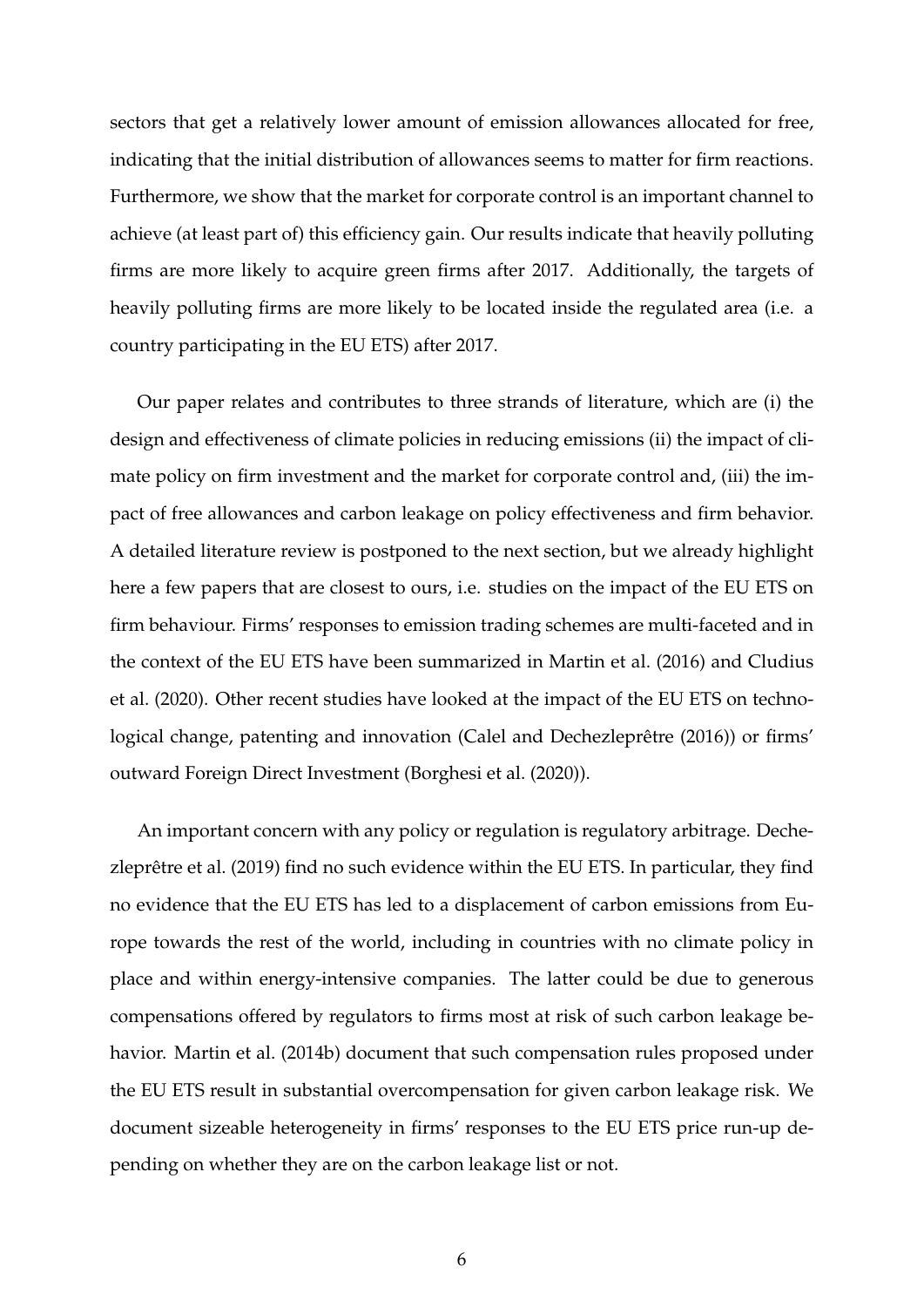sectors that get a relatively lower amount of emission allowances allocated for free, indicating that the initial distribution of allowances seems to matter for firm reactions. Furthermore, we show that the market for corporate control is an important channel to achieve (at least part of) this efficiency gain. Our results indicate that heavily polluting firms are more likely to acquire green firms after 2017. Additionally, the targets of heavily polluting firms are more likely to be located inside the regulated area (i.e. a country participating in the EU ETS) after 2017.

Our paper relates and contributes to three strands of literature, which are (i) the design and effectiveness of climate policies in reducing emissions (ii) the impact of climate policy on firm investment and the market for corporate control and, (iii) the impact of free allowances and carbon leakage on policy effectiveness and firm behavior. A detailed literature review is postponed to the next section, but we already highlight here a few papers that are closest to ours, i.e. studies on the impact of the EU ETS on firm behaviour. Firms' responses to emission trading schemes are multi-faceted and in the context of the EU ETS have been summarized in [Martin et al.](#page-32-2) [\(2016\)](#page-32-2) and [Cludius](#page-30-5) [et al.](#page-30-5) [\(2020\)](#page-30-5). Other recent studies have looked at the impact of the EU ETS on technological change, patenting and innovation [\(Calel and Dechezleprêtre](#page-30-6) [\(2016\)](#page-30-6)) or firms' outward Foreign Direct Investment [\(Borghesi et al.](#page-30-7) [\(2020\)](#page-30-7)).

An important concern with any policy or regulation is regulatory arbitrage. [Deche](#page-31-1)[zleprêtre et al.](#page-31-1) [\(2019\)](#page-31-1) find no such evidence within the EU ETS. In particular, they find no evidence that the EU ETS has led to a displacement of carbon emissions from Europe towards the rest of the world, including in countries with no climate policy in place and within energy-intensive companies. The latter could be due to generous compensations offered by regulators to firms most at risk of such carbon leakage behavior. [Martin et al.](#page-32-3) [\(2014b\)](#page-32-3) document that such compensation rules proposed under the EU ETS result in substantial overcompensation for given carbon leakage risk. We document sizeable heterogeneity in firms' responses to the EU ETS price run-up depending on whether they are on the carbon leakage list or not.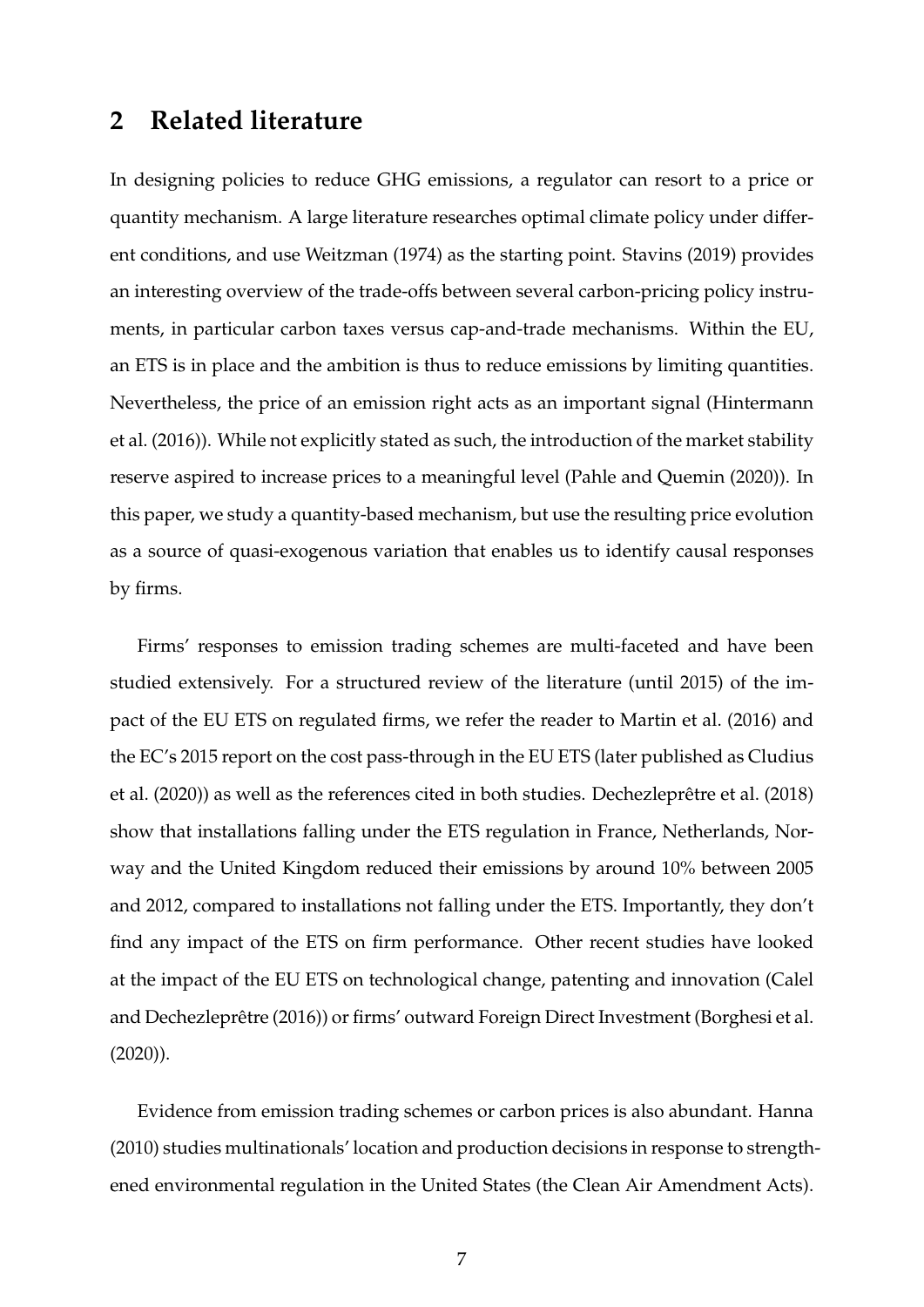# **2 Related literature**

In designing policies to reduce GHG emissions, a regulator can resort to a price or quantity mechanism. A large literature researches optimal climate policy under different conditions, and use [Weitzman](#page-33-4) [\(1974\)](#page-33-4) as the starting point. [Stavins](#page-33-5) [\(2019\)](#page-33-5) provides an interesting overview of the trade-offs between several carbon-pricing policy instruments, in particular carbon taxes versus cap-and-trade mechanisms. Within the EU, an ETS is in place and the ambition is thus to reduce emissions by limiting quantities. Nevertheless, the price of an emission right acts as an important signal [\(Hintermann](#page-31-2) [et al.](#page-31-2) [\(2016\)](#page-31-2)). While not explicitly stated as such, the introduction of the market stability reserve aspired to increase prices to a meaningful level [\(Pahle and Quemin](#page-32-4) [\(2020\)](#page-32-4)). In this paper, we study a quantity-based mechanism, but use the resulting price evolution as a source of quasi-exogenous variation that enables us to identify causal responses by firms.

Firms' responses to emission trading schemes are multi-faceted and have been studied extensively. For a structured review of the literature (until 2015) of the impact of the EU ETS on regulated firms, we refer the reader to [Martin et al.](#page-32-2) [\(2016\)](#page-32-2) and the EC's 2015 report on the cost pass-through in the EU ETS (later published as [Cludius](#page-30-5) [et al.](#page-30-5) [\(2020\)](#page-30-5)) as well as the references cited in both studies. [Dechezleprêtre et al.](#page-31-3) [\(2018\)](#page-31-3) show that installations falling under the ETS regulation in France, Netherlands, Norway and the United Kingdom reduced their emissions by around 10% between 2005 and 2012, compared to installations not falling under the ETS. Importantly, they don't find any impact of the ETS on firm performance. Other recent studies have looked at the impact of the EU ETS on technological change, patenting and innovation [\(Calel](#page-30-6) [and Dechezleprêtre](#page-30-6) [\(2016\)](#page-30-6)) or firms' outward Foreign Direct Investment [\(Borghesi et al.](#page-30-7) [\(2020\)](#page-30-7)).

Evidence from emission trading schemes or carbon prices is also abundant. [Hanna](#page-31-4) [\(2010\)](#page-31-4) studies multinationals' location and production decisions in response to strengthened environmental regulation in the United States (the Clean Air Amendment Acts).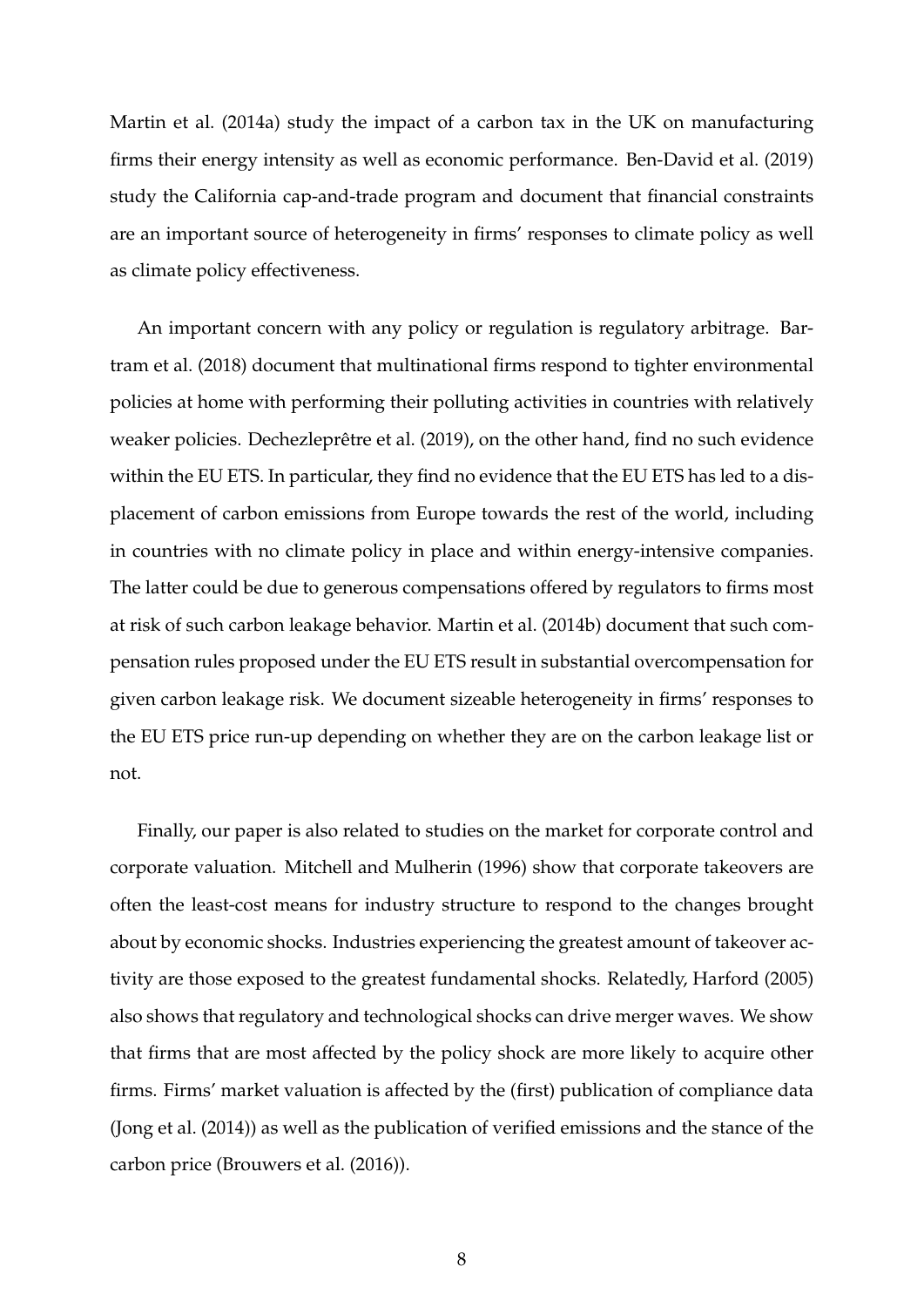[Martin et al.](#page-32-5) [\(2014a\)](#page-32-5) study the impact of a carbon tax in the UK on manufacturing firms their energy intensity as well as economic performance. [Ben-David et al.](#page-30-8) [\(2019\)](#page-30-8) study the California cap-and-trade program and document that financial constraints are an important source of heterogeneity in firms' responses to climate policy as well as climate policy effectiveness.

An important concern with any policy or regulation is regulatory arbitrage. [Bar](#page-30-9)[tram et al.](#page-30-9) [\(2018\)](#page-30-9) document that multinational firms respond to tighter environmental policies at home with performing their polluting activities in countries with relatively weaker policies. [Dechezleprêtre et al.](#page-31-1) [\(2019\)](#page-31-1), on the other hand, find no such evidence within the EU ETS. In particular, they find no evidence that the EU ETS has led to a displacement of carbon emissions from Europe towards the rest of the world, including in countries with no climate policy in place and within energy-intensive companies. The latter could be due to generous compensations offered by regulators to firms most at risk of such carbon leakage behavior. [Martin et al.](#page-32-3) [\(2014b\)](#page-32-3) document that such compensation rules proposed under the EU ETS result in substantial overcompensation for given carbon leakage risk. We document sizeable heterogeneity in firms' responses to the EU ETS price run-up depending on whether they are on the carbon leakage list or not.

Finally, our paper is also related to studies on the market for corporate control and corporate valuation. [Mitchell and Mulherin](#page-32-6) [\(1996\)](#page-32-6) show that corporate takeovers are often the least-cost means for industry structure to respond to the changes brought about by economic shocks. Industries experiencing the greatest amount of takeover activity are those exposed to the greatest fundamental shocks. Relatedly, [Harford](#page-31-5) [\(2005\)](#page-31-5) also shows that regulatory and technological shocks can drive merger waves. We show that firms that are most affected by the policy shock are more likely to acquire other firms. Firms' market valuation is affected by the (first) publication of compliance data [\(Jong et al.](#page-31-6) [\(2014\)](#page-31-6)) as well as the publication of verified emissions and the stance of the carbon price [\(Brouwers et al.](#page-30-10) [\(2016\)](#page-30-10)).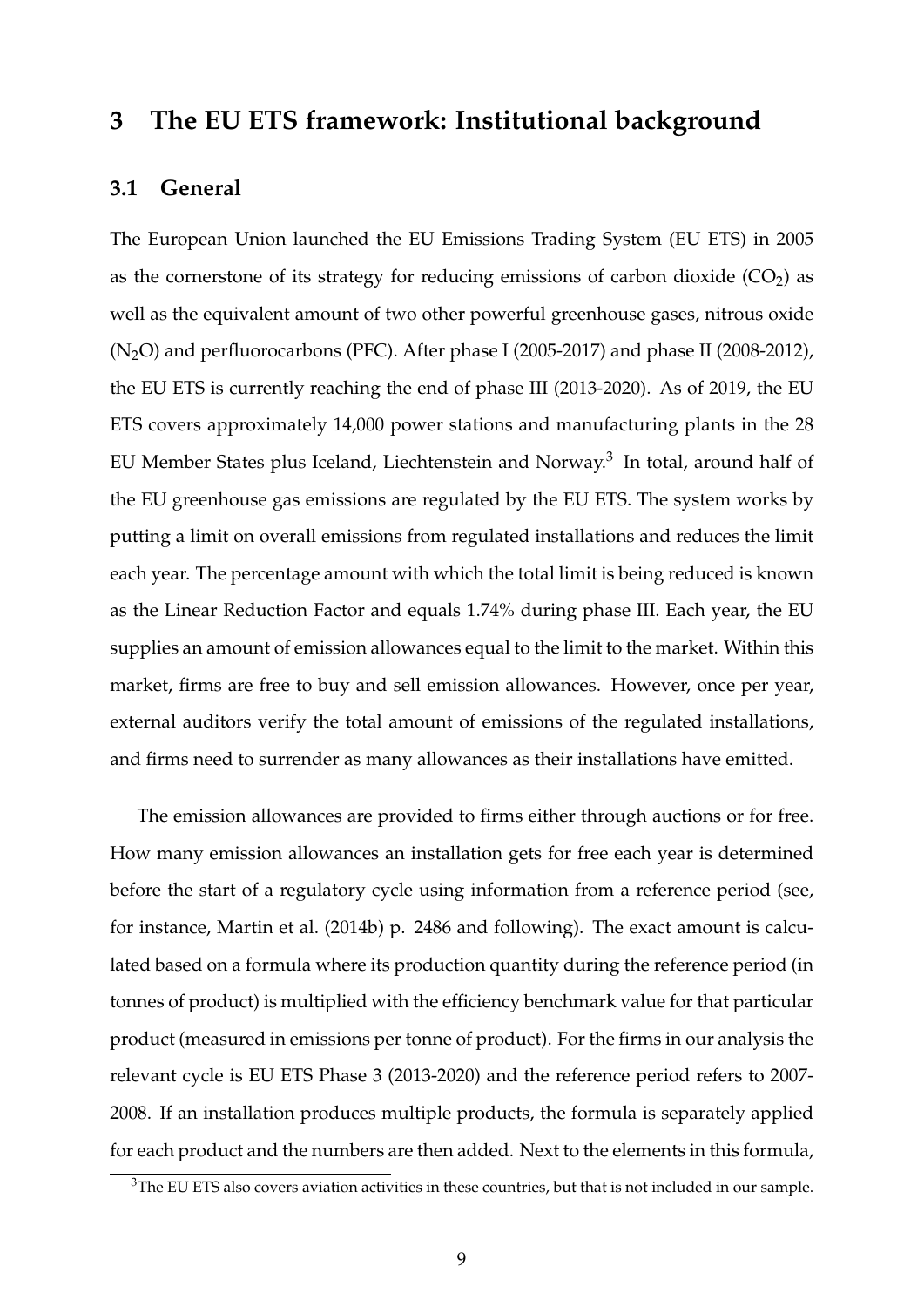# <span id="page-10-0"></span>**3 The EU ETS framework: Institutional background**

# **3.1 General**

The European Union launched the EU Emissions Trading System (EU ETS) in 2005 as the cornerstone of its strategy for reducing emissions of carbon dioxide  $(CO<sub>2</sub>)$  as well as the equivalent amount of two other powerful greenhouse gases, nitrous oxide  $(N_2O)$  and perfluorocarbons (PFC). After phase I (2005-2017) and phase II (2008-2012), the EU ETS is currently reaching the end of phase III (2013-2020). As of 2019, the EU ETS covers approximately 14,000 power stations and manufacturing plants in the 28 EU Member States plus Iceland, Liechtenstein and Norway.<sup>[3](#page-10-1)</sup> In total, around half of the EU greenhouse gas emissions are regulated by the EU ETS. The system works by putting a limit on overall emissions from regulated installations and reduces the limit each year. The percentage amount with which the total limit is being reduced is known as the Linear Reduction Factor and equals 1.74% during phase III. Each year, the EU supplies an amount of emission allowances equal to the limit to the market. Within this market, firms are free to buy and sell emission allowances. However, once per year, external auditors verify the total amount of emissions of the regulated installations, and firms need to surrender as many allowances as their installations have emitted.

The emission allowances are provided to firms either through auctions or for free. How many emission allowances an installation gets for free each year is determined before the start of a regulatory cycle using information from a reference period (see, for instance, [Martin et al.](#page-32-3) [\(2014b\)](#page-32-3) p. 2486 and following). The exact amount is calculated based on a formula where its production quantity during the reference period (in tonnes of product) is multiplied with the efficiency benchmark value for that particular product (measured in emissions per tonne of product). For the firms in our analysis the relevant cycle is EU ETS Phase 3 (2013-2020) and the reference period refers to 2007- 2008. If an installation produces multiple products, the formula is separately applied for each product and the numbers are then added. Next to the elements in this formula,

<span id="page-10-1"></span><sup>&</sup>lt;sup>3</sup>The EU ETS also covers aviation activities in these countries, but that is not included in our sample.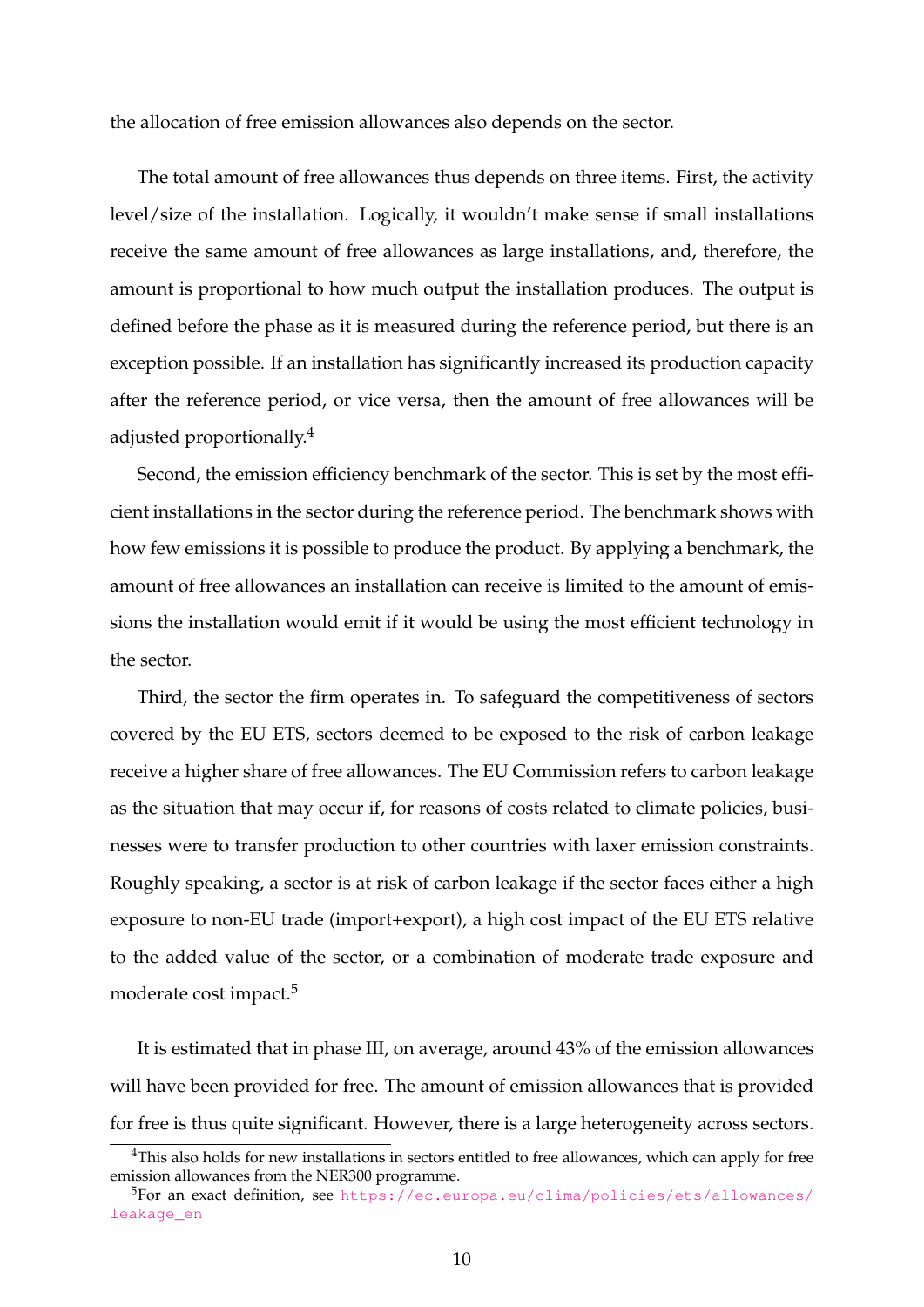the allocation of free emission allowances also depends on the sector.

The total amount of free allowances thus depends on three items. First, the activity level/size of the installation. Logically, it wouldn't make sense if small installations receive the same amount of free allowances as large installations, and, therefore, the amount is proportional to how much output the installation produces. The output is defined before the phase as it is measured during the reference period, but there is an exception possible. If an installation has significantly increased its production capacity after the reference period, or vice versa, then the amount of free allowances will be adjusted proportionally.[4](#page-11-0)

Second, the emission efficiency benchmark of the sector. This is set by the most efficient installations in the sector during the reference period. The benchmark shows with how few emissions it is possible to produce the product. By applying a benchmark, the amount of free allowances an installation can receive is limited to the amount of emissions the installation would emit if it would be using the most efficient technology in the sector.

Third, the sector the firm operates in. To safeguard the competitiveness of sectors covered by the EU ETS, sectors deemed to be exposed to the risk of carbon leakage receive a higher share of free allowances. The EU Commission refers to carbon leakage as the situation that may occur if, for reasons of costs related to climate policies, businesses were to transfer production to other countries with laxer emission constraints. Roughly speaking, a sector is at risk of carbon leakage if the sector faces either a high exposure to non-EU trade (import+export), a high cost impact of the EU ETS relative to the added value of the sector, or a combination of moderate trade exposure and moderate cost impact.<sup>[5](#page-11-1)</sup>

It is estimated that in phase III, on average, around 43% of the emission allowances will have been provided for free. The amount of emission allowances that is provided for free is thus quite significant. However, there is a large heterogeneity across sectors.

<span id="page-11-0"></span><sup>&</sup>lt;sup>4</sup>This also holds for new installations in sectors entitled to free allowances, which can apply for free emission allowances from the NER300 programme.

<span id="page-11-1"></span><sup>5</sup>For an exact definition, see [https://ec.europa.eu/clima/policies/ets/allowances/](https://ec.europa.eu/clima/policies/ets/allowances/leakage_en) [leakage\\_en](https://ec.europa.eu/clima/policies/ets/allowances/leakage_en)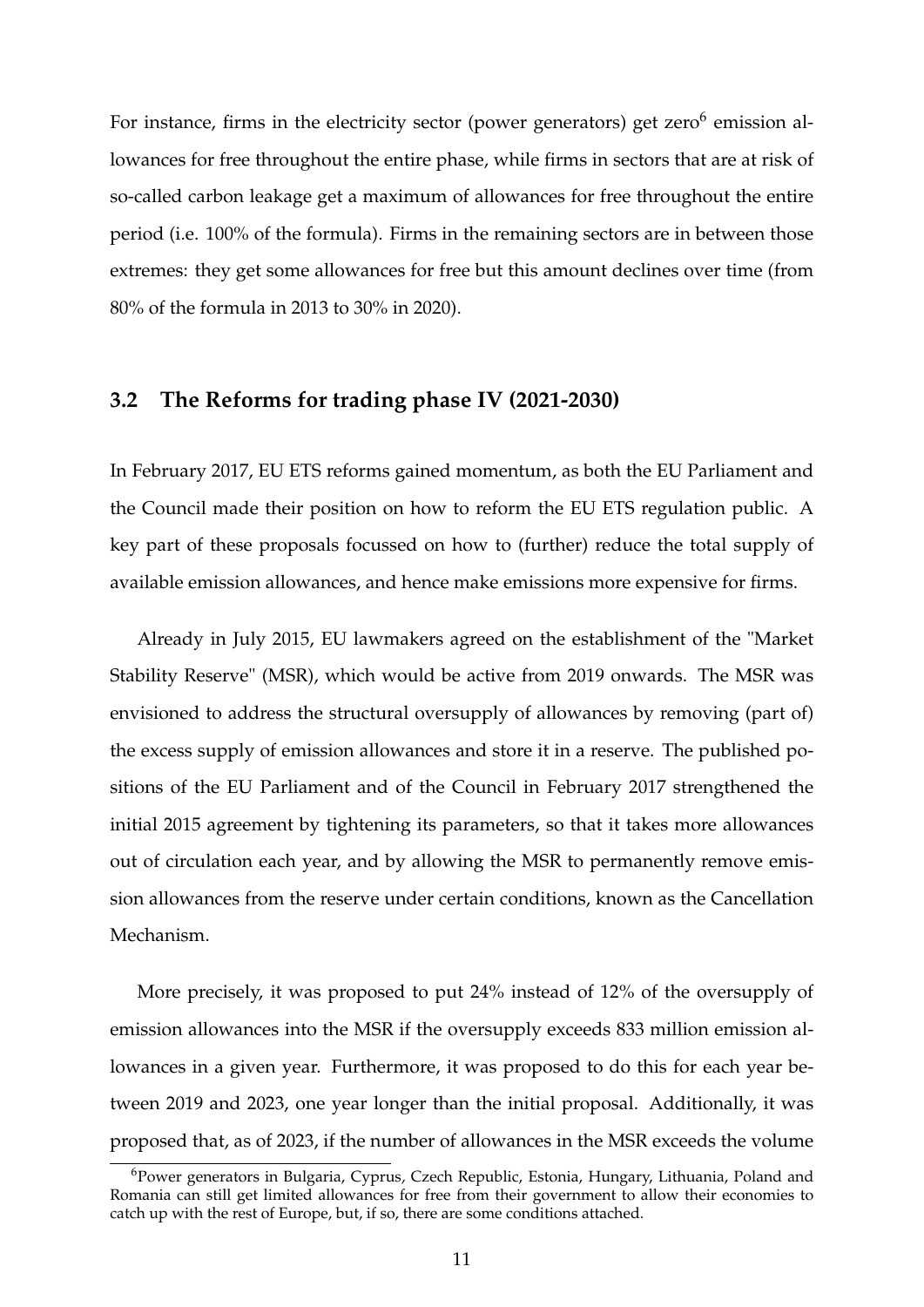For instance, firms in the electricity sector (power generators) get zero<sup>[6](#page-12-0)</sup> emission allowances for free throughout the entire phase, while firms in sectors that are at risk of so-called carbon leakage get a maximum of allowances for free throughout the entire period (i.e. 100% of the formula). Firms in the remaining sectors are in between those extremes: they get some allowances for free but this amount declines over time (from 80% of the formula in 2013 to 30% in 2020).

# **3.2 The Reforms for trading phase IV (2021-2030)**

In February 2017, EU ETS reforms gained momentum, as both the EU Parliament and the Council made their position on how to reform the EU ETS regulation public. A key part of these proposals focussed on how to (further) reduce the total supply of available emission allowances, and hence make emissions more expensive for firms.

Already in July 2015, EU lawmakers agreed on the establishment of the "Market Stability Reserve" (MSR), which would be active from 2019 onwards. The MSR was envisioned to address the structural oversupply of allowances by removing (part of) the excess supply of emission allowances and store it in a reserve. The published positions of the EU Parliament and of the Council in February 2017 strengthened the initial 2015 agreement by tightening its parameters, so that it takes more allowances out of circulation each year, and by allowing the MSR to permanently remove emission allowances from the reserve under certain conditions, known as the Cancellation Mechanism.

More precisely, it was proposed to put 24% instead of 12% of the oversupply of emission allowances into the MSR if the oversupply exceeds 833 million emission allowances in a given year. Furthermore, it was proposed to do this for each year between 2019 and 2023, one year longer than the initial proposal. Additionally, it was proposed that, as of 2023, if the number of allowances in the MSR exceeds the volume

<span id="page-12-0"></span> $6P_0$ ower generators in Bulgaria, Cyprus, Czech Republic, Estonia, Hungary, Lithuania, Poland and Romania can still get limited allowances for free from their government to allow their economies to catch up with the rest of Europe, but, if so, there are some conditions attached.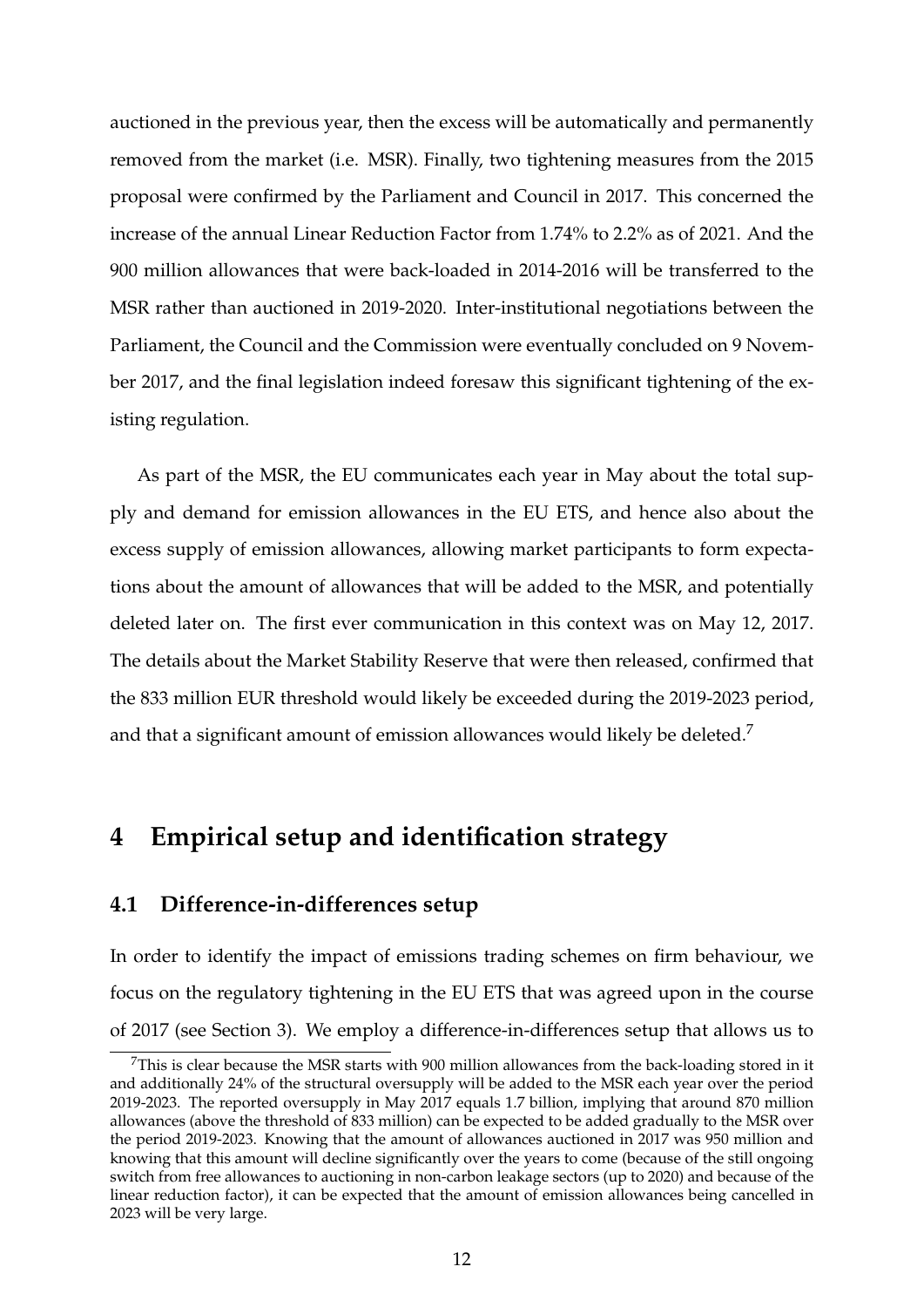auctioned in the previous year, then the excess will be automatically and permanently removed from the market (i.e. MSR). Finally, two tightening measures from the 2015 proposal were confirmed by the Parliament and Council in 2017. This concerned the increase of the annual Linear Reduction Factor from 1.74% to 2.2% as of 2021. And the 900 million allowances that were back-loaded in 2014-2016 will be transferred to the MSR rather than auctioned in 2019-2020. Inter-institutional negotiations between the Parliament, the Council and the Commission were eventually concluded on 9 November 2017, and the final legislation indeed foresaw this significant tightening of the existing regulation.

As part of the MSR, the EU communicates each year in May about the total supply and demand for emission allowances in the EU ETS, and hence also about the excess supply of emission allowances, allowing market participants to form expectations about the amount of allowances that will be added to the MSR, and potentially deleted later on. The first ever communication in this context was on May 12, 2017. The details about the Market Stability Reserve that were then released, confirmed that the 833 million EUR threshold would likely be exceeded during the 2019-2023 period, and that a significant amount of emission allowances would likely be deleted.<sup>[7](#page-13-0)</sup>

# <span id="page-13-1"></span>**4 Empirical setup and identification strategy**

# **4.1 Difference-in-differences setup**

In order to identify the impact of emissions trading schemes on firm behaviour, we focus on the regulatory tightening in the EU ETS that was agreed upon in the course of 2017 (see Section [3\)](#page-10-0). We employ a difference-in-differences setup that allows us to

<span id="page-13-0"></span> $7$ This is clear because the MSR starts with 900 million allowances from the back-loading stored in it and additionally 24% of the structural oversupply will be added to the MSR each year over the period 2019-2023. The reported oversupply in May 2017 equals 1.7 billion, implying that around 870 million allowances (above the threshold of 833 million) can be expected to be added gradually to the MSR over the period 2019-2023. Knowing that the amount of allowances auctioned in 2017 was 950 million and knowing that this amount will decline significantly over the years to come (because of the still ongoing switch from free allowances to auctioning in non-carbon leakage sectors (up to 2020) and because of the linear reduction factor), it can be expected that the amount of emission allowances being cancelled in 2023 will be very large.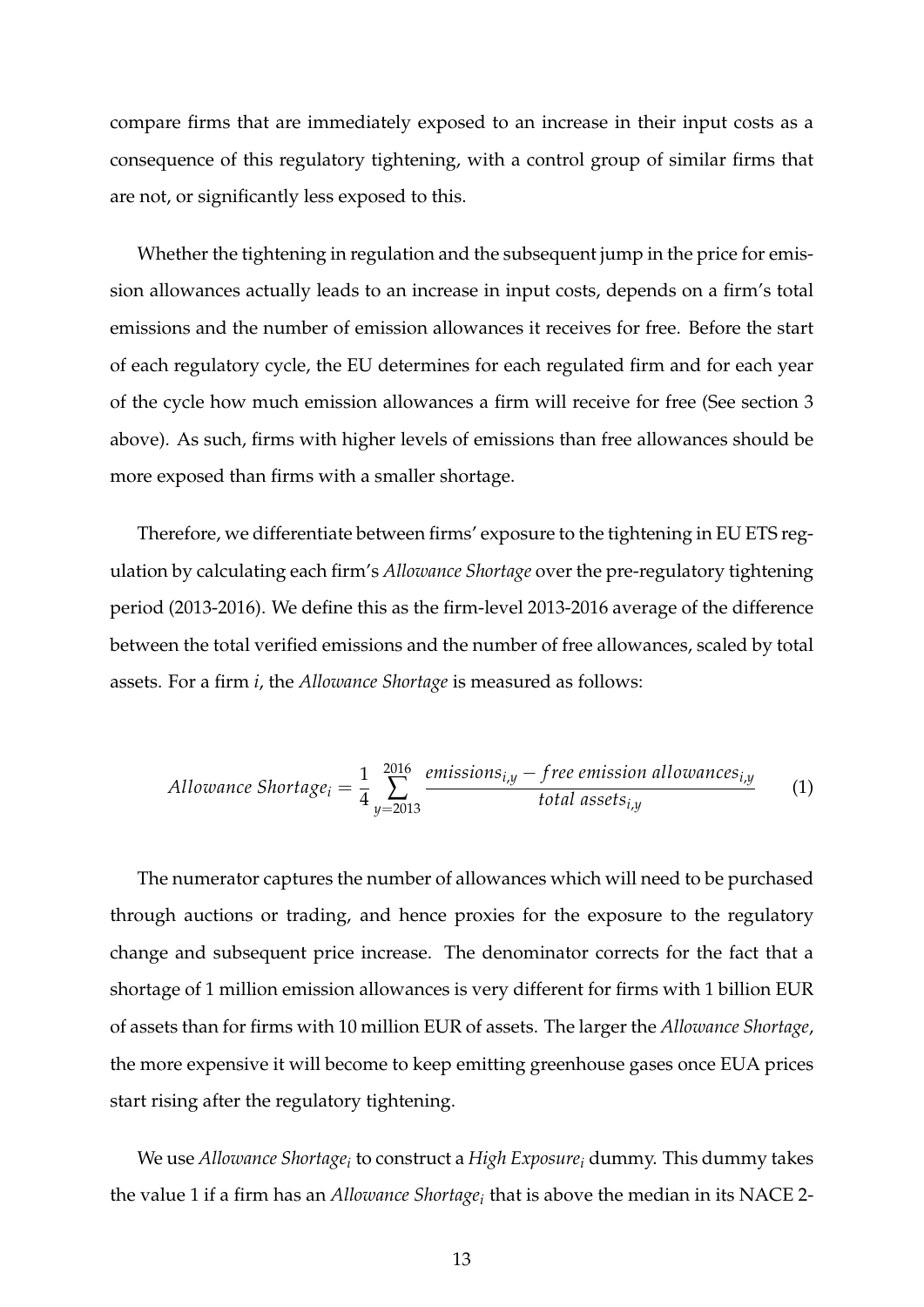compare firms that are immediately exposed to an increase in their input costs as a consequence of this regulatory tightening, with a control group of similar firms that are not, or significantly less exposed to this.

Whether the tightening in regulation and the subsequent jump in the price for emission allowances actually leads to an increase in input costs, depends on a firm's total emissions and the number of emission allowances it receives for free. Before the start of each regulatory cycle, the EU determines for each regulated firm and for each year of the cycle how much emission allowances a firm will receive for free (See section [3](#page-10-0) above). As such, firms with higher levels of emissions than free allowances should be more exposed than firms with a smaller shortage.

Therefore, we differentiate between firms' exposure to the tightening in EU ETS regulation by calculating each firm's *Allowance Shortage* over the pre-regulatory tightening period (2013-2016). We define this as the firm-level 2013-2016 average of the difference between the total verified emissions and the number of free allowances, scaled by total assets. For a firm *i*, the *Allowance Shortage* is measured as follows:

$$
Allowance Shortage_i = \frac{1}{4} \sum_{y=2013}^{2016} \frac{emissions_{i,y} - free emission allowsances_{i,y}}{total assets_{i,y}}
$$
 (1)

The numerator captures the number of allowances which will need to be purchased through auctions or trading, and hence proxies for the exposure to the regulatory change and subsequent price increase. The denominator corrects for the fact that a shortage of 1 million emission allowances is very different for firms with 1 billion EUR of assets than for firms with 10 million EUR of assets. The larger the *Allowance Shortage*, the more expensive it will become to keep emitting greenhouse gases once EUA prices start rising after the regulatory tightening.

We use *Allowance Shortage<sup>i</sup>* to construct a *High Exposure<sup>i</sup>* dummy. This dummy takes the value 1 if a firm has an *Allowance Shortage<sup>i</sup>* that is above the median in its NACE 2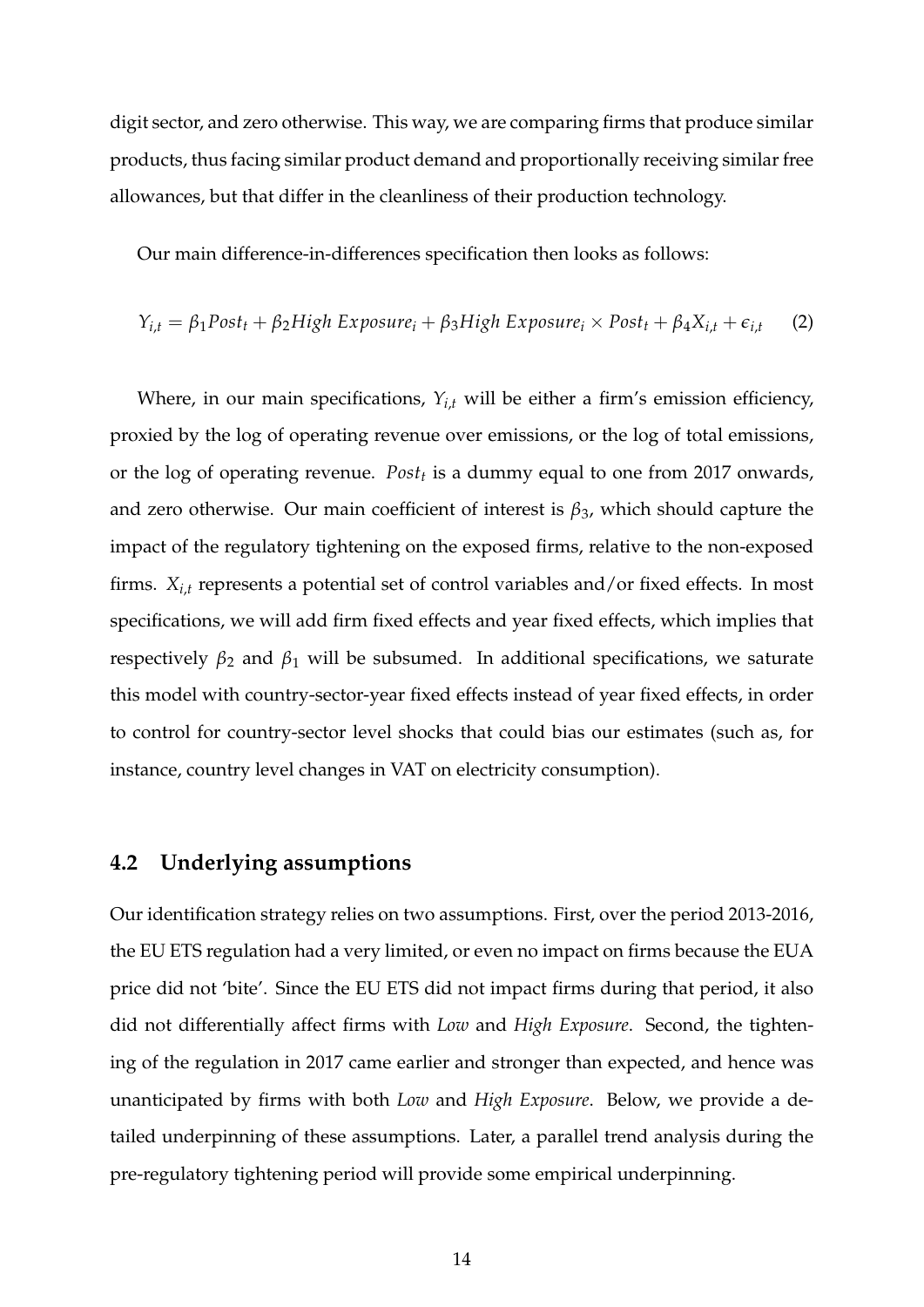digit sector, and zero otherwise. This way, we are comparing firms that produce similar products, thus facing similar product demand and proportionally receiving similar free allowances, but that differ in the cleanliness of their production technology.

Our main difference-in-differences specification then looks as follows:

<span id="page-15-0"></span>
$$
Y_{i,t} = \beta_1 \text{Post}_t + \beta_2 \text{High Exposure}_i + \beta_3 \text{High Exposure}_i \times \text{Post}_t + \beta_4 X_{i,t} + \epsilon_{i,t} \tag{2}
$$

Where, in our main specifications,  $Y_{i,t}$  will be either a firm's emission efficiency, proxied by the log of operating revenue over emissions, or the log of total emissions, or the log of operating revenue. *Post<sup>t</sup>* is a dummy equal to one from 2017 onwards, and zero otherwise. Our main coefficient of interest is  $\beta_3$ , which should capture the impact of the regulatory tightening on the exposed firms, relative to the non-exposed firms. *Xi*,*<sup>t</sup>* represents a potential set of control variables and/or fixed effects. In most specifications, we will add firm fixed effects and year fixed effects, which implies that respectively  $\beta_2$  and  $\beta_1$  will be subsumed. In additional specifications, we saturate this model with country-sector-year fixed effects instead of year fixed effects, in order to control for country-sector level shocks that could bias our estimates (such as, for instance, country level changes in VAT on electricity consumption).

# **4.2 Underlying assumptions**

Our identification strategy relies on two assumptions. First, over the period 2013-2016, the EU ETS regulation had a very limited, or even no impact on firms because the EUA price did not 'bite'. Since the EU ETS did not impact firms during that period, it also did not differentially affect firms with *Low* and *High Exposure*. Second, the tightening of the regulation in 2017 came earlier and stronger than expected, and hence was unanticipated by firms with both *Low* and *High Exposure*. Below, we provide a detailed underpinning of these assumptions. Later, a parallel trend analysis during the pre-regulatory tightening period will provide some empirical underpinning.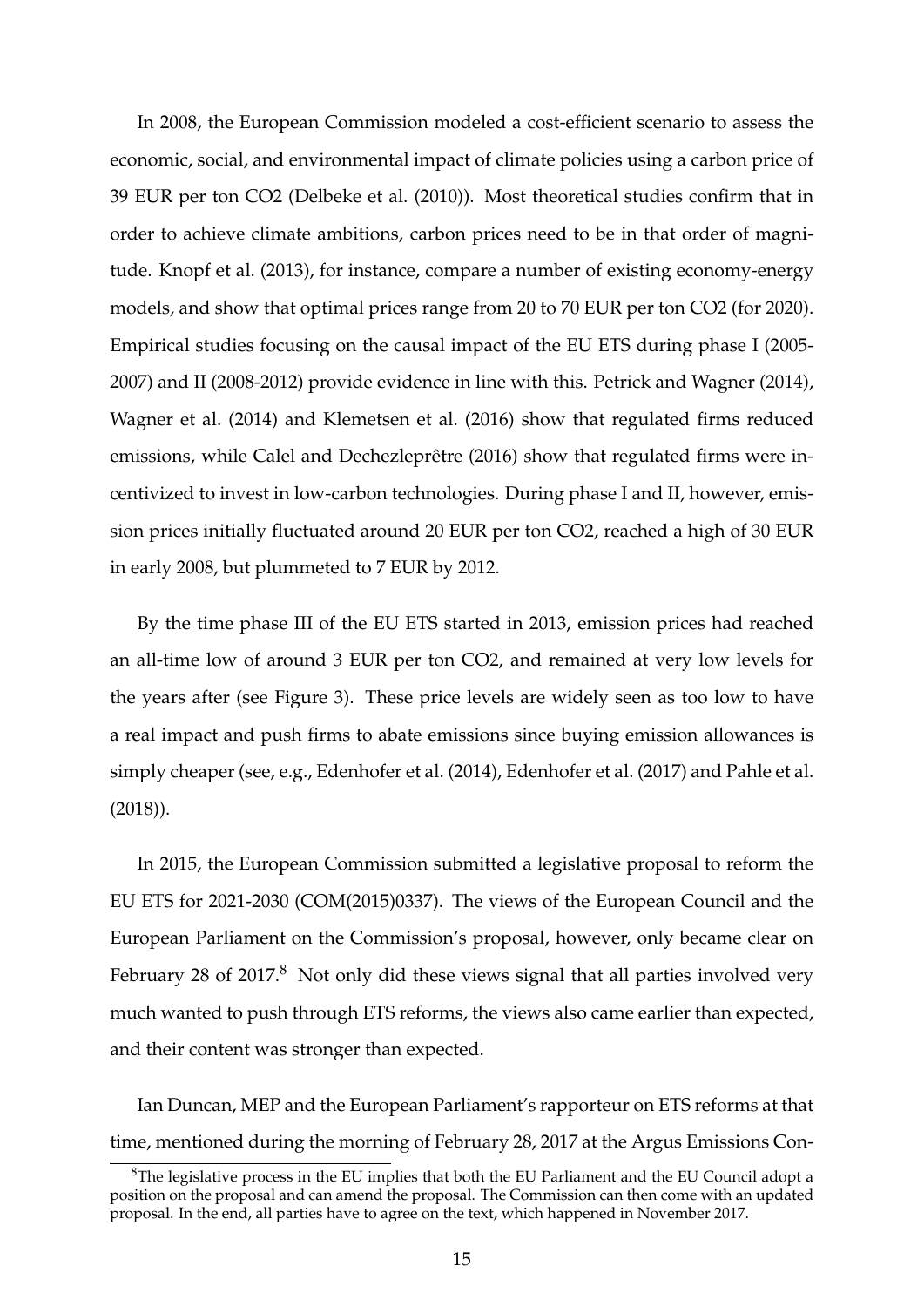In 2008, the European Commission modeled a cost-efficient scenario to assess the economic, social, and environmental impact of climate policies using a carbon price of 39 EUR per ton CO2 [\(Delbeke et al.](#page-31-7) [\(2010\)](#page-31-7)). Most theoretical studies confirm that in order to achieve climate ambitions, carbon prices need to be in that order of magnitude. [Knopf et al.](#page-32-7) [\(2013\)](#page-32-7), for instance, compare a number of existing economy-energy models, and show that optimal prices range from 20 to 70 EUR per ton CO2 (for 2020). Empirical studies focusing on the causal impact of the EU ETS during phase I (2005- 2007) and II (2008-2012) provide evidence in line with this. [Petrick and Wagner](#page-33-6) [\(2014\)](#page-33-6), [Wagner et al.](#page-33-7) [\(2014\)](#page-33-7) and [Klemetsen et al.](#page-32-8) [\(2016\)](#page-32-8) show that regulated firms reduced emissions, while [Calel and Dechezleprêtre](#page-30-6) [\(2016\)](#page-30-6) show that regulated firms were incentivized to invest in low-carbon technologies. During phase I and II, however, emission prices initially fluctuated around 20 EUR per ton CO2, reached a high of 30 EUR in early 2008, but plummeted to 7 EUR by 2012.

By the time phase III of the EU ETS started in 2013, emission prices had reached an all-time low of around 3 EUR per ton CO2, and remained at very low levels for the years after (see Figure [3\)](#page-35-0). These price levels are widely seen as too low to have a real impact and push firms to abate emissions since buying emission allowances is simply cheaper (see, e.g., [Edenhofer et al.](#page-31-8) [\(2014\)](#page-31-8), [Edenhofer et al.](#page-31-9) [\(2017\)](#page-31-9) and [Pahle et al.](#page-32-9) [\(2018\)](#page-32-9)).

In 2015, the European Commission submitted a legislative proposal to reform the EU ETS for 2021-2030 (COM(2015)0337). The views of the European Council and the European Parliament on the Commission's proposal, however, only became clear on February 2[8](#page-16-0) of 2017.<sup>8</sup> Not only did these views signal that all parties involved very much wanted to push through ETS reforms, the views also came earlier than expected, and their content was stronger than expected.

Ian Duncan, MEP and the European Parliament's rapporteur on ETS reforms at that time, mentioned during the morning of February 28, 2017 at the Argus Emissions Con-

<span id="page-16-0"></span> ${}^{8}$ The legislative process in the EU implies that both the EU Parliament and the EU Council adopt a position on the proposal and can amend the proposal. The Commission can then come with an updated proposal. In the end, all parties have to agree on the text, which happened in November 2017.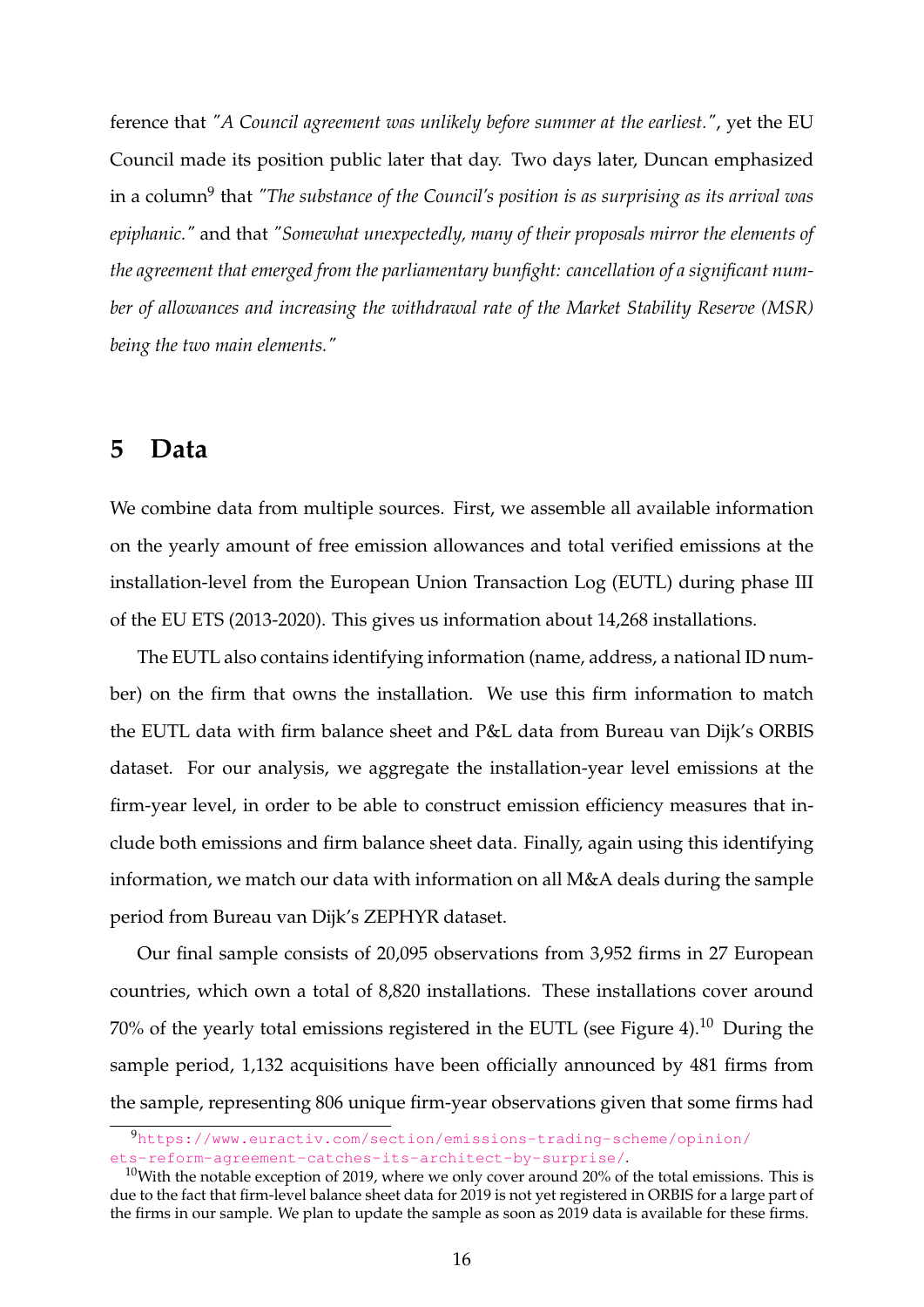ference that *"A Council agreement was unlikely before summer at the earliest."*, yet the EU Council made its position public later that day. Two days later, Duncan emphasized in a column<sup>[9](#page-17-0)</sup> that "T*he substance of the Council's position is as surprising as its arrival was epiphanic."* and that *"Somewhat unexpectedly, many of their proposals mirror the elements of the agreement that emerged from the parliamentary bunfight: cancellation of a significant number of allowances and increasing the withdrawal rate of the Market Stability Reserve (MSR) being the two main elements."*

# <span id="page-17-2"></span>**5 Data**

We combine data from multiple sources. First, we assemble all available information on the yearly amount of free emission allowances and total verified emissions at the installation-level from the European Union Transaction Log (EUTL) during phase III of the EU ETS (2013-2020). This gives us information about 14,268 installations.

The EUTL also contains identifying information (name, address, a national ID number) on the firm that owns the installation. We use this firm information to match the EUTL data with firm balance sheet and P&L data from Bureau van Dijk's ORBIS dataset. For our analysis, we aggregate the installation-year level emissions at the firm-year level, in order to be able to construct emission efficiency measures that include both emissions and firm balance sheet data. Finally, again using this identifying information, we match our data with information on all M&A deals during the sample period from Bureau van Dijk's ZEPHYR dataset.

Our final sample consists of 20,095 observations from 3,952 firms in 27 European countries, which own a total of 8,820 installations. These installations cover around 70% of the yearly total emissions registered in the EUTL (see Figure [4\)](#page-36-0).[10](#page-17-1) During the sample period, 1,132 acquisitions have been officially announced by 481 firms from the sample, representing 806 unique firm-year observations given that some firms had

<span id="page-17-0"></span><sup>9</sup>[https://www.euractiv.com/section/emissions-trading-scheme/opinion/](https://www.euractiv.com/section/emissions-trading-scheme/opinion/ets-reform-agreement-catches-its-architect-by-surprise/) [ets-reform-agreement-catches-its-architect-by-surprise/](https://www.euractiv.com/section/emissions-trading-scheme/opinion/ets-reform-agreement-catches-its-architect-by-surprise/).

<span id="page-17-1"></span><sup>&</sup>lt;sup>10</sup>With the notable exception of 2019, where we only cover around 20% of the total emissions. This is due to the fact that firm-level balance sheet data for 2019 is not yet registered in ORBIS for a large part of the firms in our sample. We plan to update the sample as soon as 2019 data is available for these firms.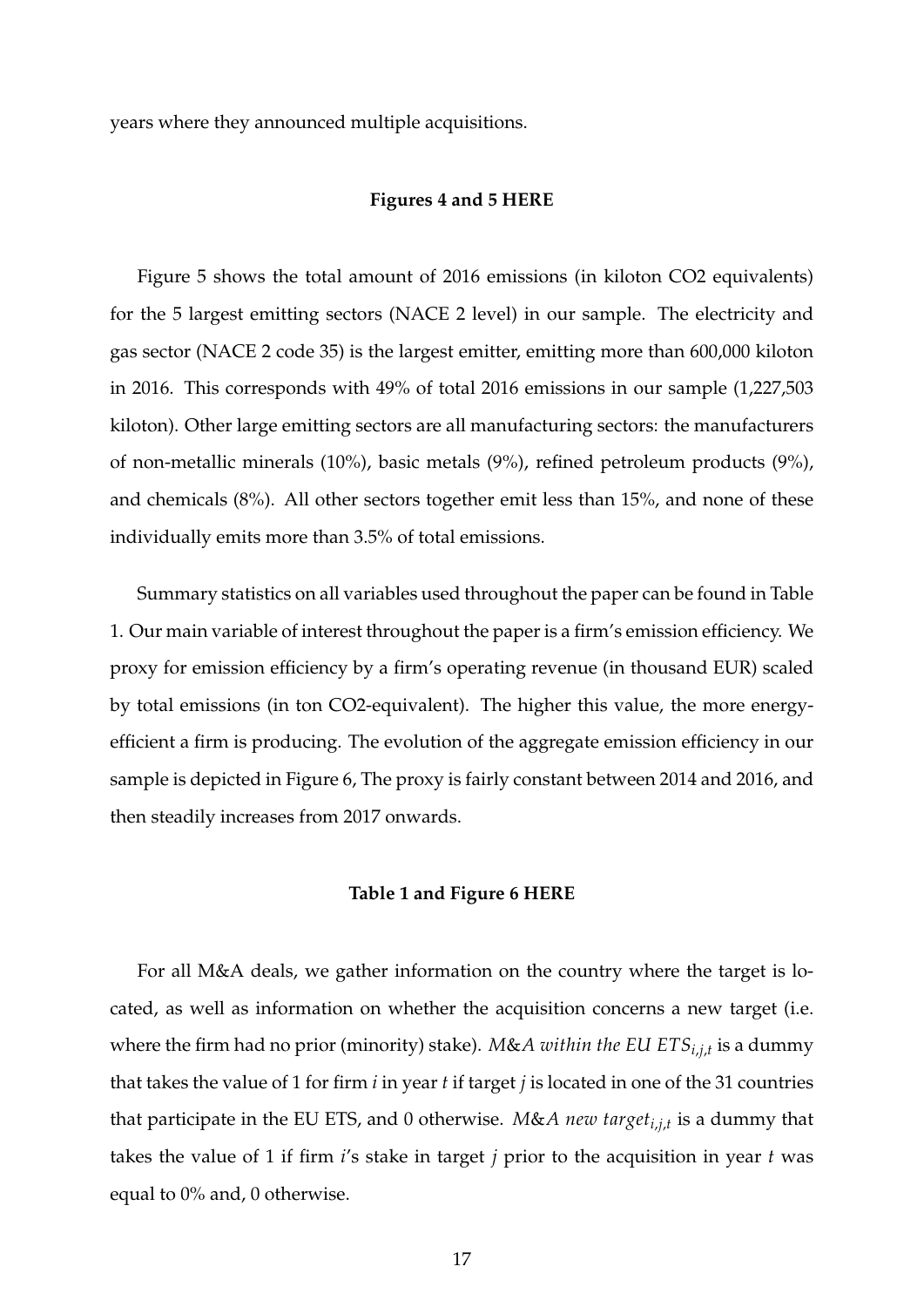years where they announced multiple acquisitions.

#### **Figures [4](#page-36-0) and [5](#page-37-0) HERE**

Figure [5](#page-37-0) shows the total amount of 2016 emissions (in kiloton CO2 equivalents) for the 5 largest emitting sectors (NACE 2 level) in our sample. The electricity and gas sector (NACE 2 code 35) is the largest emitter, emitting more than 600,000 kiloton in 2016. This corresponds with 49% of total 2016 emissions in our sample (1,227,503 kiloton). Other large emitting sectors are all manufacturing sectors: the manufacturers of non-metallic minerals (10%), basic metals (9%), refined petroleum products (9%), and chemicals (8%). All other sectors together emit less than 15%, and none of these individually emits more than 3.5% of total emissions.

Summary statistics on all variables used throughout the paper can be found in Table [1.](#page-41-0) Our main variable of interest throughout the paper is a firm's emission efficiency. We proxy for emission efficiency by a firm's operating revenue (in thousand EUR) scaled by total emissions (in ton CO2-equivalent). The higher this value, the more energyefficient a firm is producing. The evolution of the aggregate emission efficiency in our sample is depicted in Figure [6,](#page-38-0) The proxy is fairly constant between 2014 and 2016, and then steadily increases from 2017 onwards.

## **Table [1](#page-41-0) and Figure [6](#page-38-0) HERE**

For all M&A deals, we gather information on the country where the target is located, as well as information on whether the acquisition concerns a new target (i.e. where the firm had no prior (minority) stake). *M*&*A within the EU ETSi*,*j*,*<sup>t</sup>* is a dummy that takes the value of 1 for firm *i* in year *t* if target *j* is located in one of the 31 countries that participate in the EU ETS, and 0 otherwise. *M*&*A new targeti*,*j*,*<sup>t</sup>* is a dummy that takes the value of 1 if firm *i*'s stake in target *j* prior to the acquisition in year *t* was equal to 0% and, 0 otherwise.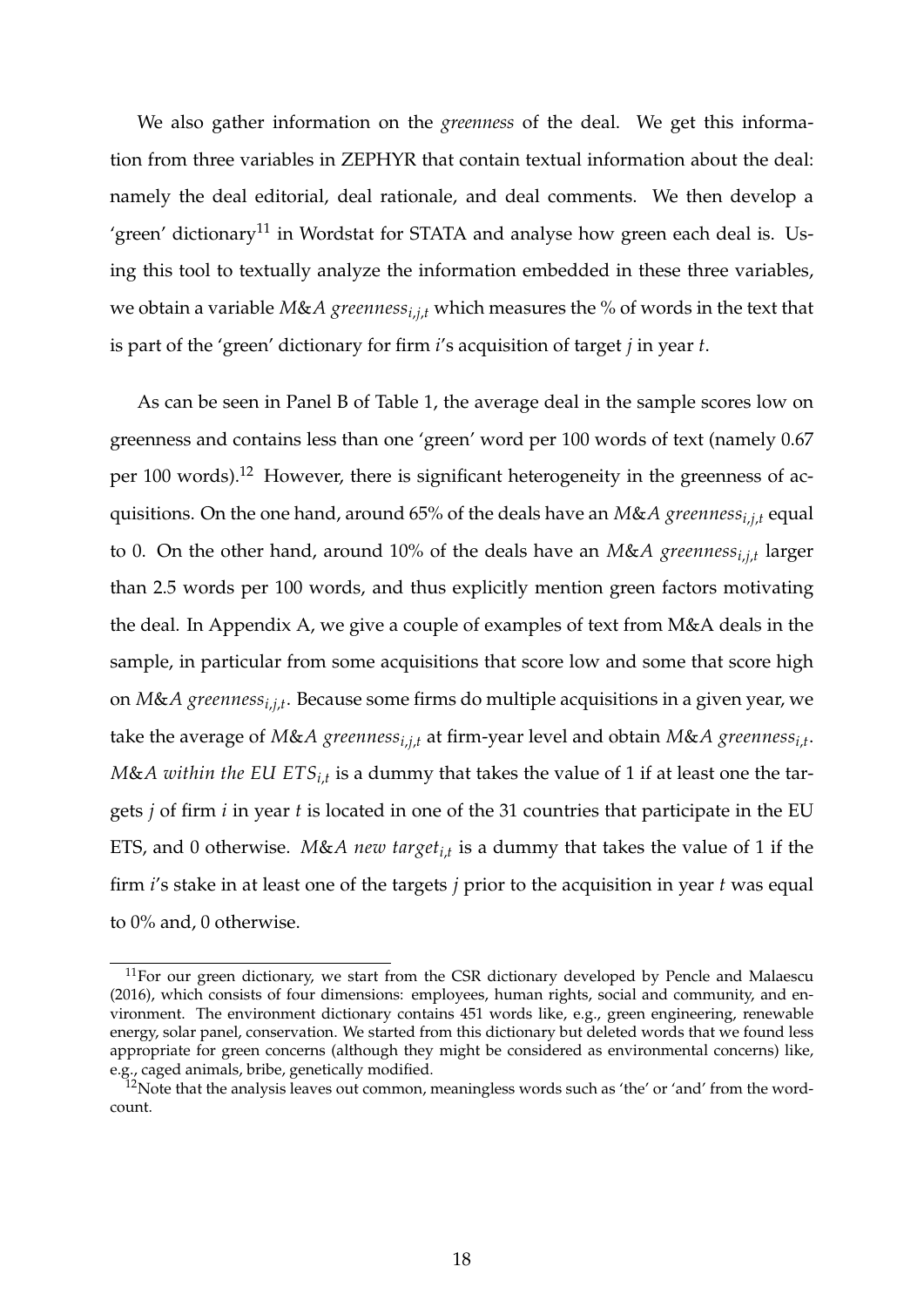We also gather information on the *greenness* of the deal. We get this information from three variables in ZEPHYR that contain textual information about the deal: namely the deal editorial, deal rationale, and deal comments. We then develop a 'green' dictionary<sup>[11](#page-19-0)</sup> in Wordstat for STATA and analyse how green each deal is. Using this tool to textually analyze the information embedded in these three variables, we obtain a variable *M*&*A greennessi*,*j*,*<sup>t</sup>* which measures the % of words in the text that is part of the 'green' dictionary for firm *i*'s acquisition of target *j* in year *t*.

As can be seen in Panel B of Table [1,](#page-41-0) the average deal in the sample scores low on greenness and contains less than one 'green' word per 100 words of text (namely 0.67 per 100 words).[12](#page-19-1) However, there is significant heterogeneity in the greenness of acquisitions. On the one hand, around 65% of the deals have an *M*&*A greennessi*,*j*,*<sup>t</sup>* equal to 0. On the other hand, around 10% of the deals have an *M*&*A greennessi*,*j*,*<sup>t</sup>* larger than 2.5 words per 100 words, and thus explicitly mention green factors motivating the deal. In Appendix A, we give a couple of examples of text from M&A deals in the sample, in particular from some acquisitions that score low and some that score high on *M*&*A greennessi*,*j*,*<sup>t</sup>* . Because some firms do multiple acquisitions in a given year, we take the average of *M*&*A greennessi*,*j*,*<sup>t</sup>* at firm-year level and obtain *M*&*A greennessi*,*<sup>t</sup>* . *M*&*A within the EU ETSi*,*<sup>t</sup>* is a dummy that takes the value of 1 if at least one the targets *j* of firm *i* in year *t* is located in one of the 31 countries that participate in the EU ETS, and 0 otherwise. *M*&*A new targeti*,*<sup>t</sup>* is a dummy that takes the value of 1 if the firm *i*'s stake in at least one of the targets *j* prior to the acquisition in year *t* was equal to 0% and, 0 otherwise.

<span id="page-19-0"></span> $11$ For our green dictionary, we start from the CSR dictionary developed by [Pencle and Malaescu](#page-33-8) [\(2016\)](#page-33-8), which consists of four dimensions: employees, human rights, social and community, and environment. The environment dictionary contains 451 words like, e.g., green engineering, renewable energy, solar panel, conservation. We started from this dictionary but deleted words that we found less appropriate for green concerns (although they might be considered as environmental concerns) like, e.g., caged animals, bribe, genetically modified.

<span id="page-19-1"></span> $12$ Note that the analysis leaves out common, meaningless words such as 'the' or 'and' from the wordcount.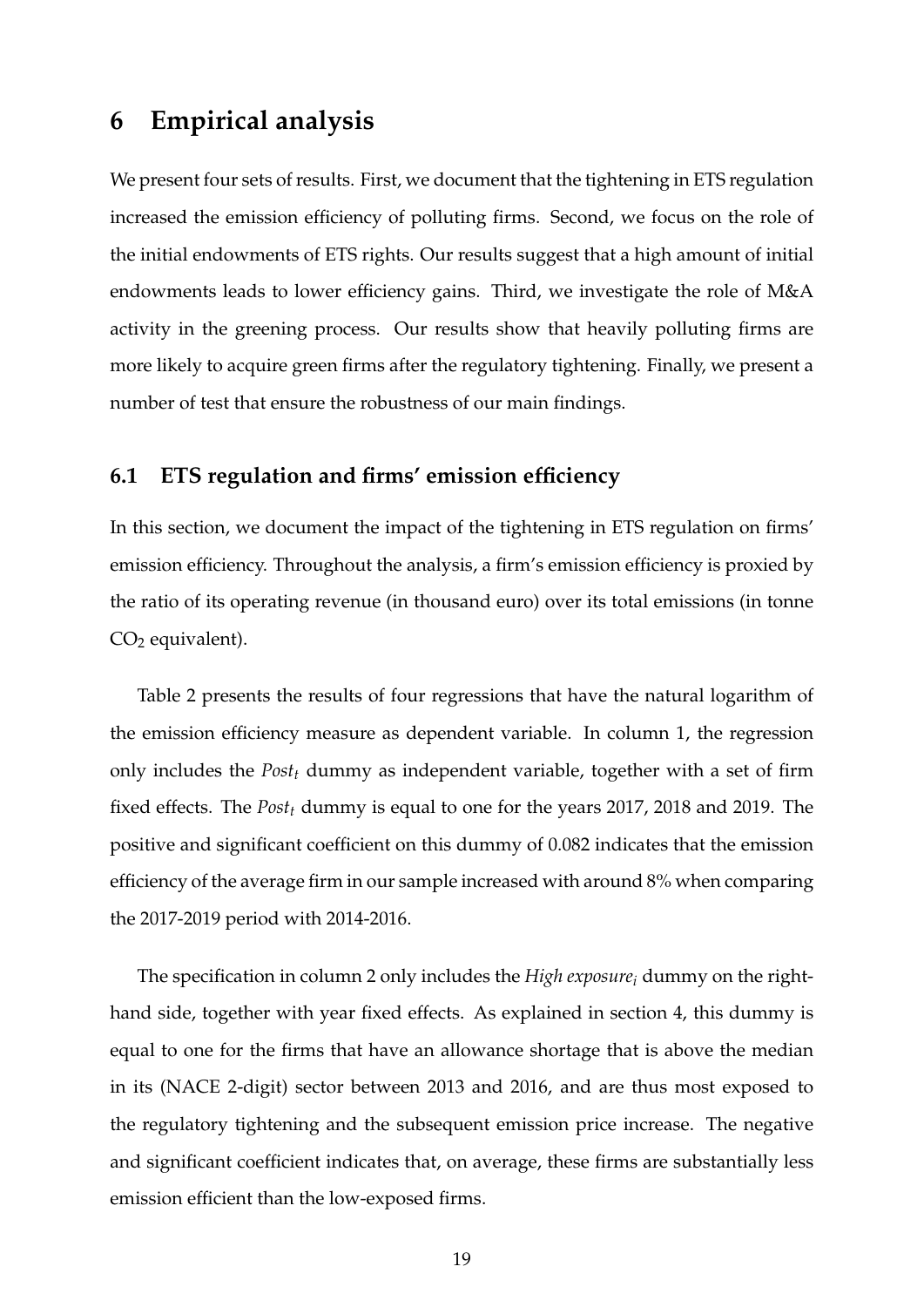# **6 Empirical analysis**

We present four sets of results. First, we document that the tightening in ETS regulation increased the emission efficiency of polluting firms. Second, we focus on the role of the initial endowments of ETS rights. Our results suggest that a high amount of initial endowments leads to lower efficiency gains. Third, we investigate the role of M&A activity in the greening process. Our results show that heavily polluting firms are more likely to acquire green firms after the regulatory tightening. Finally, we present a number of test that ensure the robustness of our main findings.

# **6.1 ETS regulation and firms' emission efficiency**

In this section, we document the impact of the tightening in ETS regulation on firms' emission efficiency. Throughout the analysis, a firm's emission efficiency is proxied by the ratio of its operating revenue (in thousand euro) over its total emissions (in tonne  $CO<sub>2</sub>$  equivalent).

Table [2](#page-42-0) presents the results of four regressions that have the natural logarithm of the emission efficiency measure as dependent variable. In column 1, the regression only includes the *Post<sup>t</sup>* dummy as independent variable, together with a set of firm fixed effects. The *Post<sup>t</sup>* dummy is equal to one for the years 2017, 2018 and 2019. The positive and significant coefficient on this dummy of 0.082 indicates that the emission efficiency of the average firm in our sample increased with around 8% when comparing the 2017-2019 period with 2014-2016.

The specification in column 2 only includes the *High exposure<sup>i</sup>* dummy on the righthand side, together with year fixed effects. As explained in section [4,](#page-13-1) this dummy is equal to one for the firms that have an allowance shortage that is above the median in its (NACE 2-digit) sector between 2013 and 2016, and are thus most exposed to the regulatory tightening and the subsequent emission price increase. The negative and significant coefficient indicates that, on average, these firms are substantially less emission efficient than the low-exposed firms.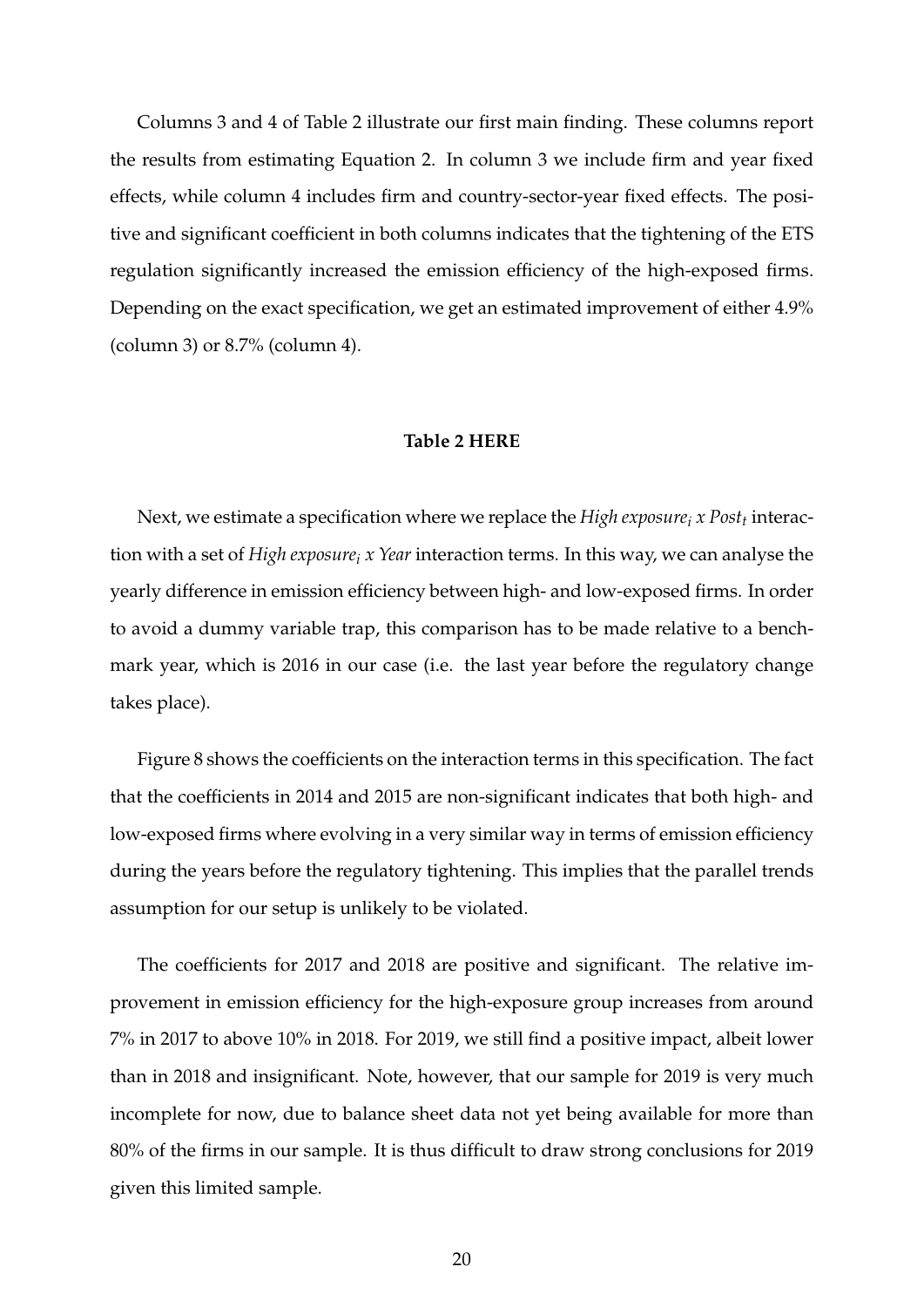Columns 3 and 4 of Table [2](#page-42-0) illustrate our first main finding. These columns report the results from estimating Equation [2.](#page-15-0) In column 3 we include firm and year fixed effects, while column 4 includes firm and country-sector-year fixed effects. The positive and significant coefficient in both columns indicates that the tightening of the ETS regulation significantly increased the emission efficiency of the high-exposed firms. Depending on the exact specification, we get an estimated improvement of either 4.9% (column 3) or 8.7% (column 4).

### **Table [2](#page-42-0) HERE**

Next, we estimate a specification where we replace the *High exposure<sup>i</sup> x Post<sup>t</sup>* interaction with a set of *High exposure<sup>i</sup> x Year* interaction terms. In this way, we can analyse the yearly difference in emission efficiency between high- and low-exposed firms. In order to avoid a dummy variable trap, this comparison has to be made relative to a benchmark year, which is 2016 in our case (i.e. the last year before the regulatory change takes place).

Figure [8](#page-40-0) shows the coefficients on the interaction terms in this specification. The fact that the coefficients in 2014 and 2015 are non-significant indicates that both high- and low-exposed firms where evolving in a very similar way in terms of emission efficiency during the years before the regulatory tightening. This implies that the parallel trends assumption for our setup is unlikely to be violated.

The coefficients for 2017 and 2018 are positive and significant. The relative improvement in emission efficiency for the high-exposure group increases from around 7% in 2017 to above 10% in 2018. For 2019, we still find a positive impact, albeit lower than in 2018 and insignificant. Note, however, that our sample for 2019 is very much incomplete for now, due to balance sheet data not yet being available for more than 80% of the firms in our sample. It is thus difficult to draw strong conclusions for 2019 given this limited sample.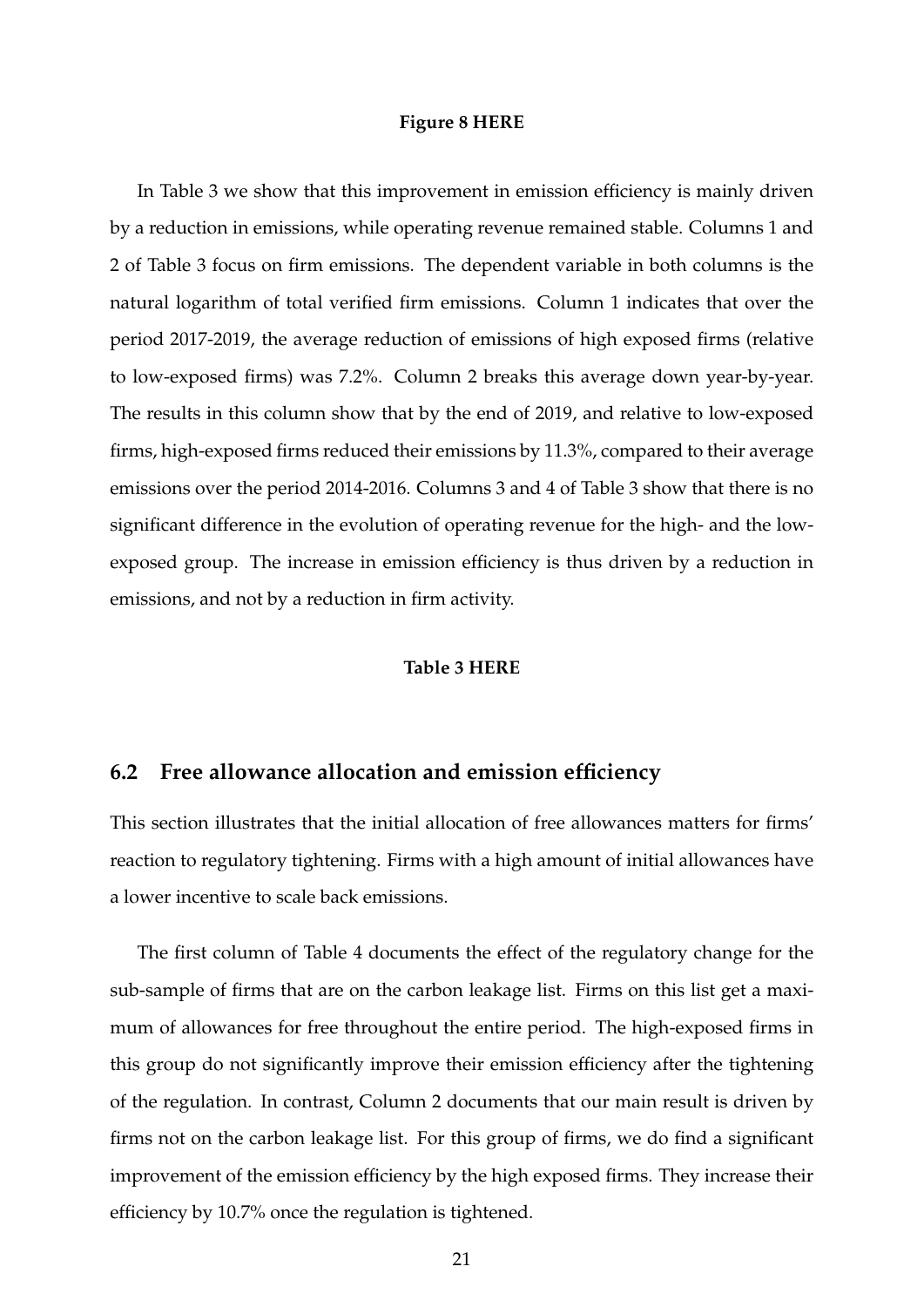#### **Figure [8](#page-40-0) HERE**

In Table [3](#page-43-0) we show that this improvement in emission efficiency is mainly driven by a reduction in emissions, while operating revenue remained stable. Columns 1 and 2 of Table [3](#page-43-0) focus on firm emissions. The dependent variable in both columns is the natural logarithm of total verified firm emissions. Column 1 indicates that over the period 2017-2019, the average reduction of emissions of high exposed firms (relative to low-exposed firms) was 7.2%. Column 2 breaks this average down year-by-year. The results in this column show that by the end of 2019, and relative to low-exposed firms, high-exposed firms reduced their emissions by 11.3%, compared to their average emissions over the period 2014-2016. Columns 3 and 4 of Table [3](#page-43-0) show that there is no significant difference in the evolution of operating revenue for the high- and the lowexposed group. The increase in emission efficiency is thus driven by a reduction in emissions, and not by a reduction in firm activity.

## **Table [3](#page-43-0) HERE**

# **6.2 Free allowance allocation and emission efficiency**

This section illustrates that the initial allocation of free allowances matters for firms' reaction to regulatory tightening. Firms with a high amount of initial allowances have a lower incentive to scale back emissions.

The first column of Table [4](#page-44-0) documents the effect of the regulatory change for the sub-sample of firms that are on the carbon leakage list. Firms on this list get a maximum of allowances for free throughout the entire period. The high-exposed firms in this group do not significantly improve their emission efficiency after the tightening of the regulation. In contrast, Column 2 documents that our main result is driven by firms not on the carbon leakage list. For this group of firms, we do find a significant improvement of the emission efficiency by the high exposed firms. They increase their efficiency by 10.7% once the regulation is tightened.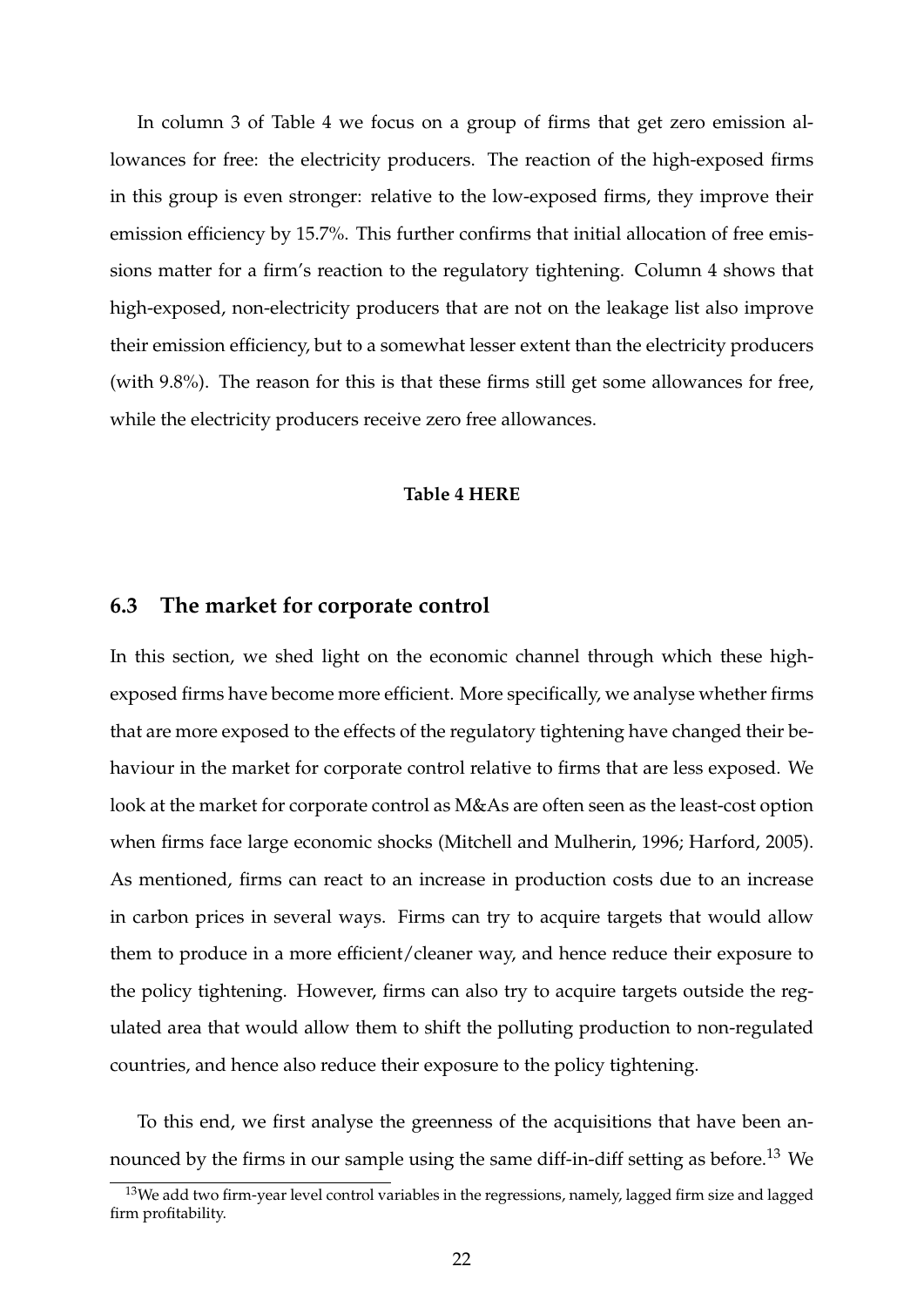In column 3 of Table [4](#page-44-0) we focus on a group of firms that get zero emission allowances for free: the electricity producers. The reaction of the high-exposed firms in this group is even stronger: relative to the low-exposed firms, they improve their emission efficiency by 15.7%. This further confirms that initial allocation of free emissions matter for a firm's reaction to the regulatory tightening. Column 4 shows that high-exposed, non-electricity producers that are not on the leakage list also improve their emission efficiency, but to a somewhat lesser extent than the electricity producers (with 9.8%). The reason for this is that these firms still get some allowances for free, while the electricity producers receive zero free allowances.

### **Table [4](#page-44-0) HERE**

# **6.3 The market for corporate control**

In this section, we shed light on the economic channel through which these highexposed firms have become more efficient. More specifically, we analyse whether firms that are more exposed to the effects of the regulatory tightening have changed their behaviour in the market for corporate control relative to firms that are less exposed. We look at the market for corporate control as M&As are often seen as the least-cost option when firms face large economic shocks [\(Mitchell and Mulherin,](#page-32-6) [1996;](#page-32-6) [Harford,](#page-31-5) [2005\)](#page-31-5). As mentioned, firms can react to an increase in production costs due to an increase in carbon prices in several ways. Firms can try to acquire targets that would allow them to produce in a more efficient/cleaner way, and hence reduce their exposure to the policy tightening. However, firms can also try to acquire targets outside the regulated area that would allow them to shift the polluting production to non-regulated countries, and hence also reduce their exposure to the policy tightening.

To this end, we first analyse the greenness of the acquisitions that have been an-nounced by the firms in our sample using the same diff-in-diff setting as before.<sup>[13](#page-23-0)</sup> We

<span id="page-23-0"></span> $13$ We add two firm-year level control variables in the regressions, namely, lagged firm size and lagged firm profitability.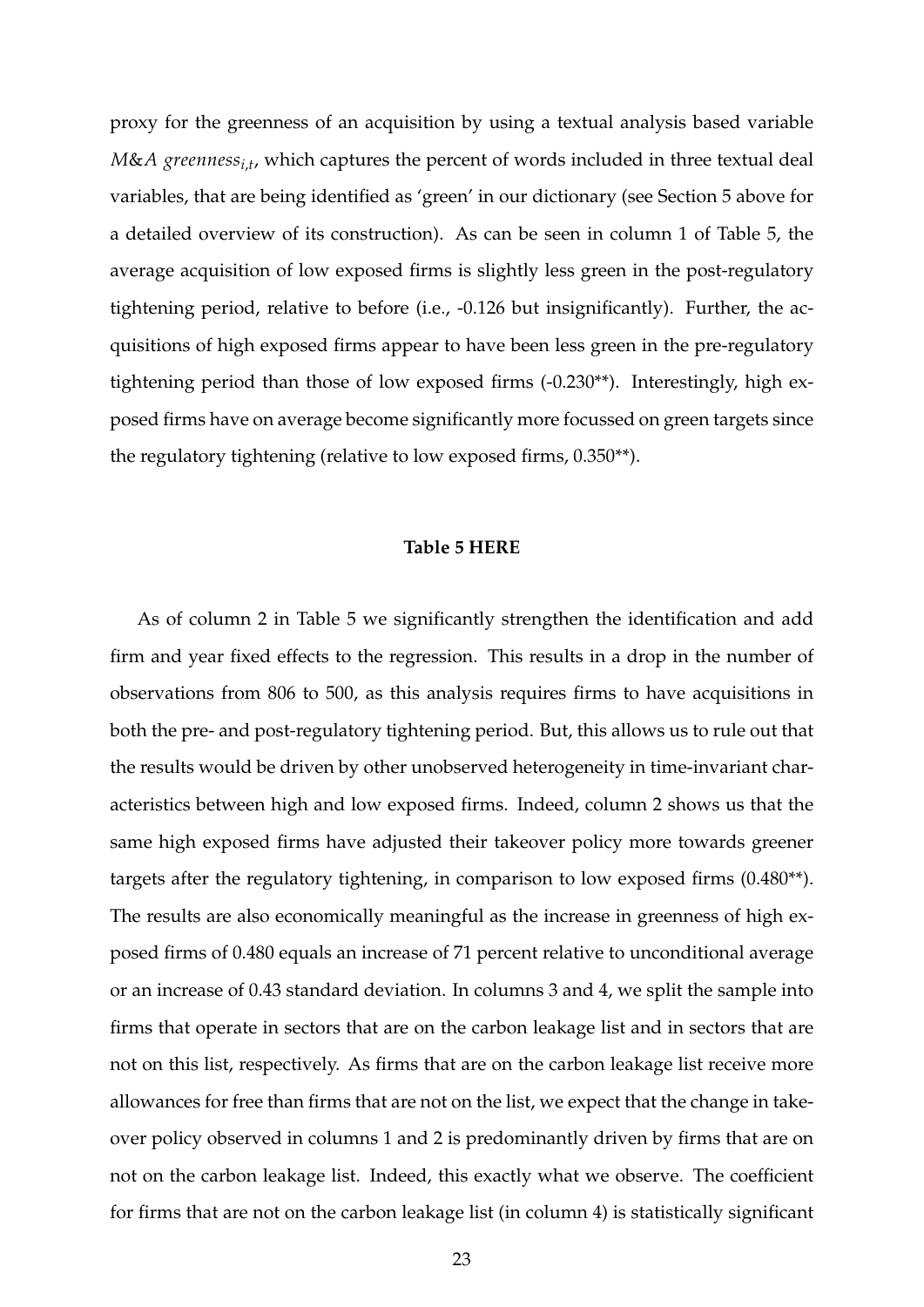proxy for the greenness of an acquisition by using a textual analysis based variable *M*&*A greennessi*,*<sup>t</sup>* , which captures the percent of words included in three textual deal variables, that are being identified as 'green' in our dictionary (see Section [5](#page-17-2) above for a detailed overview of its construction). As can be seen in column 1 of Table [5,](#page-45-0) the average acquisition of low exposed firms is slightly less green in the post-regulatory tightening period, relative to before (i.e., -0.126 but insignificantly). Further, the acquisitions of high exposed firms appear to have been less green in the pre-regulatory tightening period than those of low exposed firms (-0.230\*\*). Interestingly, high exposed firms have on average become significantly more focussed on green targets since the regulatory tightening (relative to low exposed firms, 0.350\*\*).

## **Table [5](#page-45-0) HERE**

As of column 2 in Table [5](#page-45-0) we significantly strengthen the identification and add firm and year fixed effects to the regression. This results in a drop in the number of observations from 806 to 500, as this analysis requires firms to have acquisitions in both the pre- and post-regulatory tightening period. But, this allows us to rule out that the results would be driven by other unobserved heterogeneity in time-invariant characteristics between high and low exposed firms. Indeed, column 2 shows us that the same high exposed firms have adjusted their takeover policy more towards greener targets after the regulatory tightening, in comparison to low exposed firms (0.480\*\*). The results are also economically meaningful as the increase in greenness of high exposed firms of 0.480 equals an increase of 71 percent relative to unconditional average or an increase of 0.43 standard deviation. In columns 3 and 4, we split the sample into firms that operate in sectors that are on the carbon leakage list and in sectors that are not on this list, respectively. As firms that are on the carbon leakage list receive more allowances for free than firms that are not on the list, we expect that the change in takeover policy observed in columns 1 and 2 is predominantly driven by firms that are on not on the carbon leakage list. Indeed, this exactly what we observe. The coefficient for firms that are not on the carbon leakage list (in column 4) is statistically significant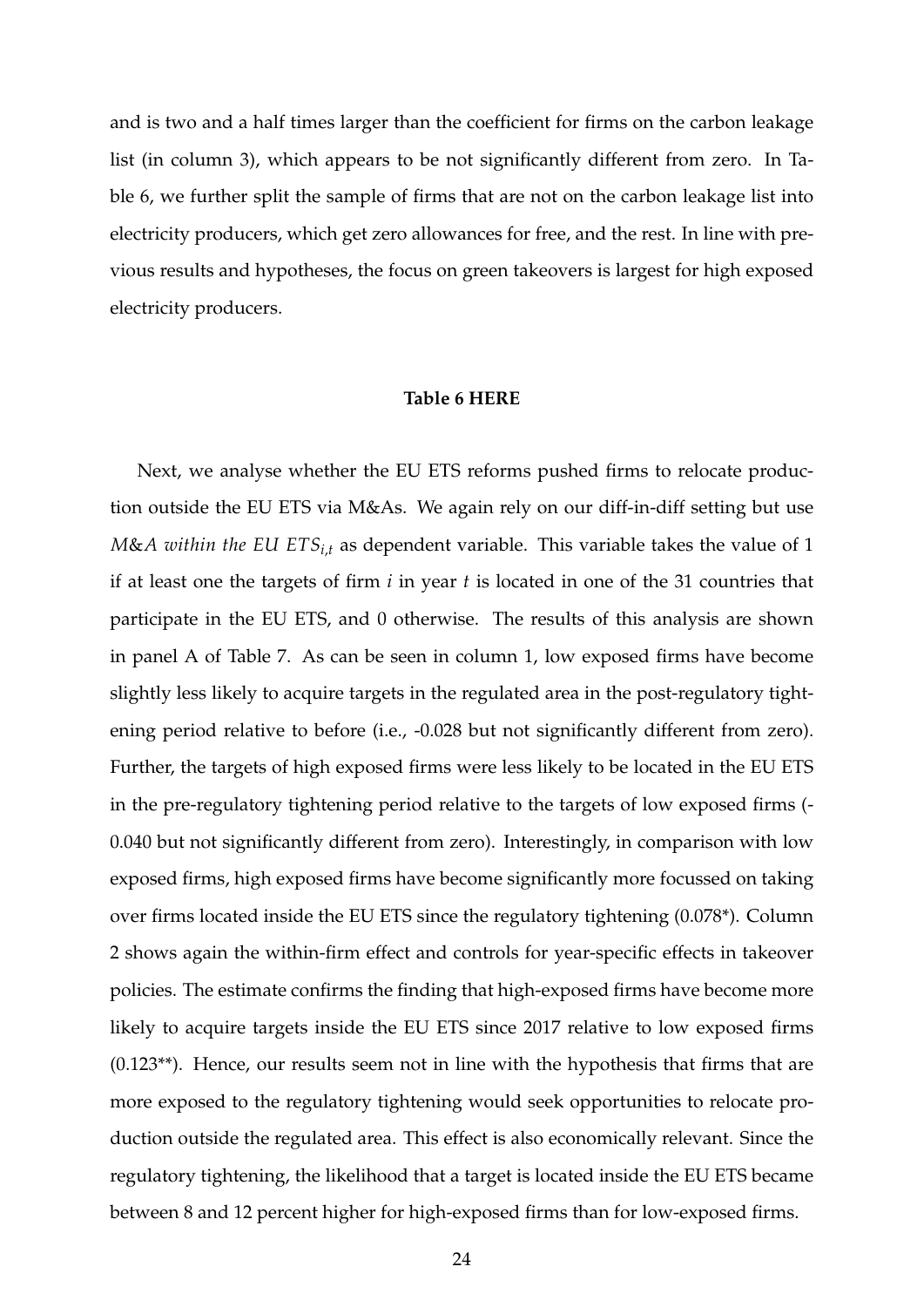and is two and a half times larger than the coefficient for firms on the carbon leakage list (in column 3), which appears to be not significantly different from zero. In Table [6,](#page-46-0) we further split the sample of firms that are not on the carbon leakage list into electricity producers, which get zero allowances for free, and the rest. In line with previous results and hypotheses, the focus on green takeovers is largest for high exposed electricity producers.

# **Table [6](#page-46-0) HERE**

Next, we analyse whether the EU ETS reforms pushed firms to relocate production outside the EU ETS via M&As. We again rely on our diff-in-diff setting but use *M*&*A within the EU ETSi*,*<sup>t</sup>* as dependent variable. This variable takes the value of 1 if at least one the targets of firm *i* in year *t* is located in one of the 31 countries that participate in the EU ETS, and 0 otherwise. The results of this analysis are shown in panel A of Table [7.](#page-47-0) As can be seen in column 1, low exposed firms have become slightly less likely to acquire targets in the regulated area in the post-regulatory tightening period relative to before (i.e., -0.028 but not significantly different from zero). Further, the targets of high exposed firms were less likely to be located in the EU ETS in the pre-regulatory tightening period relative to the targets of low exposed firms (- 0.040 but not significantly different from zero). Interestingly, in comparison with low exposed firms, high exposed firms have become significantly more focussed on taking over firms located inside the EU ETS since the regulatory tightening (0.078\*). Column 2 shows again the within-firm effect and controls for year-specific effects in takeover policies. The estimate confirms the finding that high-exposed firms have become more likely to acquire targets inside the EU ETS since 2017 relative to low exposed firms (0.123\*\*). Hence, our results seem not in line with the hypothesis that firms that are more exposed to the regulatory tightening would seek opportunities to relocate production outside the regulated area. This effect is also economically relevant. Since the regulatory tightening, the likelihood that a target is located inside the EU ETS became between 8 and 12 percent higher for high-exposed firms than for low-exposed firms.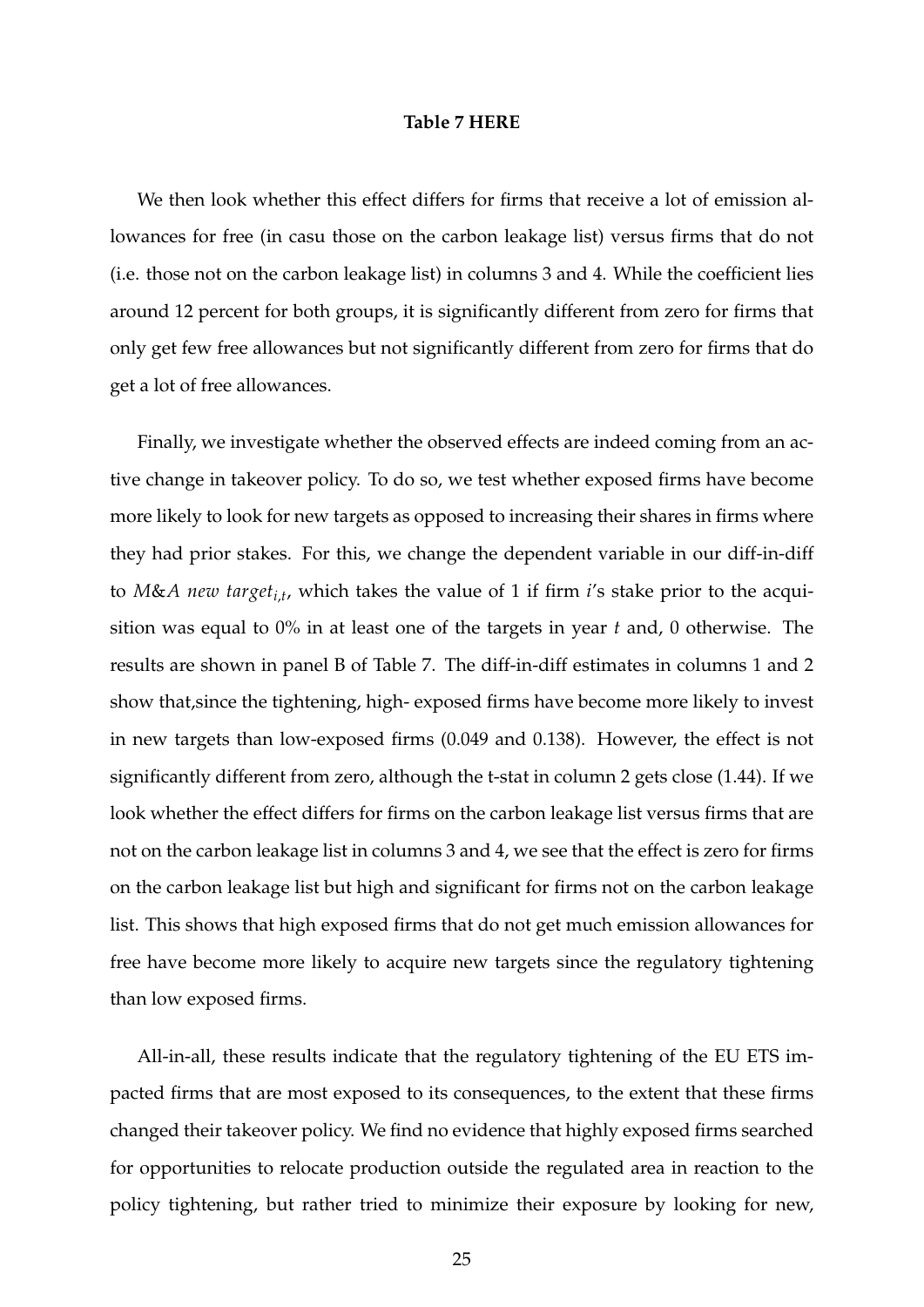#### **Table [7](#page-47-0) HERE**

We then look whether this effect differs for firms that receive a lot of emission allowances for free (in casu those on the carbon leakage list) versus firms that do not (i.e. those not on the carbon leakage list) in columns 3 and 4. While the coefficient lies around 12 percent for both groups, it is significantly different from zero for firms that only get few free allowances but not significantly different from zero for firms that do get a lot of free allowances.

Finally, we investigate whether the observed effects are indeed coming from an active change in takeover policy. To do so, we test whether exposed firms have become more likely to look for new targets as opposed to increasing their shares in firms where they had prior stakes. For this, we change the dependent variable in our diff-in-diff to *M*&*A new targeti*,*<sup>t</sup>* , which takes the value of 1 if firm *i*'s stake prior to the acquisition was equal to 0% in at least one of the targets in year *t* and, 0 otherwise. The results are shown in panel B of Table [7.](#page-47-0) The diff-in-diff estimates in columns 1 and 2 show that,since the tightening, high- exposed firms have become more likely to invest in new targets than low-exposed firms (0.049 and 0.138). However, the effect is not significantly different from zero, although the t-stat in column 2 gets close (1.44). If we look whether the effect differs for firms on the carbon leakage list versus firms that are not on the carbon leakage list in columns 3 and 4, we see that the effect is zero for firms on the carbon leakage list but high and significant for firms not on the carbon leakage list. This shows that high exposed firms that do not get much emission allowances for free have become more likely to acquire new targets since the regulatory tightening than low exposed firms.

All-in-all, these results indicate that the regulatory tightening of the EU ETS impacted firms that are most exposed to its consequences, to the extent that these firms changed their takeover policy. We find no evidence that highly exposed firms searched for opportunities to relocate production outside the regulated area in reaction to the policy tightening, but rather tried to minimize their exposure by looking for new,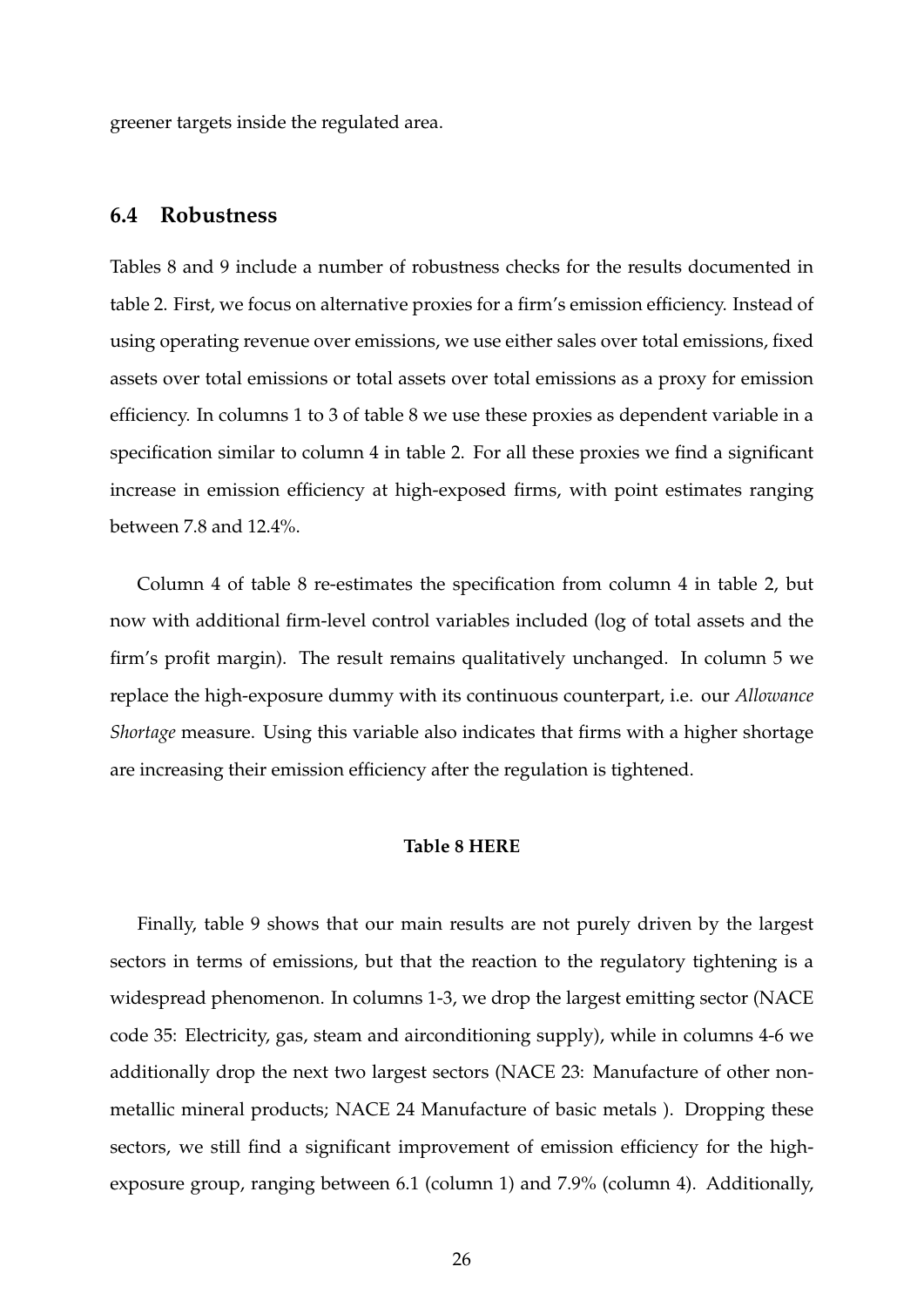greener targets inside the regulated area.

# **6.4 Robustness**

Tables [8](#page-48-0) and [9](#page-49-0) include a number of robustness checks for the results documented in table [2.](#page-42-0) First, we focus on alternative proxies for a firm's emission efficiency. Instead of using operating revenue over emissions, we use either sales over total emissions, fixed assets over total emissions or total assets over total emissions as a proxy for emission efficiency. In columns 1 to 3 of table [8](#page-48-0) we use these proxies as dependent variable in a specification similar to column 4 in table [2.](#page-42-0) For all these proxies we find a significant increase in emission efficiency at high-exposed firms, with point estimates ranging between 7.8 and 12.4%.

Column 4 of table [8](#page-48-0) re-estimates the specification from column 4 in table [2,](#page-42-0) but now with additional firm-level control variables included (log of total assets and the firm's profit margin). The result remains qualitatively unchanged. In column 5 we replace the high-exposure dummy with its continuous counterpart, i.e. our *Allowance Shortage* measure. Using this variable also indicates that firms with a higher shortage are increasing their emission efficiency after the regulation is tightened.

# **Table [8](#page-48-0) HERE**

Finally, table [9](#page-49-0) shows that our main results are not purely driven by the largest sectors in terms of emissions, but that the reaction to the regulatory tightening is a widespread phenomenon. In columns 1-3, we drop the largest emitting sector (NACE code 35: Electricity, gas, steam and airconditioning supply), while in columns 4-6 we additionally drop the next two largest sectors (NACE 23: Manufacture of other nonmetallic mineral products; NACE 24 Manufacture of basic metals ). Dropping these sectors, we still find a significant improvement of emission efficiency for the highexposure group, ranging between 6.1 (column 1) and 7.9% (column 4). Additionally,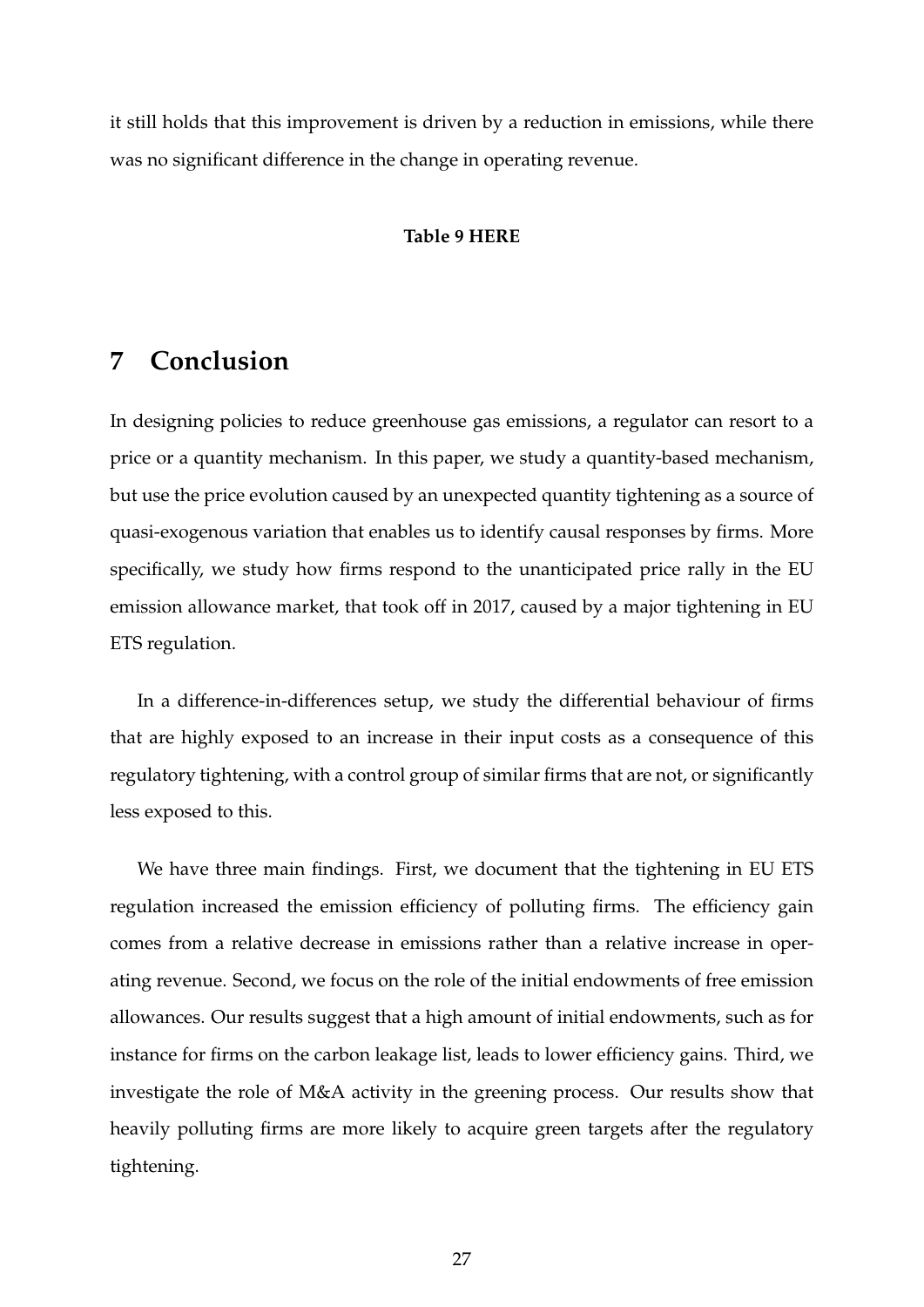it still holds that this improvement is driven by a reduction in emissions, while there was no significant difference in the change in operating revenue.

# **Table [9](#page-49-0) HERE**

# **7 Conclusion**

In designing policies to reduce greenhouse gas emissions, a regulator can resort to a price or a quantity mechanism. In this paper, we study a quantity-based mechanism, but use the price evolution caused by an unexpected quantity tightening as a source of quasi-exogenous variation that enables us to identify causal responses by firms. More specifically, we study how firms respond to the unanticipated price rally in the EU emission allowance market, that took off in 2017, caused by a major tightening in EU ETS regulation.

In a difference-in-differences setup, we study the differential behaviour of firms that are highly exposed to an increase in their input costs as a consequence of this regulatory tightening, with a control group of similar firms that are not, or significantly less exposed to this.

We have three main findings. First, we document that the tightening in EU ETS regulation increased the emission efficiency of polluting firms. The efficiency gain comes from a relative decrease in emissions rather than a relative increase in operating revenue. Second, we focus on the role of the initial endowments of free emission allowances. Our results suggest that a high amount of initial endowments, such as for instance for firms on the carbon leakage list, leads to lower efficiency gains. Third, we investigate the role of M&A activity in the greening process. Our results show that heavily polluting firms are more likely to acquire green targets after the regulatory tightening.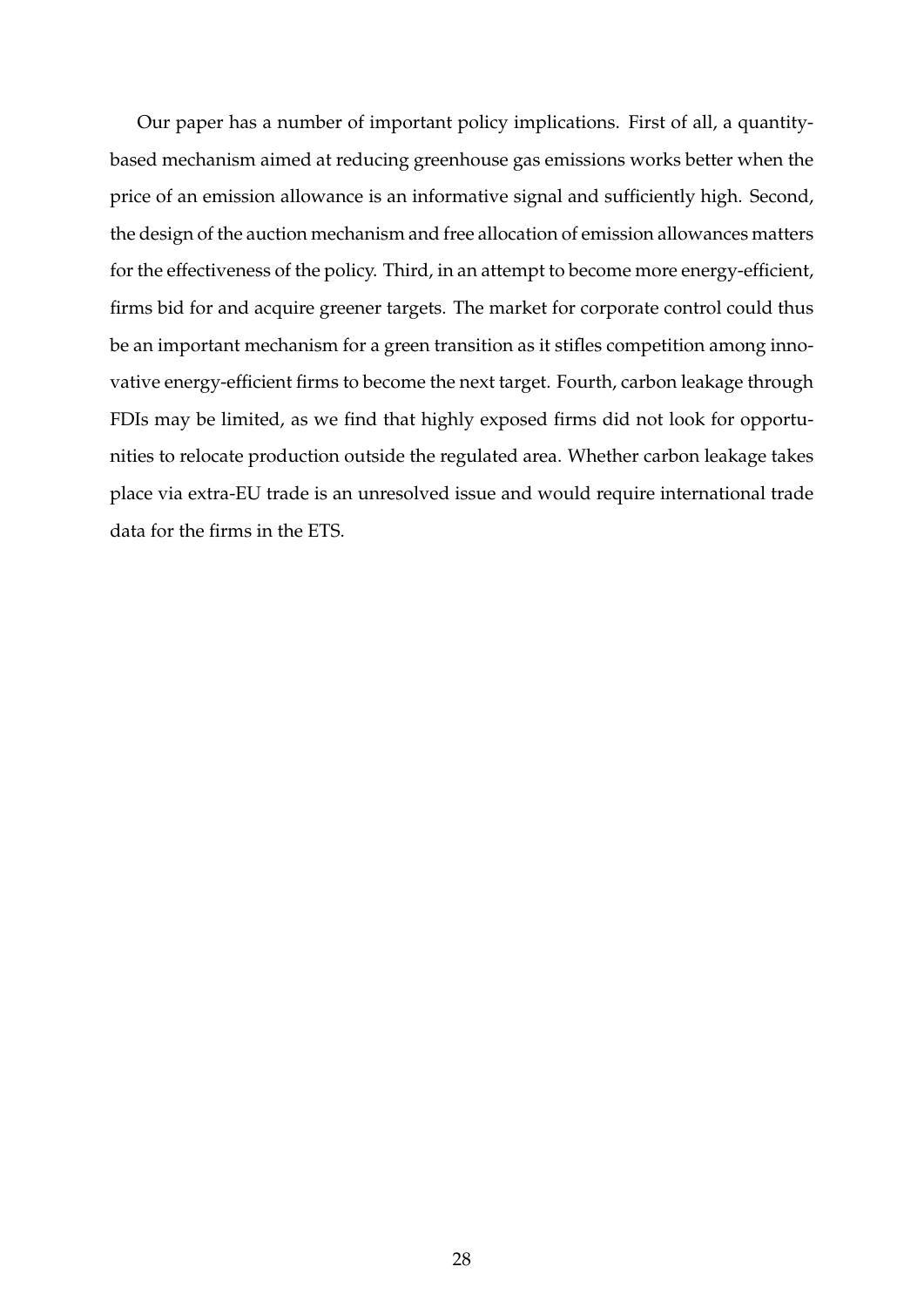Our paper has a number of important policy implications. First of all, a quantitybased mechanism aimed at reducing greenhouse gas emissions works better when the price of an emission allowance is an informative signal and sufficiently high. Second, the design of the auction mechanism and free allocation of emission allowances matters for the effectiveness of the policy. Third, in an attempt to become more energy-efficient, firms bid for and acquire greener targets. The market for corporate control could thus be an important mechanism for a green transition as it stifles competition among innovative energy-efficient firms to become the next target. Fourth, carbon leakage through FDIs may be limited, as we find that highly exposed firms did not look for opportunities to relocate production outside the regulated area. Whether carbon leakage takes place via extra-EU trade is an unresolved issue and would require international trade data for the firms in the ETS.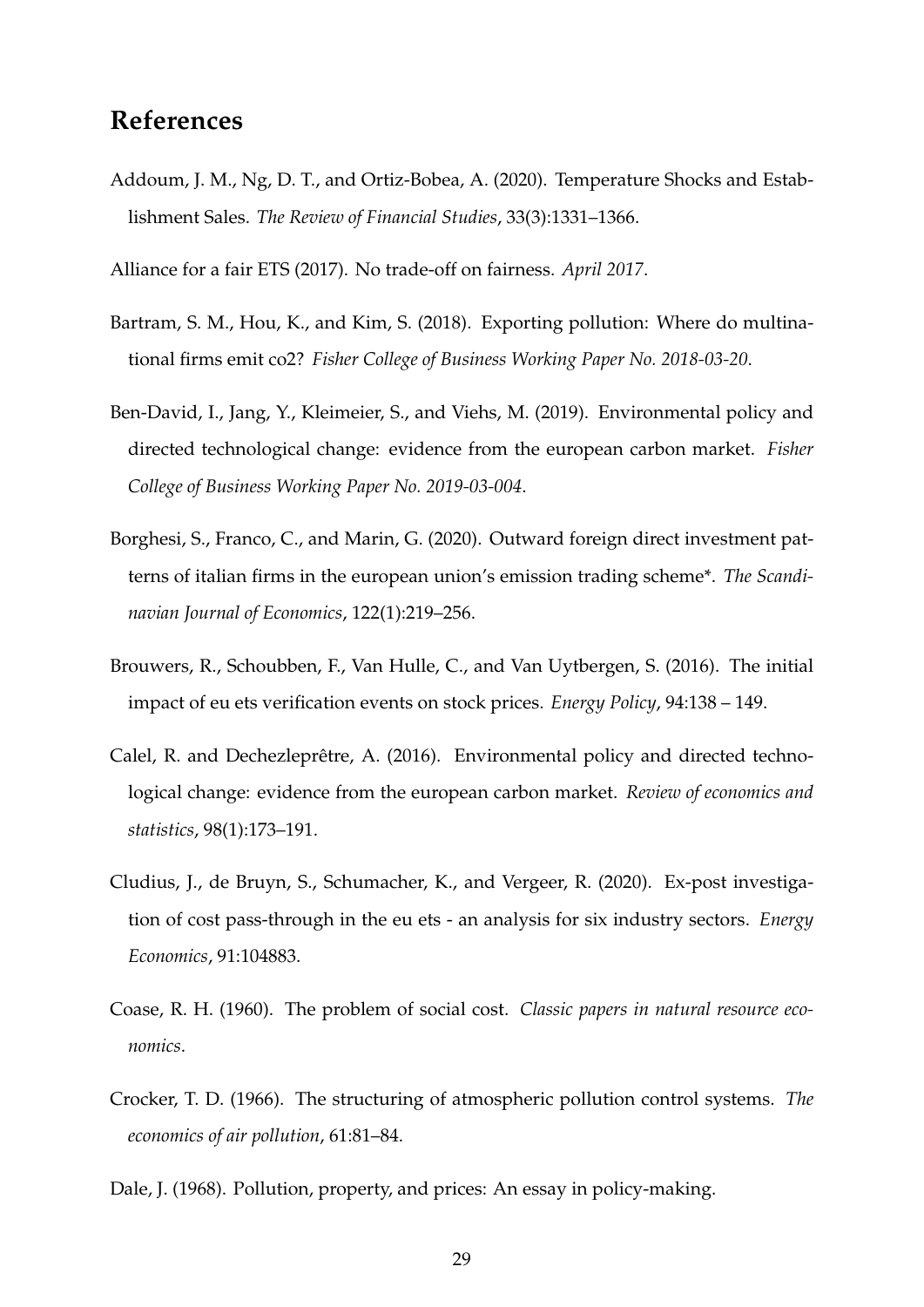# **References**

<span id="page-30-0"></span>Addoum, J. M., Ng, D. T., and Ortiz-Bobea, A. (2020). Temperature Shocks and Establishment Sales. *The Review of Financial Studies*, 33(3):1331–1366.

<span id="page-30-4"></span>Alliance for a fair ETS (2017). No trade-off on fairness. *April 2017*.

- <span id="page-30-9"></span>Bartram, S. M., Hou, K., and Kim, S. (2018). Exporting pollution: Where do multinational firms emit co2? *Fisher College of Business Working Paper No. 2018-03-20*.
- <span id="page-30-8"></span>Ben-David, I., Jang, Y., Kleimeier, S., and Viehs, M. (2019). Environmental policy and directed technological change: evidence from the european carbon market. *Fisher College of Business Working Paper No. 2019-03-004*.
- <span id="page-30-7"></span>Borghesi, S., Franco, C., and Marin, G. (2020). Outward foreign direct investment patterns of italian firms in the european union's emission trading scheme\*. *The Scandinavian Journal of Economics*, 122(1):219–256.
- <span id="page-30-10"></span>Brouwers, R., Schoubben, F., Van Hulle, C., and Van Uytbergen, S. (2016). The initial impact of eu ets verification events on stock prices. *Energy Policy*, 94:138 – 149.
- <span id="page-30-6"></span>Calel, R. and Dechezleprêtre, A. (2016). Environmental policy and directed technological change: evidence from the european carbon market. *Review of economics and statistics*, 98(1):173–191.
- <span id="page-30-5"></span>Cludius, J., de Bruyn, S., Schumacher, K., and Vergeer, R. (2020). Ex-post investigation of cost pass-through in the eu ets - an analysis for six industry sectors. *Energy Economics*, 91:104883.
- <span id="page-30-1"></span>Coase, R. H. (1960). The problem of social cost. *Classic papers in natural resource economics*.
- <span id="page-30-2"></span>Crocker, T. D. (1966). The structuring of atmospheric pollution control systems. *The economics of air pollution*, 61:81–84.

<span id="page-30-3"></span>Dale, J. (1968). Pollution, property, and prices: An essay in policy-making.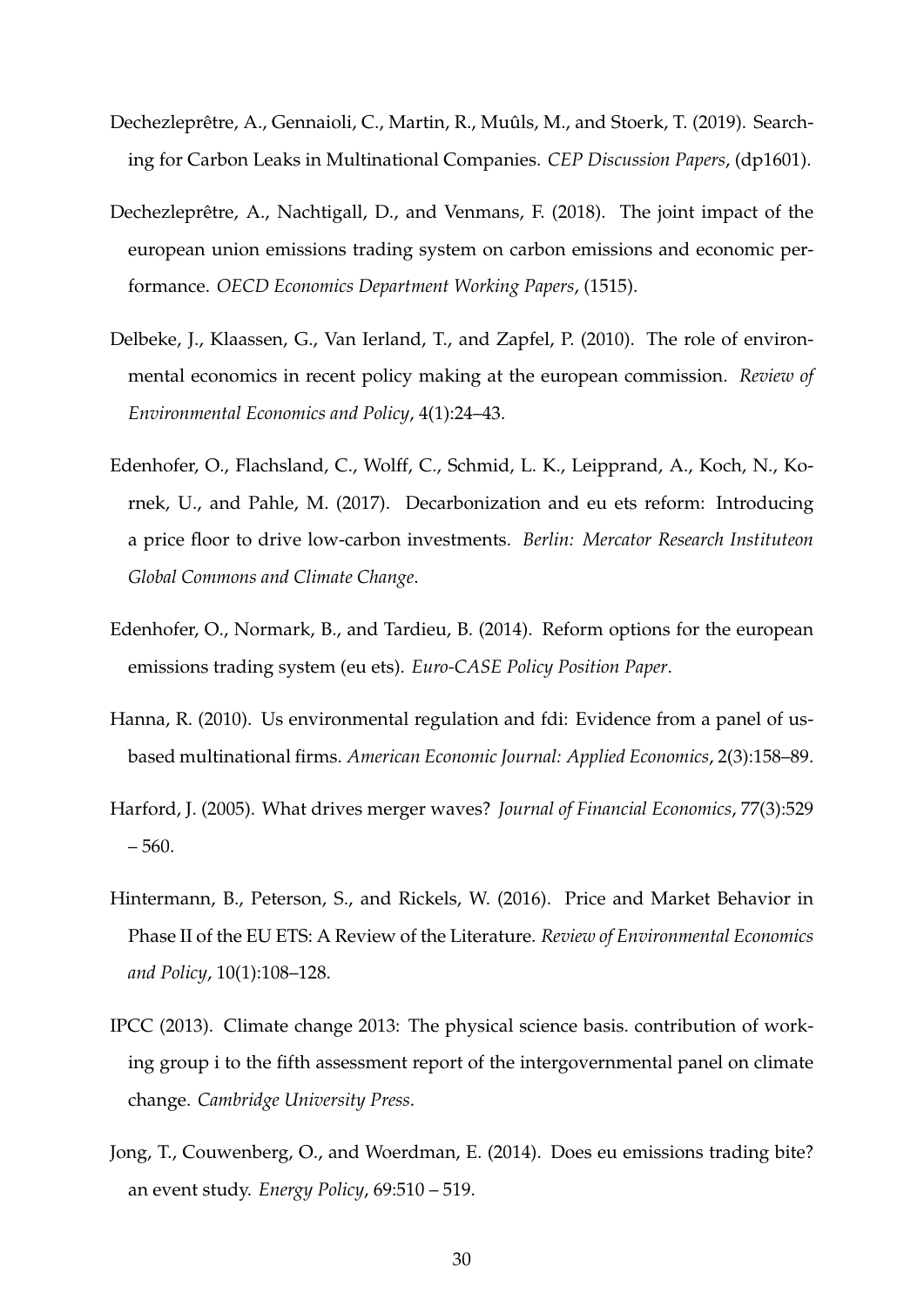- <span id="page-31-1"></span>Dechezleprêtre, A., Gennaioli, C., Martin, R., Muûls, M., and Stoerk, T. (2019). Searching for Carbon Leaks in Multinational Companies. *CEP Discussion Papers*, (dp1601).
- <span id="page-31-3"></span>Dechezleprêtre, A., Nachtigall, D., and Venmans, F. (2018). The joint impact of the european union emissions trading system on carbon emissions and economic performance. *OECD Economics Department Working Papers*, (1515).
- <span id="page-31-7"></span>Delbeke, J., Klaassen, G., Van Ierland, T., and Zapfel, P. (2010). The role of environmental economics in recent policy making at the european commission. *Review of Environmental Economics and Policy*, 4(1):24–43.
- <span id="page-31-9"></span>Edenhofer, O., Flachsland, C., Wolff, C., Schmid, L. K., Leipprand, A., Koch, N., Kornek, U., and Pahle, M. (2017). Decarbonization and eu ets reform: Introducing a price floor to drive low-carbon investments. *Berlin: Mercator Research Instituteon Global Commons and Climate Change*.
- <span id="page-31-8"></span>Edenhofer, O., Normark, B., and Tardieu, B. (2014). Reform options for the european emissions trading system (eu ets). *Euro-CASE Policy Position Paper*.
- <span id="page-31-4"></span>Hanna, R. (2010). Us environmental regulation and fdi: Evidence from a panel of usbased multinational firms. *American Economic Journal: Applied Economics*, 2(3):158–89.
- <span id="page-31-5"></span>Harford, J. (2005). What drives merger waves? *Journal of Financial Economics*, 77(3):529  $-560.$
- <span id="page-31-2"></span>Hintermann, B., Peterson, S., and Rickels, W. (2016). Price and Market Behavior in Phase II of the EU ETS: A Review of the Literature. *Review of Environmental Economics and Policy*, 10(1):108–128.
- <span id="page-31-0"></span>IPCC (2013). Climate change 2013: The physical science basis. contribution of working group i to the fifth assessment report of the intergovernmental panel on climate change. *Cambridge University Press*.
- <span id="page-31-6"></span>Jong, T., Couwenberg, O., and Woerdman, E. (2014). Does eu emissions trading bite? an event study. *Energy Policy*, 69:510 – 519.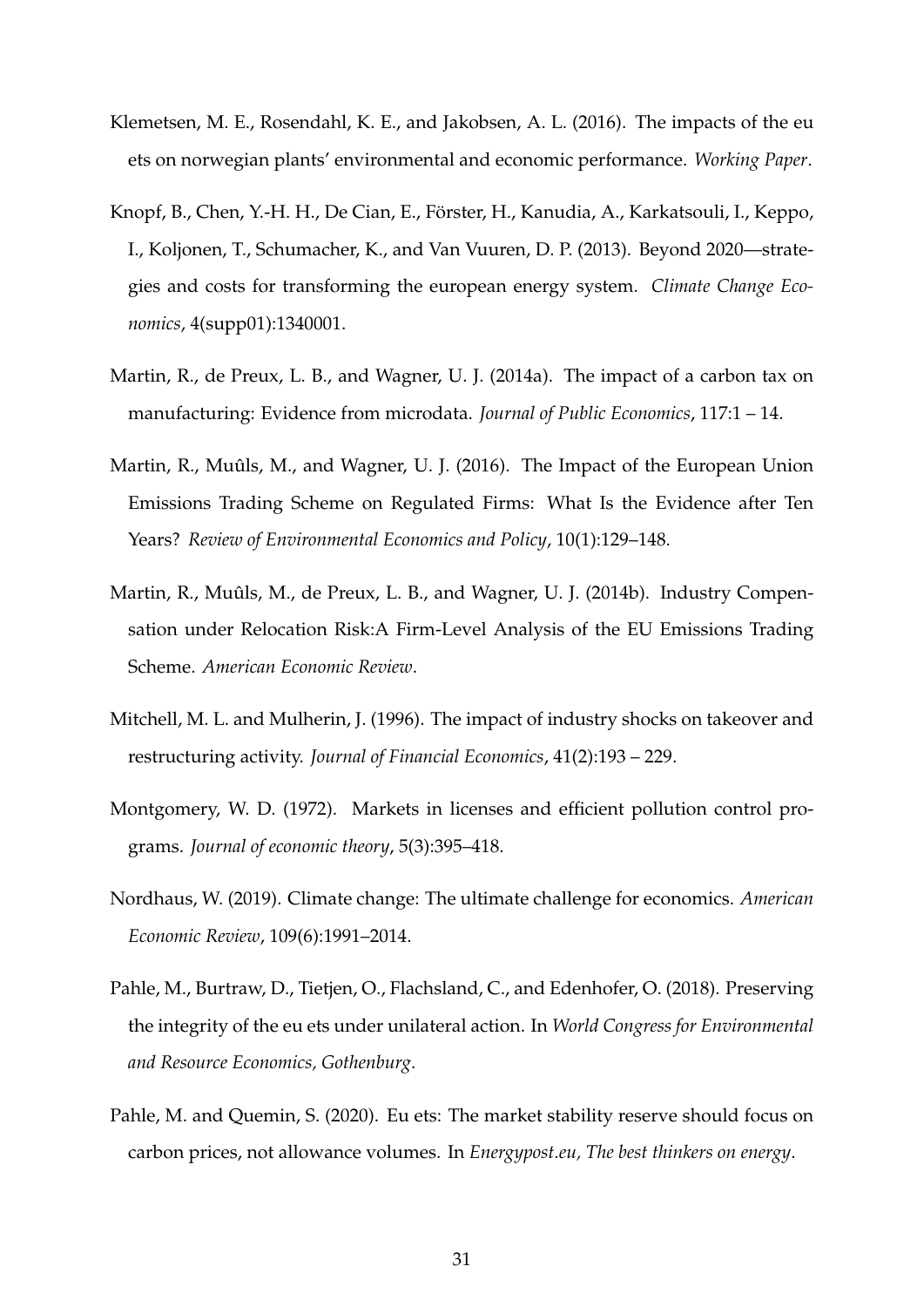- <span id="page-32-8"></span>Klemetsen, M. E., Rosendahl, K. E., and Jakobsen, A. L. (2016). The impacts of the eu ets on norwegian plants' environmental and economic performance. *Working Paper*.
- <span id="page-32-7"></span>Knopf, B., Chen, Y.-H. H., De Cian, E., Förster, H., Kanudia, A., Karkatsouli, I., Keppo, I., Koljonen, T., Schumacher, K., and Van Vuuren, D. P. (2013). Beyond 2020—strategies and costs for transforming the european energy system. *Climate Change Economics*, 4(supp01):1340001.
- <span id="page-32-5"></span>Martin, R., de Preux, L. B., and Wagner, U. J. (2014a). The impact of a carbon tax on manufacturing: Evidence from microdata. *Journal of Public Economics*, 117:1 – 14.
- <span id="page-32-2"></span>Martin, R., Muûls, M., and Wagner, U. J. (2016). The Impact of the European Union Emissions Trading Scheme on Regulated Firms: What Is the Evidence after Ten Years? *Review of Environmental Economics and Policy*, 10(1):129–148.
- <span id="page-32-3"></span>Martin, R., Muûls, M., de Preux, L. B., and Wagner, U. J. (2014b). Industry Compensation under Relocation Risk:A Firm-Level Analysis of the EU Emissions Trading Scheme. *American Economic Review*.
- <span id="page-32-6"></span>Mitchell, M. L. and Mulherin, J. (1996). The impact of industry shocks on takeover and restructuring activity. *Journal of Financial Economics*, 41(2):193 – 229.
- <span id="page-32-1"></span>Montgomery, W. D. (1972). Markets in licenses and efficient pollution control programs. *Journal of economic theory*, 5(3):395–418.
- <span id="page-32-0"></span>Nordhaus, W. (2019). Climate change: The ultimate challenge for economics. *American Economic Review*, 109(6):1991–2014.
- <span id="page-32-9"></span>Pahle, M., Burtraw, D., Tietjen, O., Flachsland, C., and Edenhofer, O. (2018). Preserving the integrity of the eu ets under unilateral action. In *World Congress for Environmental and Resource Economics, Gothenburg*.
- <span id="page-32-4"></span>Pahle, M. and Quemin, S. (2020). Eu ets: The market stability reserve should focus on carbon prices, not allowance volumes. In *Energypost.eu, The best thinkers on energy*.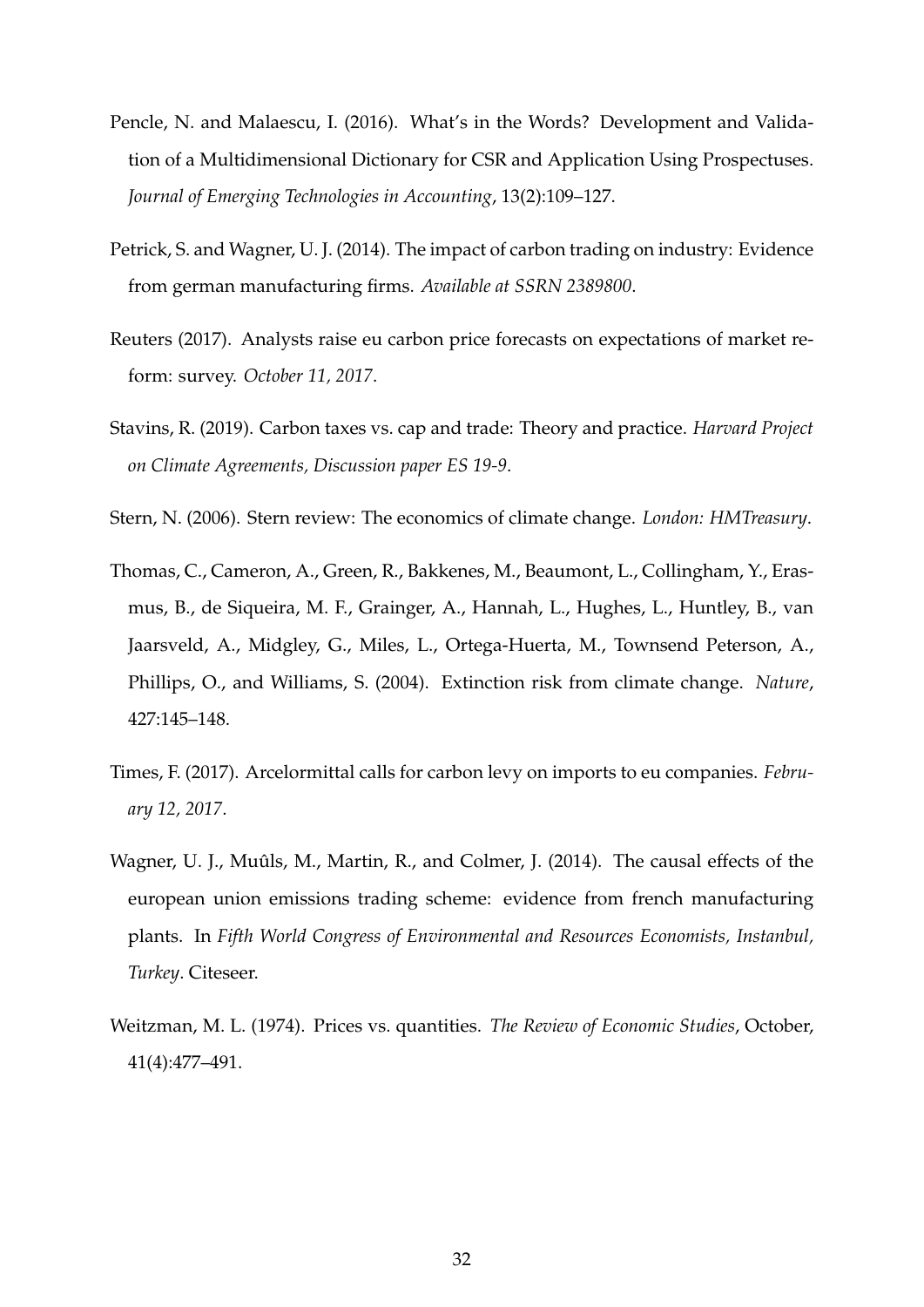- <span id="page-33-8"></span>Pencle, N. and Malaescu, I. (2016). What's in the Words? Development and Validation of a Multidimensional Dictionary for CSR and Application Using Prospectuses. *Journal of Emerging Technologies in Accounting*, 13(2):109–127.
- <span id="page-33-6"></span>Petrick, S. and Wagner, U. J. (2014). The impact of carbon trading on industry: Evidence from german manufacturing firms. *Available at SSRN 2389800*.
- <span id="page-33-2"></span>Reuters (2017). Analysts raise eu carbon price forecasts on expectations of market reform: survey. *October 11, 2017*.
- <span id="page-33-5"></span>Stavins, R. (2019). Carbon taxes vs. cap and trade: Theory and practice. *Harvard Project on Climate Agreements, Discussion paper ES 19-9*.
- <span id="page-33-1"></span>Stern, N. (2006). Stern review: The economics of climate change. *London: HMTreasury*.
- <span id="page-33-0"></span>Thomas, C., Cameron, A., Green, R., Bakkenes, M., Beaumont, L., Collingham, Y., Erasmus, B., de Siqueira, M. F., Grainger, A., Hannah, L., Hughes, L., Huntley, B., van Jaarsveld, A., Midgley, G., Miles, L., Ortega-Huerta, M., Townsend Peterson, A., Phillips, O., and Williams, S. (2004). Extinction risk from climate change. *Nature*, 427:145–148.
- <span id="page-33-3"></span>Times, F. (2017). Arcelormittal calls for carbon levy on imports to eu companies. *February 12, 2017*.
- <span id="page-33-7"></span>Wagner, U. J., Muûls, M., Martin, R., and Colmer, J. (2014). The causal effects of the european union emissions trading scheme: evidence from french manufacturing plants. In *Fifth World Congress of Environmental and Resources Economists, Instanbul, Turkey*. Citeseer.
- <span id="page-33-4"></span>Weitzman, M. L. (1974). Prices vs. quantities. *The Review of Economic Studies*, October, 41(4):477–491.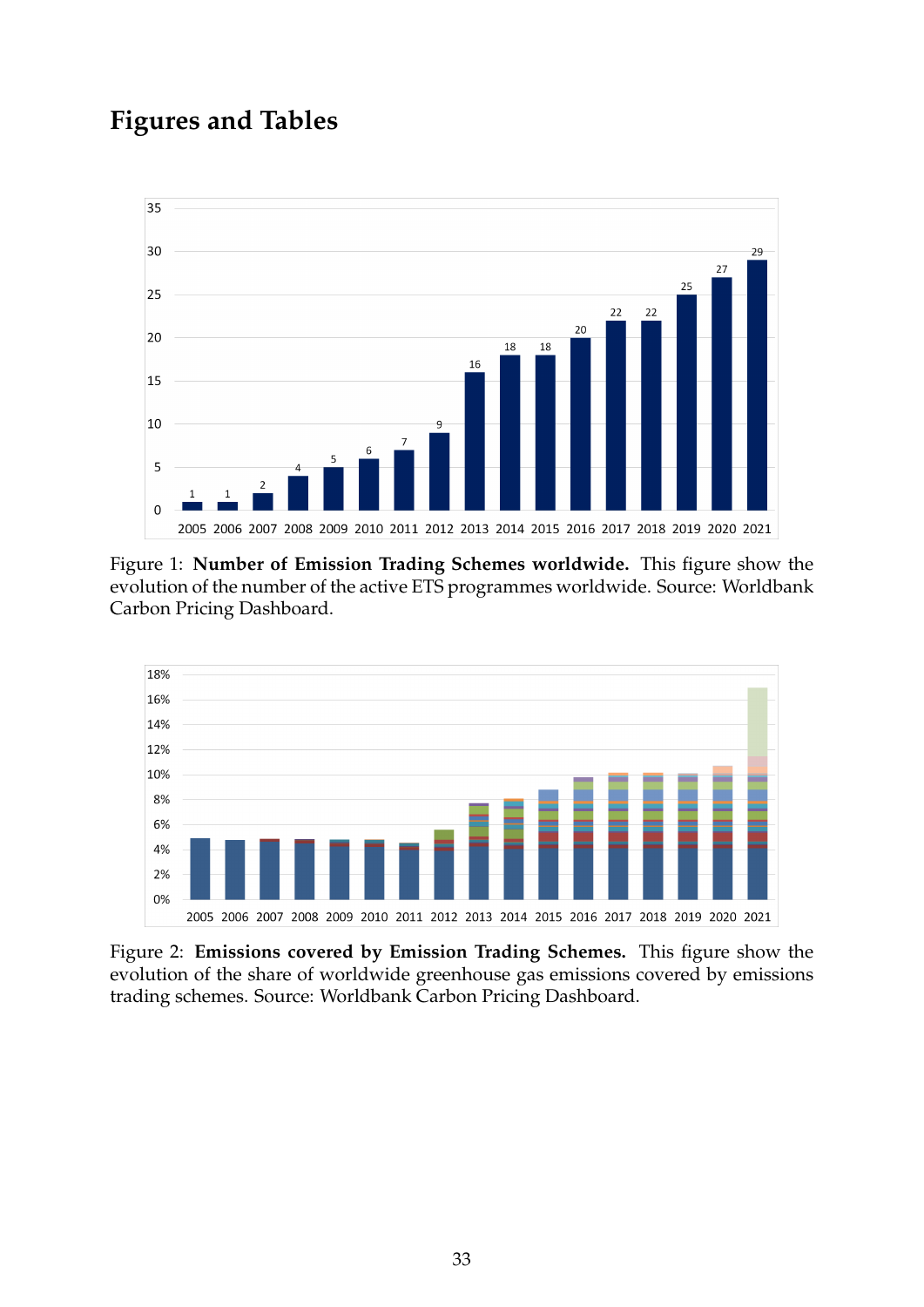# **Figures and Tables**

<span id="page-34-0"></span>

Figure 1: **Number of Emission Trading Schemes worldwide.** This figure show the evolution of the number of the active ETS programmes worldwide. Source: Worldbank Carbon Pricing Dashboard.

<span id="page-34-1"></span>

Figure 2: **Emissions covered by Emission Trading Schemes.** This figure show the evolution of the share of worldwide greenhouse gas emissions covered by emissions trading schemes. Source: Worldbank Carbon Pricing Dashboard.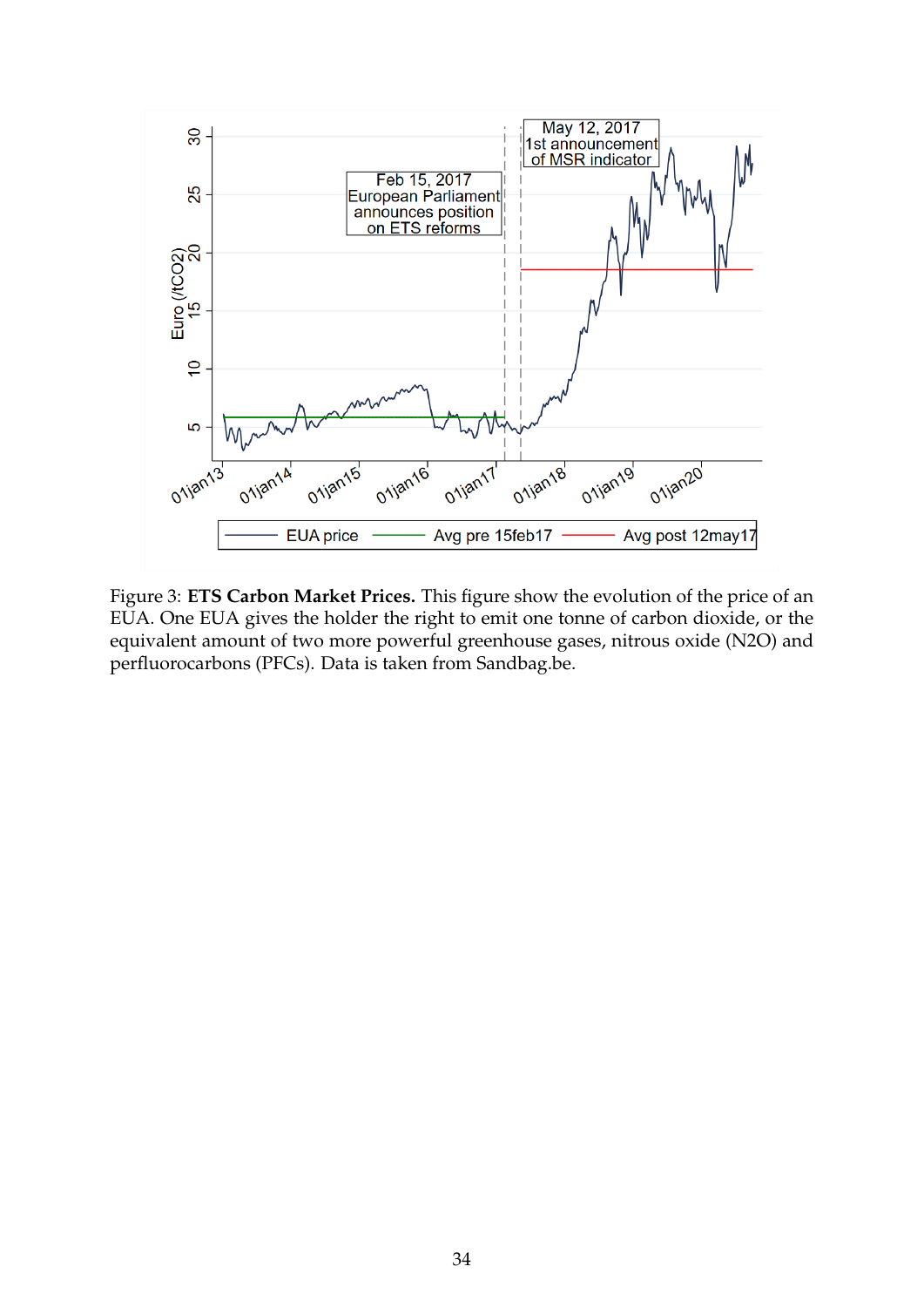<span id="page-35-0"></span>

Figure 3: **ETS Carbon Market Prices.** This figure show the evolution of the price of an EUA. One EUA gives the holder the right to emit one tonne of carbon dioxide, or the equivalent amount of two more powerful greenhouse gases, nitrous oxide (N2O) and perfluorocarbons (PFCs). Data is taken from Sandbag.be.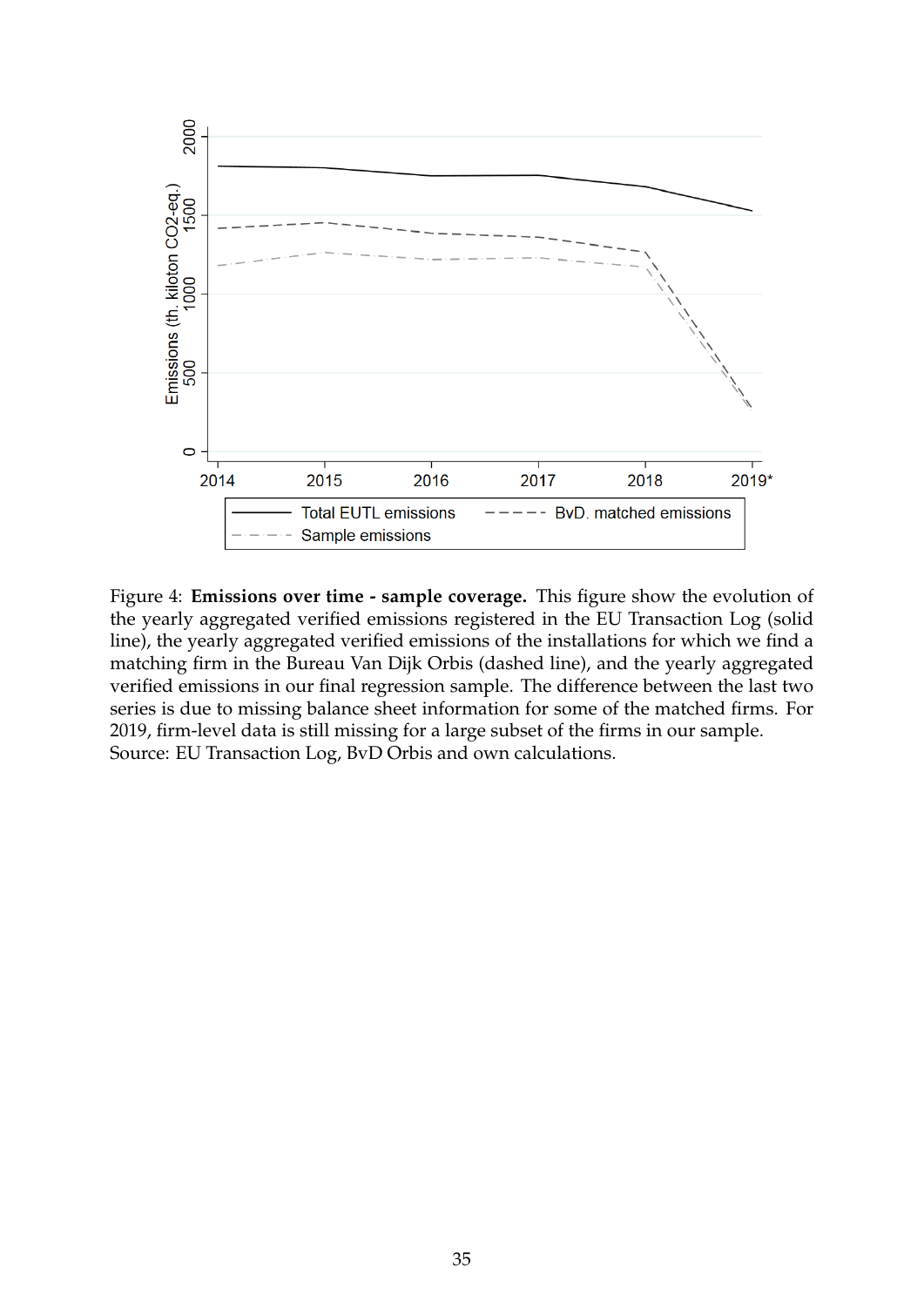<span id="page-36-0"></span>

Figure 4: **Emissions over time - sample coverage.** This figure show the evolution of the yearly aggregated verified emissions registered in the EU Transaction Log (solid line), the yearly aggregated verified emissions of the installations for which we find a matching firm in the Bureau Van Dijk Orbis (dashed line), and the yearly aggregated verified emissions in our final regression sample. The difference between the last two series is due to missing balance sheet information for some of the matched firms. For 2019, firm-level data is still missing for a large subset of the firms in our sample. Source: EU Transaction Log, BvD Orbis and own calculations.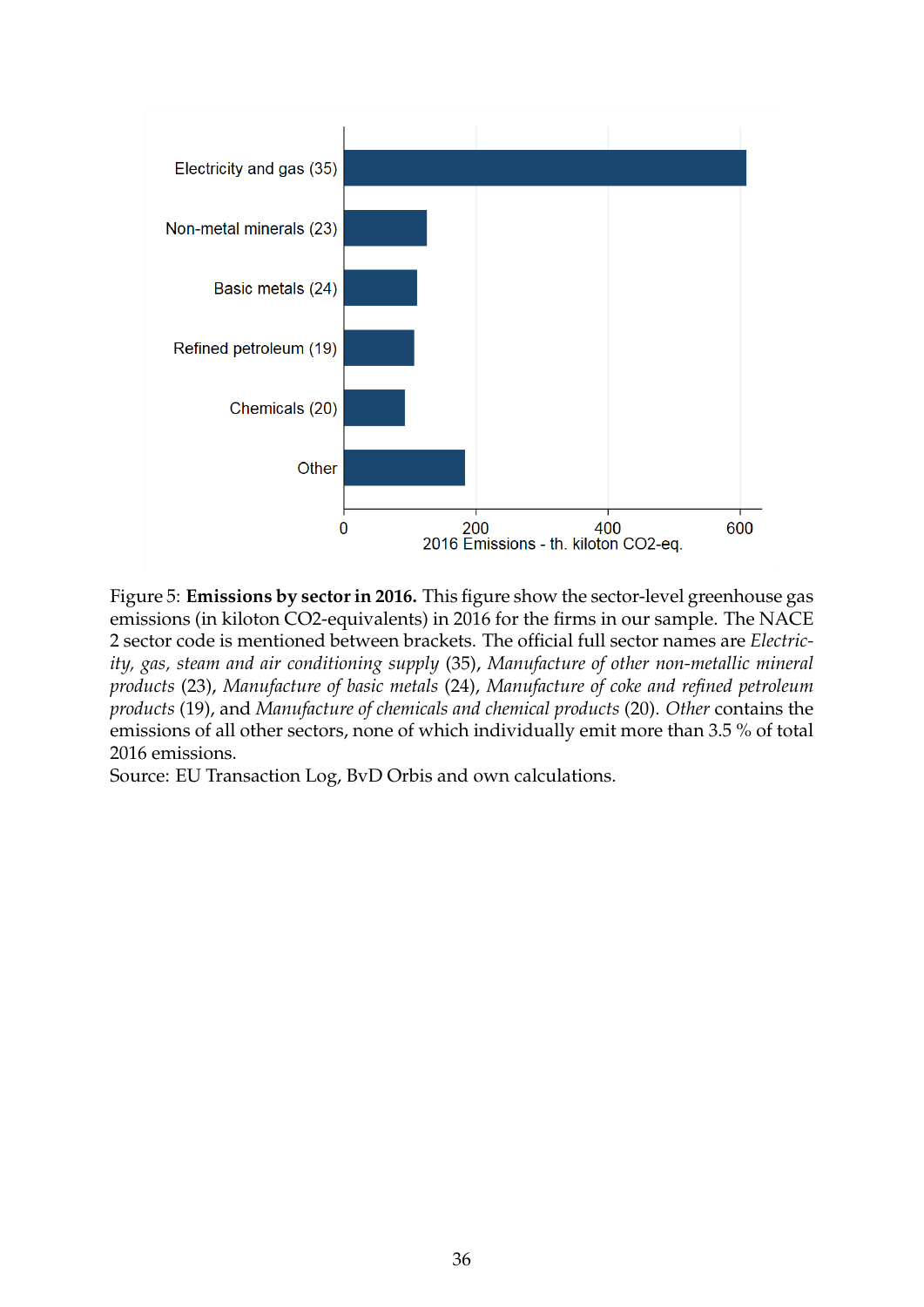<span id="page-37-0"></span>

Figure 5: **Emissions by sector in 2016.** This figure show the sector-level greenhouse gas emissions (in kiloton CO2-equivalents) in 2016 for the firms in our sample. The NACE 2 sector code is mentioned between brackets. The official full sector names are *Electricity, gas, steam and air conditioning supply* (35), *Manufacture of other non-metallic mineral products* (23), *Manufacture of basic metals* (24), *Manufacture of coke and refined petroleum products* (19), and *Manufacture of chemicals and chemical products* (20). *Other* contains the emissions of all other sectors, none of which individually emit more than 3.5 % of total 2016 emissions.

Source: EU Transaction Log, BvD Orbis and own calculations.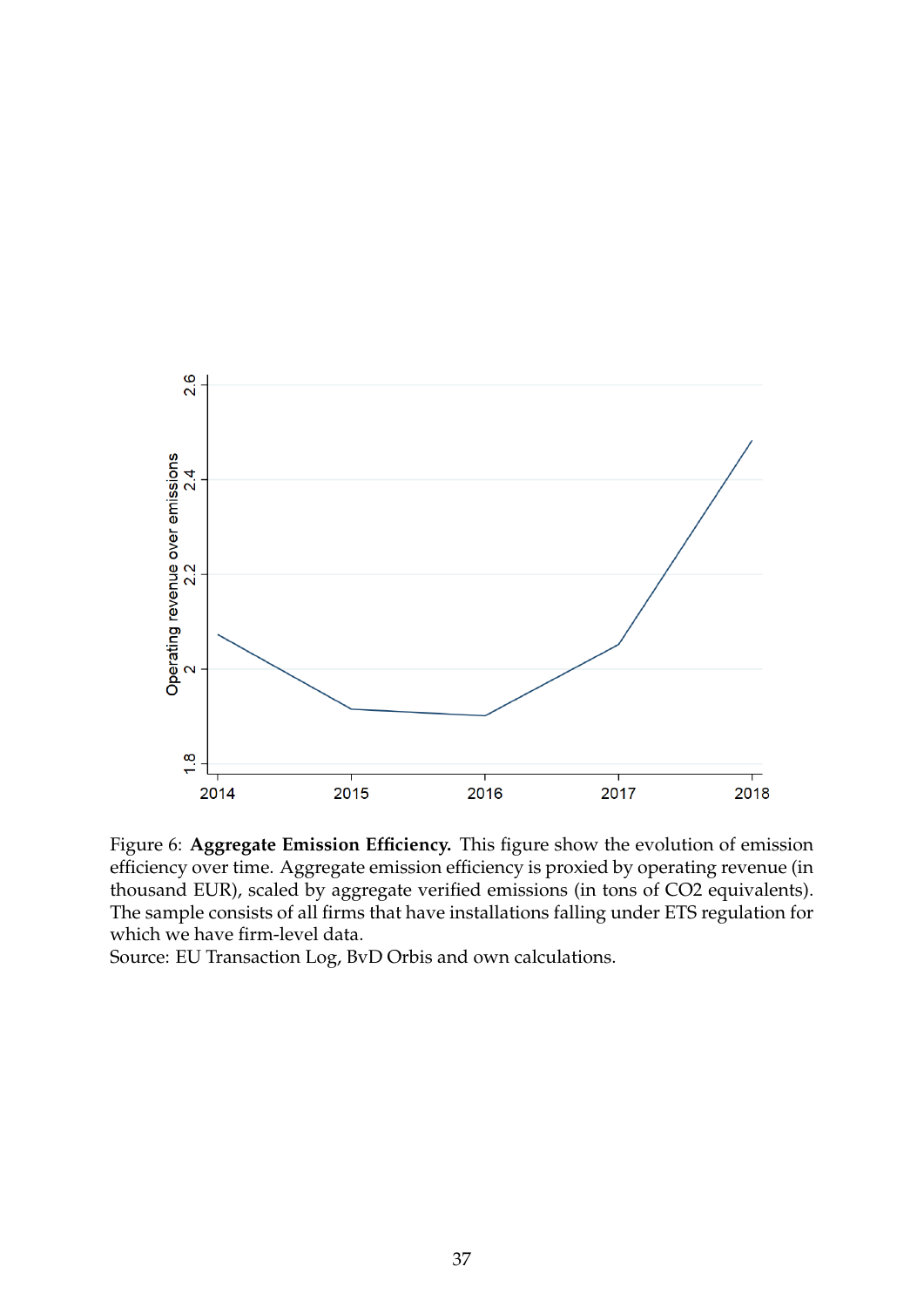<span id="page-38-0"></span>

Figure 6: **Aggregate Emission Efficiency.** This figure show the evolution of emission efficiency over time. Aggregate emission efficiency is proxied by operating revenue (in thousand EUR), scaled by aggregate verified emissions (in tons of CO2 equivalents). The sample consists of all firms that have installations falling under ETS regulation for which we have firm-level data.

Source: EU Transaction Log, BvD Orbis and own calculations.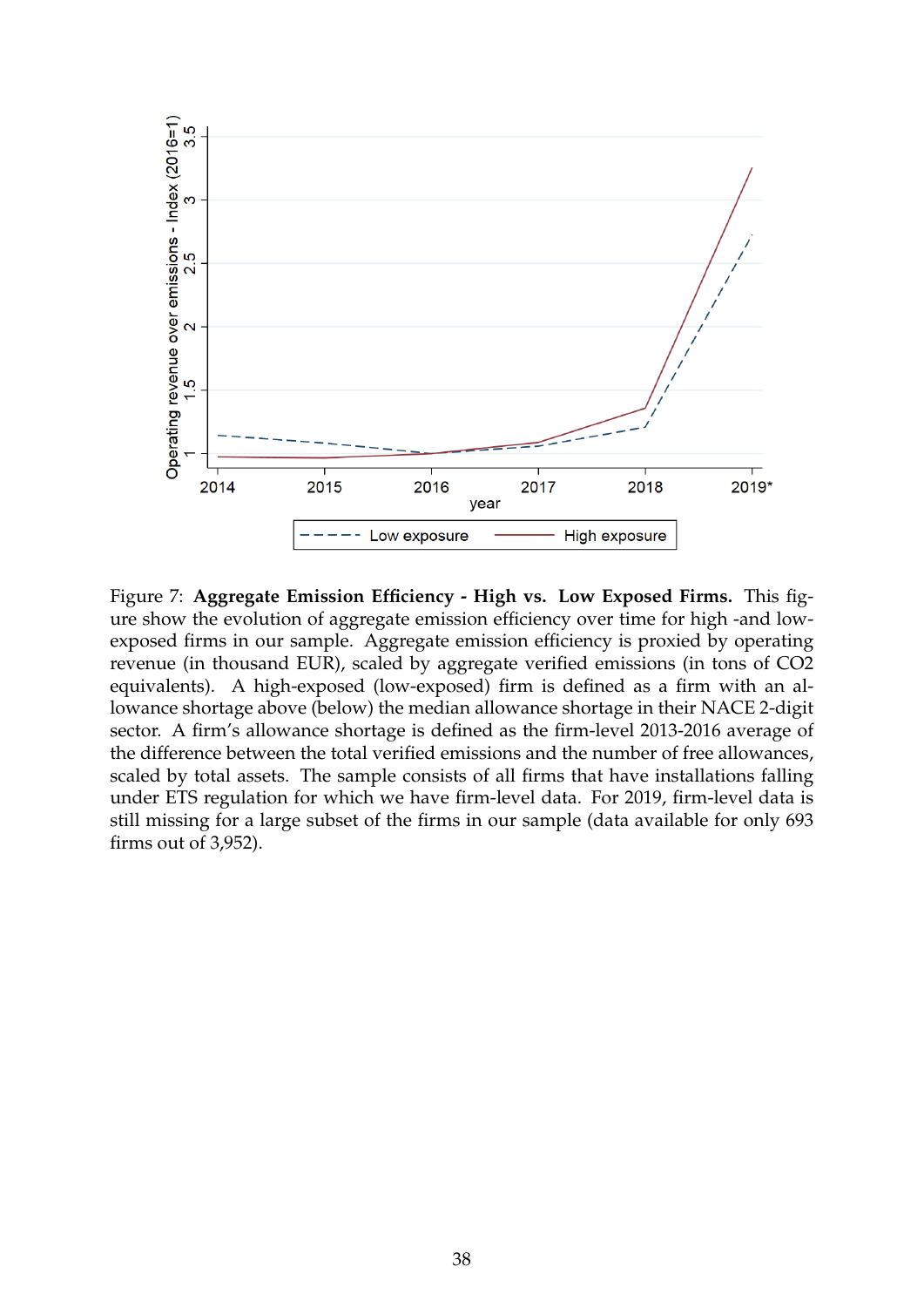

Figure 7: **Aggregate Emission Efficiency - High vs. Low Exposed Firms.** This figure show the evolution of aggregate emission efficiency over time for high -and lowexposed firms in our sample. Aggregate emission efficiency is proxied by operating revenue (in thousand EUR), scaled by aggregate verified emissions (in tons of CO2 equivalents). A high-exposed (low-exposed) firm is defined as a firm with an allowance shortage above (below) the median allowance shortage in their NACE 2-digit sector. A firm's allowance shortage is defined as the firm-level 2013-2016 average of the difference between the total verified emissions and the number of free allowances, scaled by total assets. The sample consists of all firms that have installations falling under ETS regulation for which we have firm-level data. For 2019, firm-level data is still missing for a large subset of the firms in our sample (data available for only 693 firms out of 3,952).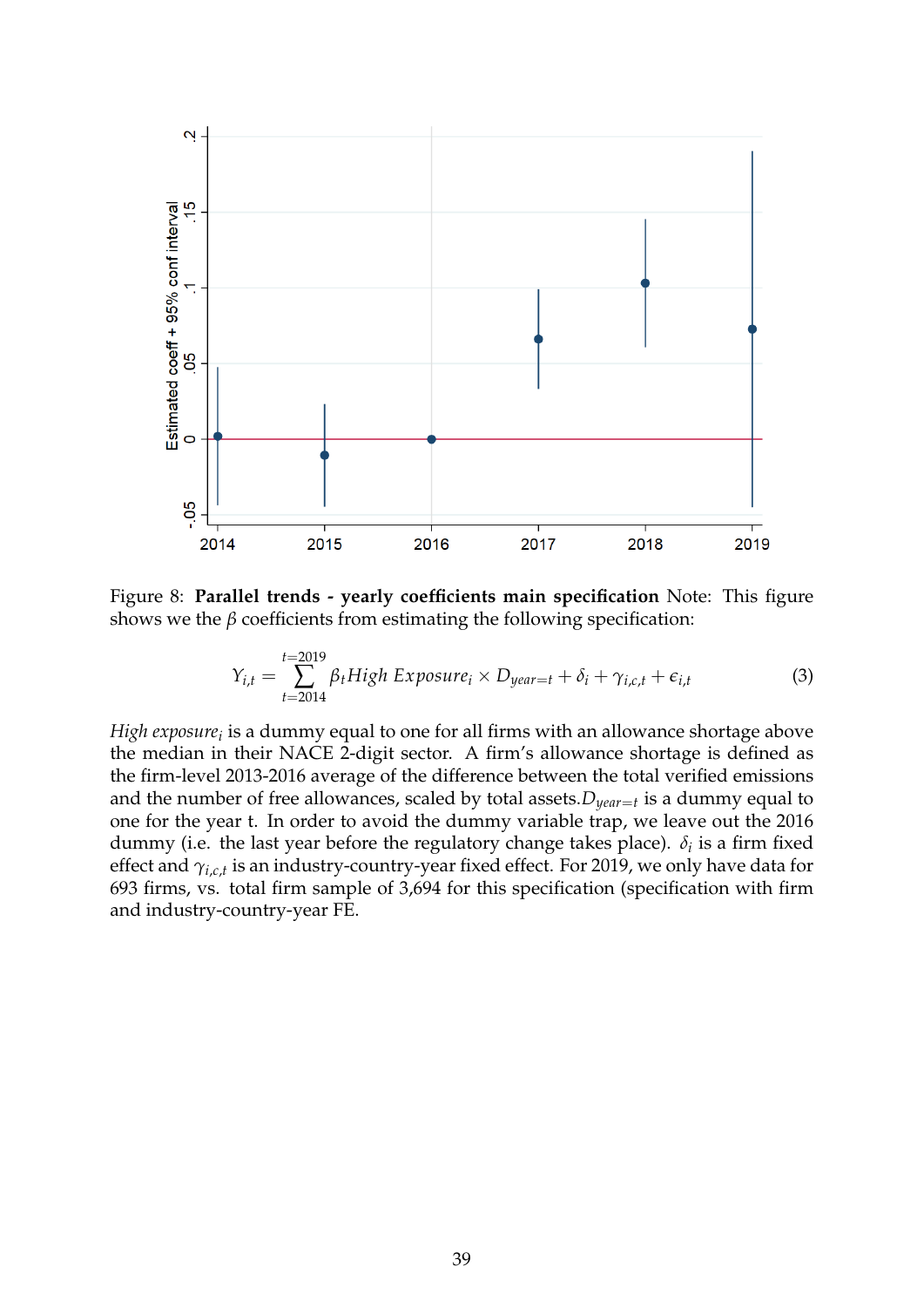

Figure 8: **Parallel trends - yearly coefficients main specification** Note: This figure shows we the  $\beta$  coefficients from estimating the following specification:

<span id="page-40-0"></span>
$$
Y_{i,t} = \sum_{t=2014}^{t=2019} \beta_t High\ Exposure_i \times D_{year=t} + \delta_i + \gamma_{i,c,t} + \epsilon_{i,t}
$$
 (3)

*High exposure<sub>i</sub>* is a dummy equal to one for all firms with an allowance shortage above the median in their NACE 2-digit sector. A firm's allowance shortage is defined as the firm-level 2013-2016 average of the difference between the total verified emissions and the number of free allowances, scaled by total assets.*Dyear*=*<sup>t</sup>* is a dummy equal to one for the year t. In order to avoid the dummy variable trap, we leave out the 2016 dummy (i.e. the last year before the regulatory change takes place).  $\delta_i$  is a firm fixed effect and *γi*,*c*,*<sup>t</sup>* is an industry-country-year fixed effect. For 2019, we only have data for 693 firms, vs. total firm sample of 3,694 for this specification (specification with firm and industry-country-year FE.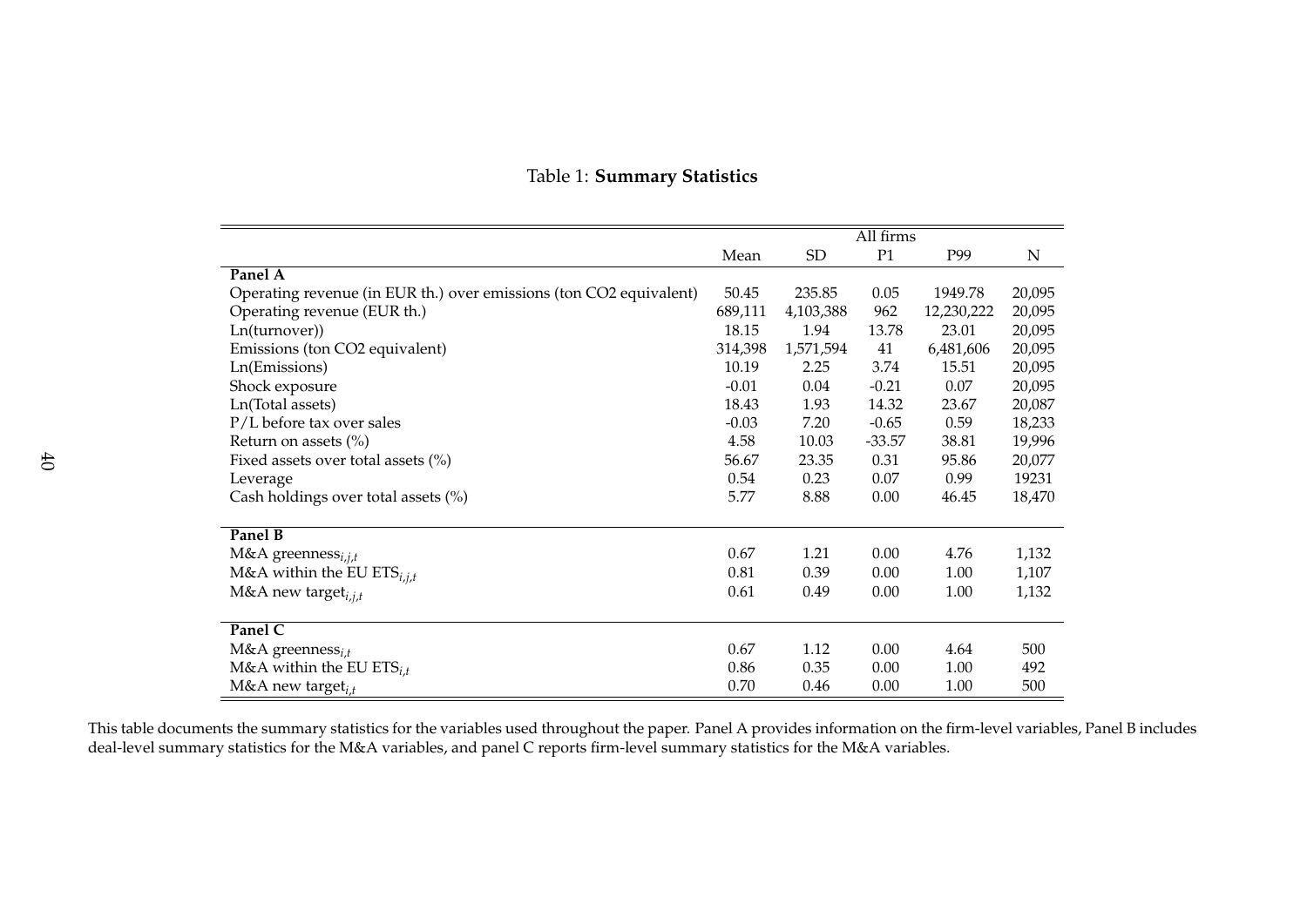|                                                                    | All firms |           |          |            |             |
|--------------------------------------------------------------------|-----------|-----------|----------|------------|-------------|
|                                                                    | Mean      | <b>SD</b> | P1       | P99        | $\mathbf N$ |
| Panel A                                                            |           |           |          |            |             |
| Operating revenue (in EUR th.) over emissions (ton CO2 equivalent) | 50.45     | 235.85    | 0.05     | 1949.78    | 20,095      |
| Operating revenue (EUR th.)                                        | 689,111   | 4,103,388 | 962      | 12,230,222 | 20,095      |
| Ln(turnover))                                                      | 18.15     | 1.94      | 13.78    | 23.01      | 20,095      |
| Emissions (ton CO2 equivalent)                                     | 314,398   | 1,571,594 | 41       | 6,481,606  | 20,095      |
| Ln(Emissions)                                                      | 10.19     | 2.25      | 3.74     | 15.51      | 20,095      |
| Shock exposure                                                     | $-0.01$   | 0.04      | $-0.21$  | 0.07       | 20,095      |
| Ln(Total assets)                                                   | 18.43     | 1.93      | 14.32    | 23.67      | 20,087      |
| P/L before tax over sales                                          | $-0.03$   | 7.20      | $-0.65$  | 0.59       | 18,233      |
| Return on assets $(\% )$                                           | 4.58      | 10.03     | $-33.57$ | 38.81      | 19,996      |
| Fixed assets over total assets $(\%)$                              | 56.67     | 23.35     | 0.31     | 95.86      | 20,077      |
| Leverage                                                           | 0.54      | 0.23      | 0.07     | 0.99       | 19231       |
| Cash holdings over total assets (%)                                | 5.77      | 8.88      | 0.00     | 46.45      | 18,470      |
|                                                                    |           |           |          |            |             |
| Panel B                                                            |           |           |          |            |             |
| M&A greenness $_{i,j,t}$                                           | 0.67      | 1.21      | 0.00     | 4.76       | 1,132       |
| M&A within the EU ETS $_{i,j,t}$                                   | 0.81      | 0.39      | 0.00     | 1.00       | 1,107       |
| M&A new target $_{i,j,t}$                                          | 0.61      | 0.49      | 0.00     | 1.00       | 1,132       |
|                                                                    |           |           |          |            |             |
| Panel C                                                            |           |           |          |            |             |
| $M&A$ greenness <sub>i.t</sub>                                     | 0.67      | 1.12      | 0.00     | 4.64       | 500         |
| M&A within the EU $ETS_{i,t}$                                      | 0.86      | 0.35      | 0.00     | 1.00       | 492         |
| M&A new target $_{i,t}$                                            | 0.70      | 0.46      | 0.00     | 1.00       | 500         |

### <span id="page-41-0"></span>Table 1: **Summary Statistics**

This table documents the summary statistics for the variables used throughout the paper. Panel <sup>A</sup> provides information on the firm-level variables, Panel <sup>B</sup> includes deal-level summary statistics for the M&A variables, and panel C reports firm-level summary statistics for the M&A variables.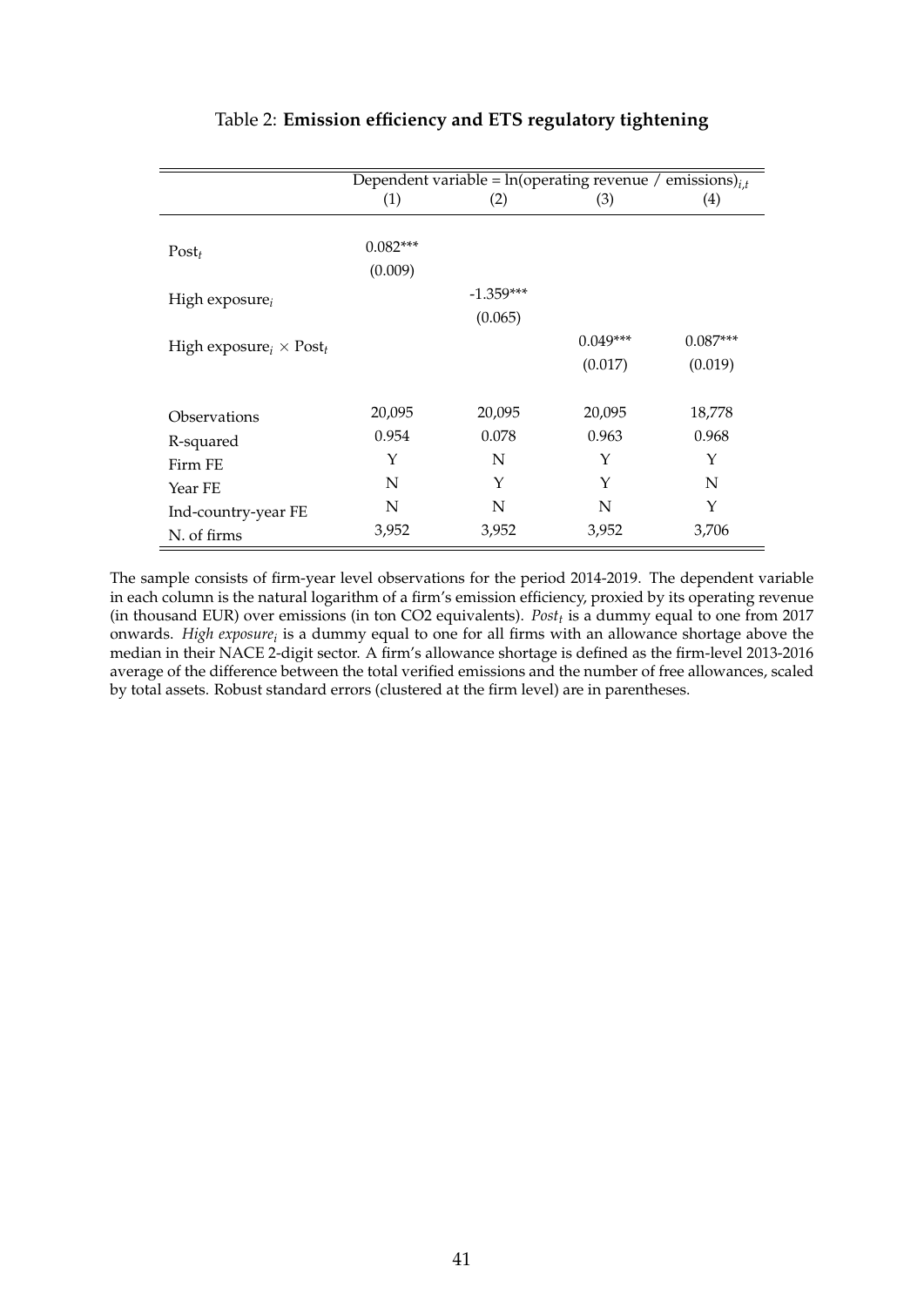<span id="page-42-0"></span>

|                                  | Dependent variable = $ln(\text{operating revenue / emissions})_{i,t}$ |             |            |            |  |  |
|----------------------------------|-----------------------------------------------------------------------|-------------|------------|------------|--|--|
|                                  | (1)                                                                   | (2)         | (3)        | (4)        |  |  |
| $Post_t$                         | $0.082***$<br>(0.009)                                                 |             |            |            |  |  |
| High exposure $_i$               |                                                                       | $-1.359***$ |            |            |  |  |
|                                  |                                                                       | (0.065)     |            |            |  |  |
| High exposure $_i \times Post_t$ |                                                                       |             | $0.049***$ | $0.087***$ |  |  |
|                                  |                                                                       |             | (0.017)    | (0.019)    |  |  |
| Observations                     | 20,095                                                                | 20,095      | 20,095     | 18,778     |  |  |
| R-squared                        | 0.954                                                                 | 0.078       | 0.963      | 0.968      |  |  |
| Firm FE                          | Y                                                                     | N           | Υ          | Y          |  |  |
| Year FE                          | $\mathbf N$                                                           | Y           | Y          | N          |  |  |
| Ind-country-year FE              | N                                                                     | N           | N          | Y          |  |  |
| N. of firms                      | 3,952                                                                 | 3,952       | 3,952      | 3,706      |  |  |

# Table 2: **Emission efficiency and ETS regulatory tightening**

The sample consists of firm-year level observations for the period 2014-2019. The dependent variable in each column is the natural logarithm of a firm's emission efficiency, proxied by its operating revenue (in thousand EUR) over emissions (in ton CO2 equivalents). *Post<sup>t</sup>* is a dummy equal to one from 2017 onwards. *High exposure<sup>i</sup>* is a dummy equal to one for all firms with an allowance shortage above the median in their NACE 2-digit sector. A firm's allowance shortage is defined as the firm-level 2013-2016 average of the difference between the total verified emissions and the number of free allowances, scaled by total assets. Robust standard errors (clustered at the firm level) are in parentheses.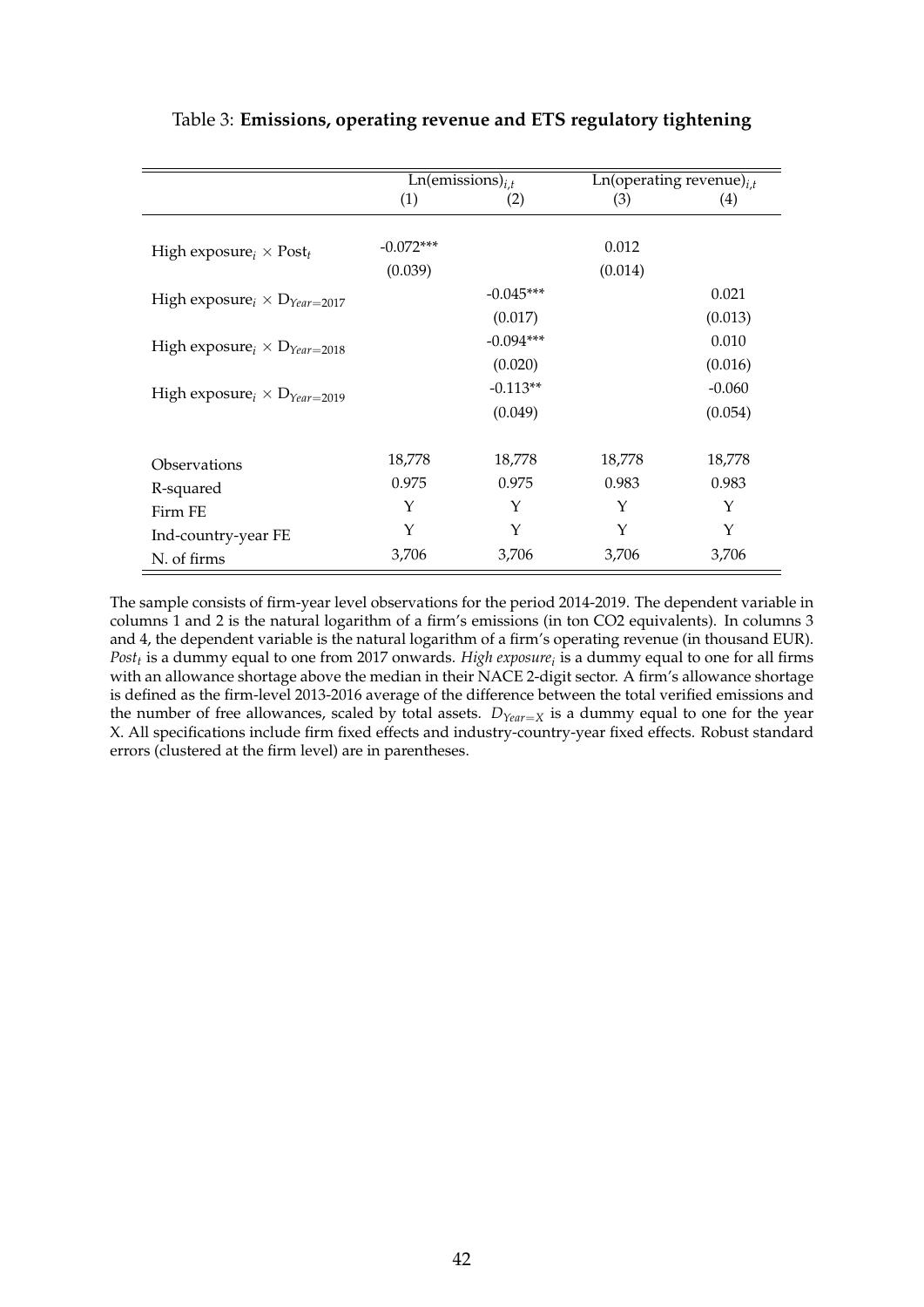|                                        |             | $\overline{\text{Ln}(\text{emissions})_{i,t}}$ | Ln(operating revenue) $_{i,t}$ |          |  |
|----------------------------------------|-------------|------------------------------------------------|--------------------------------|----------|--|
|                                        | (1)         | (2)                                            | (3)                            | (4)      |  |
|                                        |             |                                                |                                |          |  |
| High exposure $_i \times Post_t$       | $-0.072***$ |                                                | 0.012                          |          |  |
|                                        | (0.039)     |                                                | (0.014)                        |          |  |
| High exposure $\chi$ $D_{Year=2017}$   |             | $-0.045***$                                    |                                | 0.021    |  |
|                                        |             | (0.017)                                        |                                | (0.013)  |  |
| High exposure $\times D_{Year=2018}$   |             | $-0.094***$                                    |                                | 0.010    |  |
|                                        |             | (0.020)                                        |                                | (0.016)  |  |
| High exposure $\chi \to D_{Year=2019}$ |             | $-0.113**$                                     |                                | $-0.060$ |  |
|                                        |             | (0.049)                                        |                                | (0.054)  |  |
|                                        |             |                                                |                                |          |  |
| Observations                           | 18,778      | 18,778                                         | 18,778                         | 18,778   |  |
| R-squared                              | 0.975       | 0.975                                          | 0.983                          | 0.983    |  |
| Firm FE                                | Υ           | Υ                                              | Y                              | Y        |  |
| Ind-country-year FE                    | Y           | Y                                              | Y                              | Y        |  |
| N. of firms                            | 3,706       | 3,706                                          | 3,706                          | 3,706    |  |

# <span id="page-43-0"></span>Table 3: **Emissions, operating revenue and ETS regulatory tightening**

The sample consists of firm-year level observations for the period 2014-2019. The dependent variable in columns 1 and 2 is the natural logarithm of a firm's emissions (in ton CO2 equivalents). In columns 3 and 4, the dependent variable is the natural logarithm of a firm's operating revenue (in thousand EUR). *Post<sup>t</sup>* is a dummy equal to one from 2017 onwards. *High exposure<sup>i</sup>* is a dummy equal to one for all firms with an allowance shortage above the median in their NACE 2-digit sector. A firm's allowance shortage is defined as the firm-level 2013-2016 average of the difference between the total verified emissions and the number of free allowances, scaled by total assets.  $D_{Year=X}$  is a dummy equal to one for the year X. All specifications include firm fixed effects and industry-country-year fixed effects. Robust standard errors (clustered at the firm level) are in parentheses.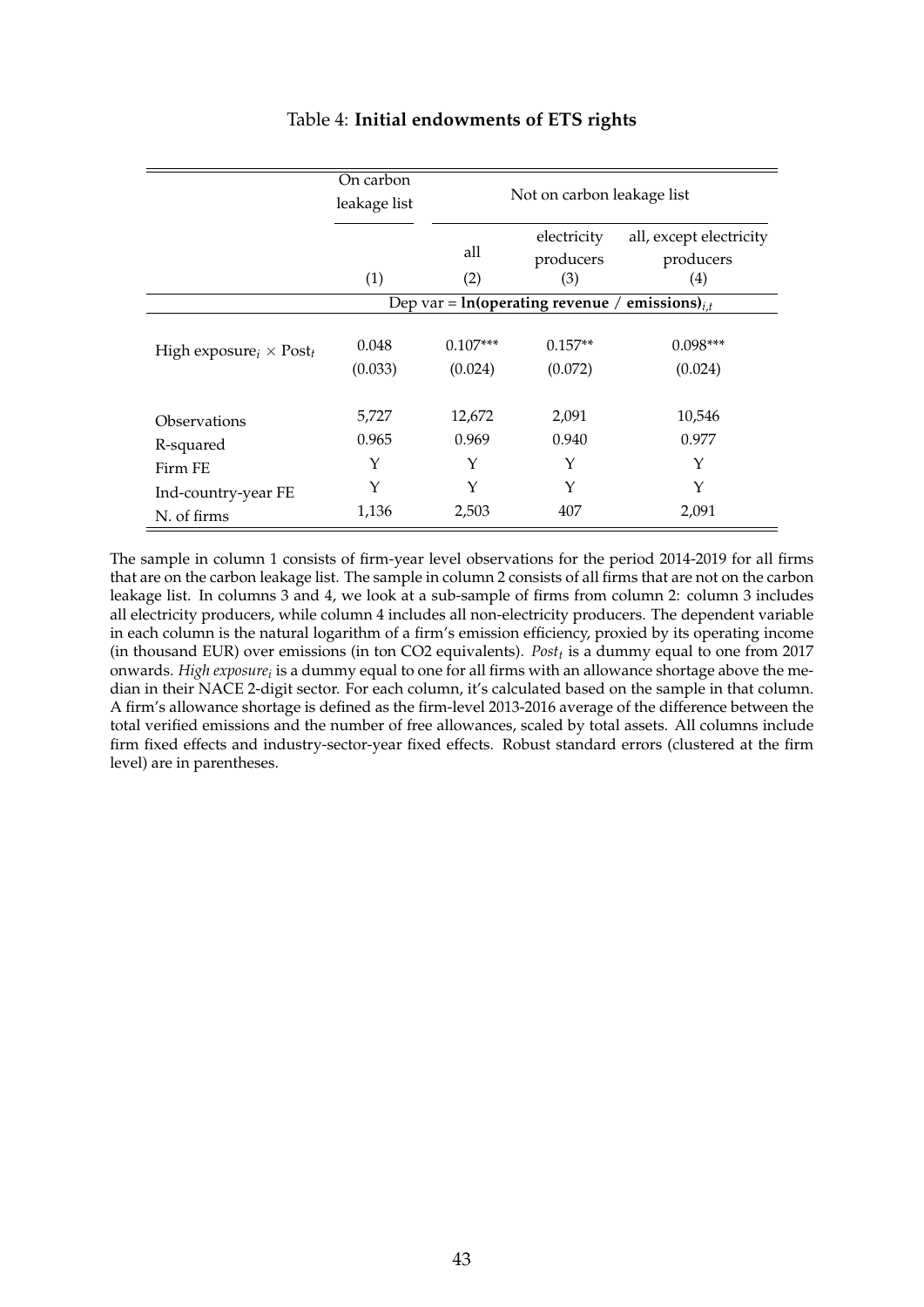<span id="page-44-0"></span>

|                                  | On carbon<br>leakage list | Not on carbon leakage list |                                                     |                                      |  |
|----------------------------------|---------------------------|----------------------------|-----------------------------------------------------|--------------------------------------|--|
|                                  |                           | all                        | electricity<br>producers                            | all, except electricity<br>producers |  |
|                                  | (1)                       | (2)                        | (3)                                                 | $\left( 4\right)$                    |  |
|                                  |                           |                            | Dep var = $ln(operating revenue / emissions)_{i,t}$ |                                      |  |
| High exposure $_i \times Post_t$ | 0.048<br>(0.033)          | $0.107***$<br>(0.024)      | $0.157**$<br>(0.072)                                | $0.098***$<br>(0.024)                |  |
| Observations                     | 5,727                     | 12,672                     | 2,091                                               | 10,546                               |  |
| R-squared                        | 0.965                     | 0.969                      | 0.940                                               | 0.977                                |  |
| Firm FE                          | Y                         | Y                          | Y                                                   | Y                                    |  |
| Ind-country-year FE              | Y                         | Y                          | Y                                                   | Y                                    |  |
| N. of firms                      | 1,136                     | 2,503                      | 407                                                 | 2,091                                |  |

# Table 4: **Initial endowments of ETS rights**

The sample in column 1 consists of firm-year level observations for the period 2014-2019 for all firms that are on the carbon leakage list. The sample in column 2 consists of all firms that are not on the carbon leakage list. In columns 3 and 4, we look at a sub-sample of firms from column 2: column 3 includes all electricity producers, while column 4 includes all non-electricity producers. The dependent variable in each column is the natural logarithm of a firm's emission efficiency, proxied by its operating income (in thousand EUR) over emissions (in ton CO2 equivalents). *Post<sup>t</sup>* is a dummy equal to one from 2017 onwards. *High exposure<sup>i</sup>* is a dummy equal to one for all firms with an allowance shortage above the median in their NACE 2-digit sector. For each column, it's calculated based on the sample in that column. A firm's allowance shortage is defined as the firm-level 2013-2016 average of the difference between the total verified emissions and the number of free allowances, scaled by total assets. All columns include firm fixed effects and industry-sector-year fixed effects. Robust standard errors (clustered at the firm level) are in parentheses.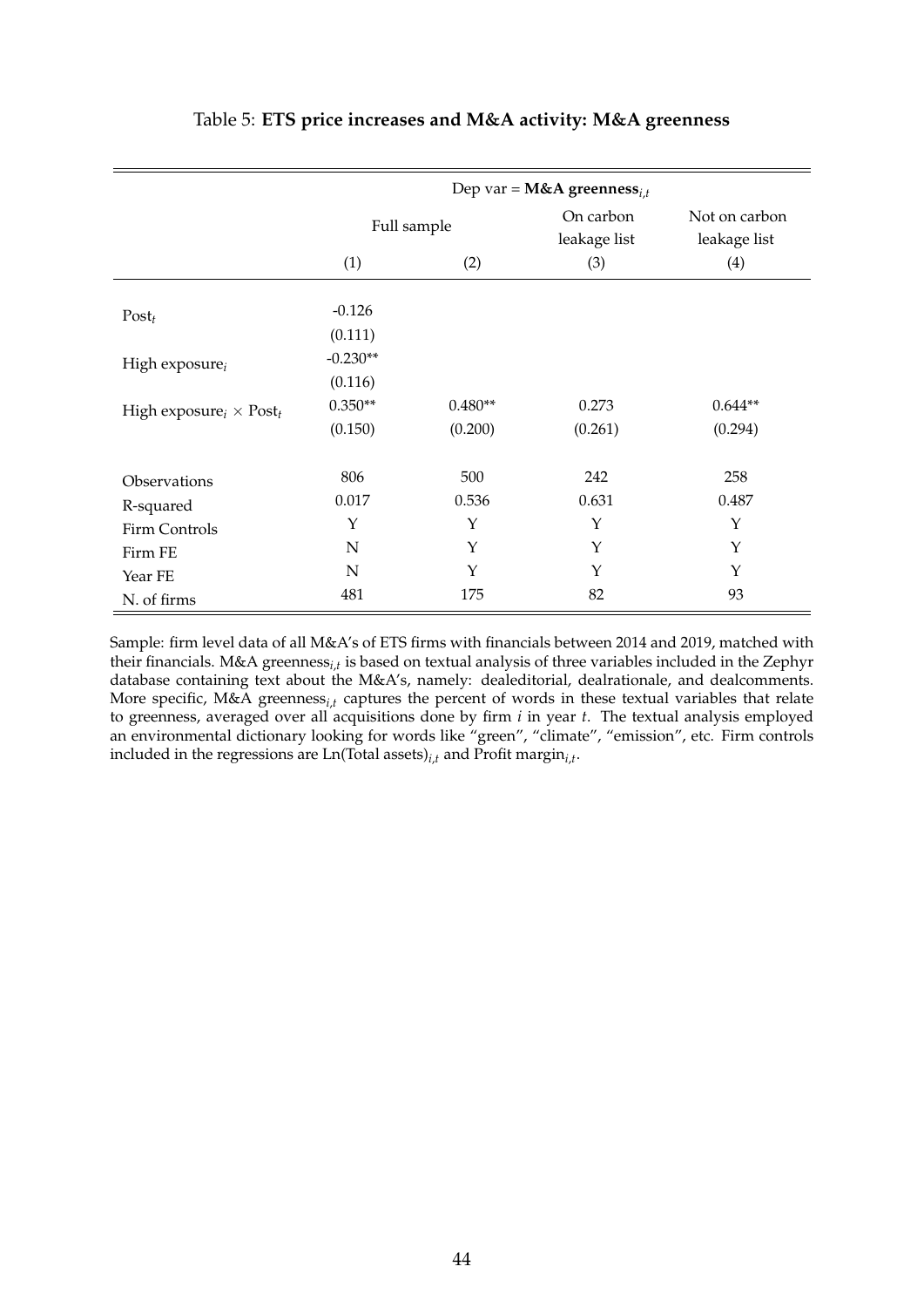<span id="page-45-0"></span>

|                                  | Dep var = <b>M&amp;A</b> greenness <sub>i.t</sub> |                      |                           |                               |  |
|----------------------------------|---------------------------------------------------|----------------------|---------------------------|-------------------------------|--|
|                                  | Full sample                                       |                      | On carbon<br>leakage list | Not on carbon<br>leakage list |  |
|                                  | (1)                                               | (2)                  | (3)                       | (4)                           |  |
| $Post_t$                         | $-0.126$                                          |                      |                           |                               |  |
| High exposure $_i$               | (0.111)<br>$-0.230**$<br>(0.116)                  |                      |                           |                               |  |
| High exposure $_i \times Post_t$ | $0.350**$<br>(0.150)                              | $0.480**$<br>(0.200) | 0.273<br>(0.261)          | $0.644**$<br>(0.294)          |  |
| Observations                     | 806                                               | 500                  | 242                       | 258                           |  |
| R-squared                        | 0.017                                             | 0.536                | 0.631                     | 0.487                         |  |
| Firm Controls                    | Υ                                                 | Υ                    | Y                         | Y                             |  |
| Firm FE                          | N                                                 | Υ                    | Y                         | Y                             |  |
| Year FE                          | $\mathbf N$                                       | Υ                    | Y                         | Y                             |  |
| N. of firms                      | 481                                               | 175                  | 82                        | 93                            |  |

# Table 5: **ETS price increases and M&A activity: M&A greenness**

Sample: firm level data of all M&A's of ETS firms with financials between 2014 and 2019, matched with their financials. M&A greenness*i*,*<sup>t</sup>* is based on textual analysis of three variables included in the Zephyr database containing text about the M&A's, namely: dealeditorial, dealrationale, and dealcomments. More specific, M&A greenness*i*,*<sup>t</sup>* captures the percent of words in these textual variables that relate to greenness, averaged over all acquisitions done by firm *i* in year *t*. The textual analysis employed an environmental dictionary looking for words like "green", "climate", "emission", etc. Firm controls included in the regressions are Ln(Total assets)*i*,*<sup>t</sup>* and Profit margin*i*,*<sup>t</sup>* .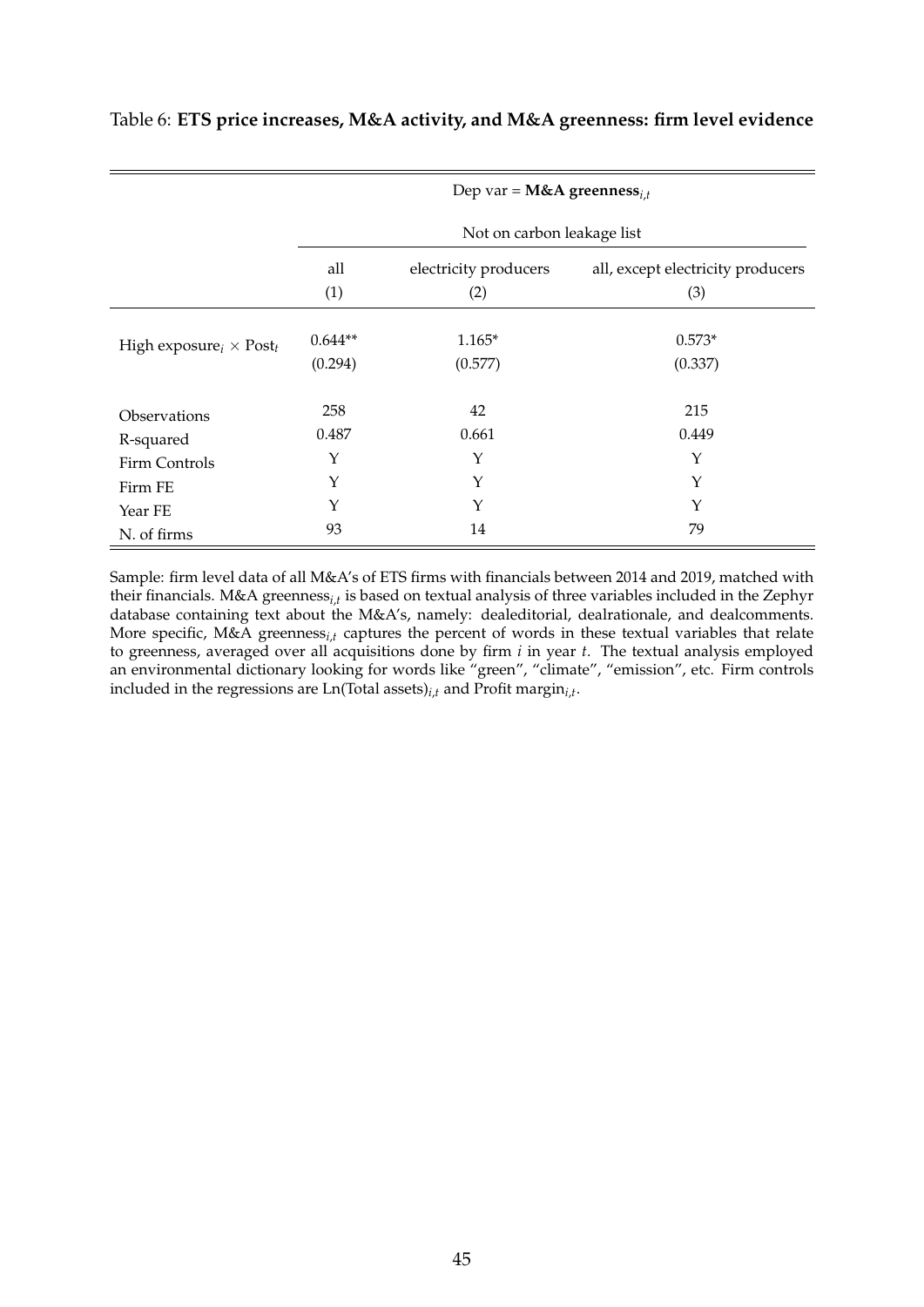|                                  | Dep var = <b>M&amp;A</b> greenness <sub>i.t</sub> |                            |                                   |  |  |  |  |  |
|----------------------------------|---------------------------------------------------|----------------------------|-----------------------------------|--|--|--|--|--|
|                                  |                                                   | Not on carbon leakage list |                                   |  |  |  |  |  |
|                                  | all                                               | electricity producers      | all, except electricity producers |  |  |  |  |  |
|                                  | (1)                                               | (2)                        | (3)                               |  |  |  |  |  |
| High exposure $_i \times Post_t$ | $0.644**$<br>(0.294)                              | $1.165*$<br>(0.577)        | $0.573*$<br>(0.337)               |  |  |  |  |  |
| Observations                     | 258                                               | 42                         | 215                               |  |  |  |  |  |
| R-squared                        | 0.487                                             | 0.661                      | 0.449                             |  |  |  |  |  |
| Firm Controls                    | Y                                                 | Υ                          | Y                                 |  |  |  |  |  |
| Firm FE                          | Y                                                 | Υ                          | Y                                 |  |  |  |  |  |
| Year FE                          | Y                                                 | Y                          | Y                                 |  |  |  |  |  |
| N. of firms                      | 93                                                | 14                         | 79                                |  |  |  |  |  |

# <span id="page-46-0"></span>Table 6: **ETS price increases, M&A activity, and M&A greenness: firm level evidence**

Sample: firm level data of all M&A's of ETS firms with financials between 2014 and 2019, matched with their financials. M&A greenness*i*,*<sup>t</sup>* is based on textual analysis of three variables included in the Zephyr database containing text about the M&A's, namely: dealeditorial, dealrationale, and dealcomments. More specific, M&A greenness*i*,*<sup>t</sup>* captures the percent of words in these textual variables that relate to greenness, averaged over all acquisitions done by firm *i* in year *t*. The textual analysis employed an environmental dictionary looking for words like "green", "climate", "emission", etc. Firm controls included in the regressions are Ln(Total assets)*i*,*<sup>t</sup>* and Profit margin*i*,*<sup>t</sup>* .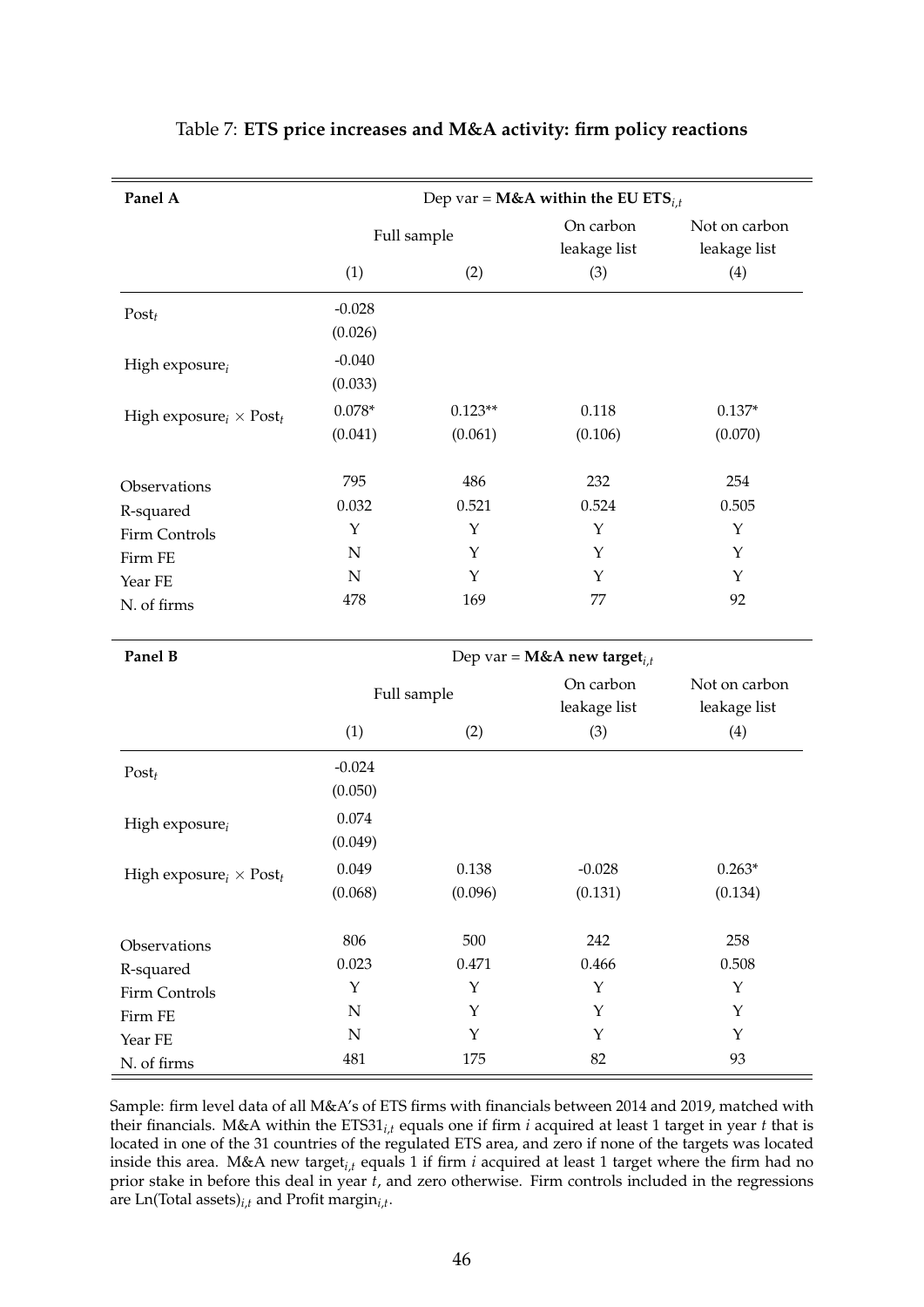<span id="page-47-0"></span>

| Panel A                          | Dep var = M&A within the EU ETS <sub>i,t</sub> |             |                                           |                               |  |
|----------------------------------|------------------------------------------------|-------------|-------------------------------------------|-------------------------------|--|
|                                  |                                                | Full sample | On carbon<br>leakage list                 | Not on carbon<br>leakage list |  |
|                                  | (1)                                            | (2)         | (3)                                       | (4)                           |  |
| $Post_t$                         | $-0.028$                                       |             |                                           |                               |  |
|                                  | (0.026)                                        |             |                                           |                               |  |
| High exposure $_i$               | $-0.040$                                       |             |                                           |                               |  |
|                                  | (0.033)                                        |             |                                           |                               |  |
| High exposure $_i \times Post_t$ | $0.078*$                                       | $0.123**$   | 0.118                                     | $0.137*$                      |  |
|                                  | (0.041)                                        | (0.061)     | (0.106)                                   | (0.070)                       |  |
| Observations                     | 795                                            | 486         | 232                                       | 254                           |  |
| R-squared                        | 0.032                                          | 0.521       | 0.524                                     | 0.505                         |  |
| Firm Controls                    | Y                                              | Y           | Y                                         | Υ                             |  |
| Firm FE                          | $\mathbf N$                                    | Y           | Y                                         | Υ                             |  |
| Year FE                          | $\mathbf N$                                    | Υ           | Y                                         | Υ                             |  |
| N. of firms                      | 478                                            | 169         | 77                                        | 92                            |  |
| Panel B                          |                                                |             | Dep var = $M&A$ new target <sub>i,t</sub> |                               |  |
|                                  |                                                | Full sample | On carbon                                 | Not on carbon                 |  |
|                                  |                                                |             | leakage list                              | leakage list                  |  |
|                                  | (1)                                            | (2)         | (3)                                       | (4)                           |  |
| $Post_t$                         | $-0.024$                                       |             |                                           |                               |  |
|                                  | (0.050)                                        |             |                                           |                               |  |
| High exposure $_i$               | 0.074                                          |             |                                           |                               |  |
|                                  | (0.049)                                        |             |                                           |                               |  |
| High exposure $_i \times Post_t$ | 0.049                                          | 0.138       | $-0.028$                                  | $0.263*$                      |  |
|                                  | (0.068)                                        | (0.096)     | (0.131)                                   | (0.134)                       |  |
| Observations                     | 806                                            | 500         | 242                                       | 258                           |  |
| R-squared                        | 0.023                                          | 0.471       | 0.466                                     | 0.508                         |  |
| Firm Controls                    | $\mathbf Y$                                    | $\mathbf Y$ | $\mathbf Y$                               | $\mathbf Y$                   |  |
| Firm FE                          | $\mathbb N$                                    | Y           | Y                                         | Y                             |  |
| Year FE                          | ${\bf N}$                                      | Y           | Y                                         | $\mathbf Y$                   |  |
| N. of firms                      | 481                                            | 175         | 82                                        | 93                            |  |

# Table 7: **ETS price increases and M&A activity: firm policy reactions**

Sample: firm level data of all M&A's of ETS firms with financials between 2014 and 2019, matched with their financials. M&A within the ETS31*i*,*<sup>t</sup>* equals one if firm *i* acquired at least 1 target in year *t* that is located in one of the 31 countries of the regulated ETS area, and zero if none of the targets was located inside this area. M&A new target*i*,*<sup>t</sup>* equals 1 if firm *i* acquired at least 1 target where the firm had no prior stake in before this deal in year *t*, and zero otherwise. Firm controls included in the regressions are Ln(Total assets)*i*,*<sup>t</sup>* and Profit margin*i*,*<sup>t</sup>* .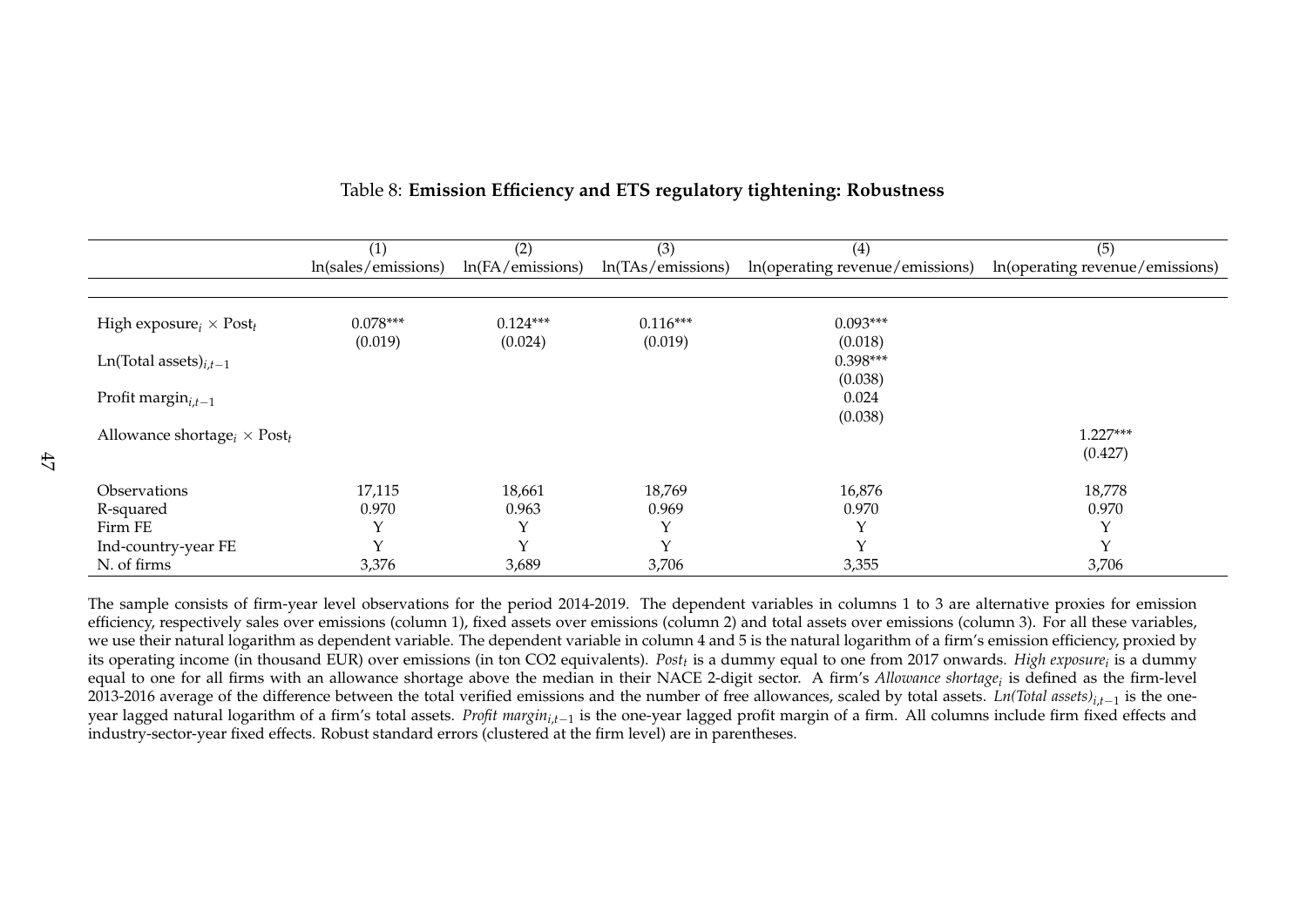|                                       | (1)                 | (2)              | (3)               | (4)                             | (5)                             |
|---------------------------------------|---------------------|------------------|-------------------|---------------------------------|---------------------------------|
|                                       | ln(sales/emissions) | ln(FA/emissions) | ln(TAs/emissions) | In(operating revenue/emissions) | In(operating revenue/emissions) |
|                                       |                     |                  |                   |                                 |                                 |
| High exposure $_i \times Post_t$      | $0.078***$          | $0.124***$       | $0.116***$        | $0.093***$                      |                                 |
| Ln(Total assets) $_{i,t-1}$           | (0.019)             | (0.024)          | (0.019)           | (0.018)<br>$0.398***$           |                                 |
| Profit margin $_{i,t-1}$              |                     |                  |                   | (0.038)<br>0.024                |                                 |
|                                       |                     |                  |                   | (0.038)                         |                                 |
| Allowance shortage $_i \times Post_t$ |                     |                  |                   |                                 | $1.227***$                      |
|                                       |                     |                  |                   |                                 | (0.427)                         |
| <b>Observations</b>                   | 17,115              | 18,661           | 18,769            | 16,876                          | 18,778                          |
| R-squared                             | 0.970               | 0.963            | 0.969             | 0.970                           | 0.970                           |
| Firm FE                               |                     |                  | $\mathsf{v}$      | $\checkmark$                    | $\check{ }$                     |
| Ind-country-year FE                   |                     | $\vee$           | $\vee$            | $\checkmark$                    | $\checkmark$                    |
| N. of firms                           | 3,376               | 3,689            | 3,706             | 3,355                           | 3,706                           |

# Table 8: **Emission Efficiency and ETS regulatory tightening: Robustness**

<span id="page-48-0"></span>The sample consists of firm-year level observations for the period 2014-2019. The dependent variables in columns <sup>1</sup> to 3 are alternative proxies for emission efficiency, respectively sales over emissions (column 1), fixed assets over emissions (column 2) and total assets over emissions (column 3). For all these variables, we use their natural logarithm as dependent variable. The dependent variable in column <sup>4</sup> and 5 is the natural logarithm of <sup>a</sup> firm's emission efficiency, proxied by its operating income (in thousand EUR) over emissions (in ton CO2 equivalents). *Post<sup>t</sup>* is <sup>a</sup> dummy equa<sup>l</sup> to one from <sup>2017</sup> onwards. *High exposure<sup>i</sup>* is <sup>a</sup> dummy equal to one for all firms with an allowance shortage above the median in their NACE 2-digit sector. <sup>A</sup> firm's *Allowance shortage<sup>i</sup>* is defined as the firm-level 2013-2016 average of the difference between the total verified emissions and the number of free allowances, scaled by total assets. *Ln(Total assets)<sup>i</sup>*,*t*−<sup>1</sup> is the oneyear lagged natural logarithm of a firm's total assets. *Profit margin<sub>i,t−1</sub>* is the one-year lagged profit margin of a firm. All columns include firm fixed effects and industry-sector-year fixed effects. Robust standard errors (clustered at the firm level) are in parentheses.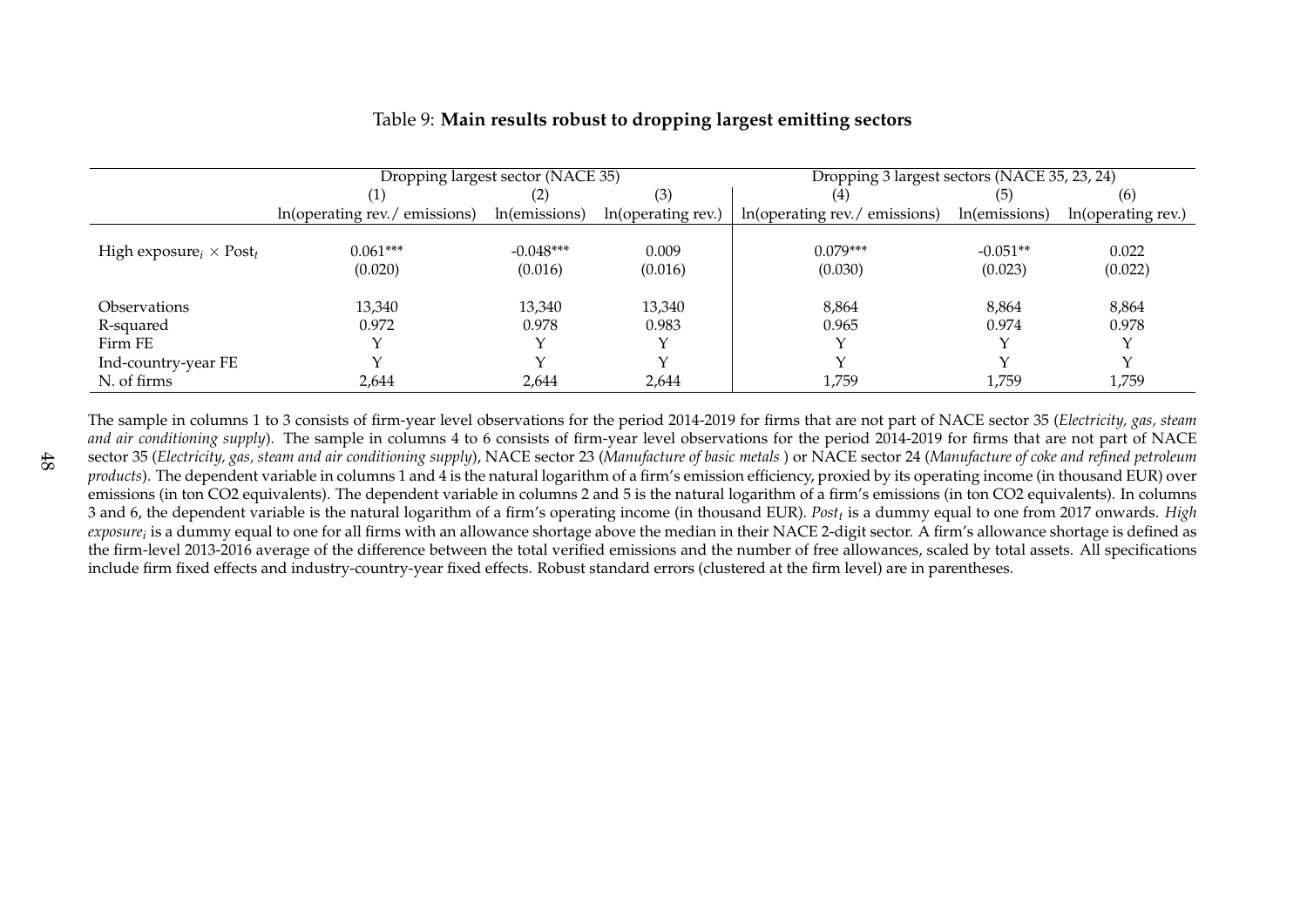|                                  | Dropping largest sector (NACE 35)             |               |                    | Dropping 3 largest sectors (NACE 35, 23, 24) |               |                    |  |
|----------------------------------|-----------------------------------------------|---------------|--------------------|----------------------------------------------|---------------|--------------------|--|
|                                  | (3)<br>$\left( 2\right)$                      |               | (4)                |                                              | (6)           |                    |  |
|                                  | $ln(\text{operating rev.}/\text{ emissions})$ | ln(emissions) | In(operating rev.) | In(operating rev./emissions)                 | ln(emissions) | In(operating rev.) |  |
|                                  |                                               |               |                    |                                              |               |                    |  |
| High exposure $_i \times Post_t$ | $0.061***$                                    | $-0.048***$   | 0.009              | $0.079***$                                   | $-0.051**$    | 0.022              |  |
|                                  | (0.020)                                       | (0.016)       | (0.016)            | (0.030)                                      | (0.023)       | (0.022)            |  |
|                                  |                                               |               |                    |                                              |               |                    |  |
| <i><b>Observations</b></i>       | 13,340                                        | 13,340        | 13,340             | 8,864                                        | 8,864         | 8,864              |  |
| R-squared                        | 0.972                                         | 0.978         | 0.983              | 0.965                                        | 0.974         | 0.978              |  |
| Firm FE                          |                                               |               |                    |                                              |               |                    |  |
| Ind-country-year FE              |                                               |               |                    |                                              |               |                    |  |
| N. of firms                      | 2,644                                         | 2,644         | 2,644              | 1,759                                        | 1,759         | 1,759              |  |

# Table 9: **Main results robust to dropping largest emitting sectors**

<span id="page-49-0"></span>The sample in columns <sup>1</sup> to <sup>3</sup> consists of firm-year level observations for the period 2014-2019 for firms that are not par<sup>t</sup> of NACE sector <sup>35</sup> (*Electricity, gas, steam and air conditioning supply*). The sample in columns <sup>4</sup> to <sup>6</sup> consists of firm-year level observations for the period 2014-2019 for firms that are not par<sup>t</sup> of NACEsector 35 (Electricity, gas, steam and air conditioning supply), NACE sector 23 (Manufacture of basic metals ) or NACE sector 24 (Manufacture of coke and refined petroleum *products*). The dependent variable in columns <sup>1</sup> and <sup>4</sup> is the natural logarithm of <sup>a</sup> firm's emission efficiency, proxied by its operating income (in thousand EUR) over emissions (in ton CO2 equivalents). The dependent variable in columns <sup>2</sup> and 5 is the natural logarithm of <sup>a</sup> firm's emissions (in ton CO2 equivalents). In columns 3 and 6, the dependent variable is the natural logarithm of <sup>a</sup> firm's operating income (in thousand EUR). *Post<sup>t</sup>* is <sup>a</sup> dummy equa<sup>l</sup> to one from <sup>2017</sup> onwards. *High exposurei* is <sup>a</sup> dummy equa<sup>l</sup> to one for all firms with an allowance shortage above the median in their NACE 2-digit sector. <sup>A</sup> firm's allowance shortage is defined as the firm-level 2013-2016 average of the difference between the total verified emissions and the number of free allowances, scaled by total assets. All specificationsinclude firm fixed effects and industry-country-year fixed effects. Robust standard errors (clustered at the firm level) are in parentheses.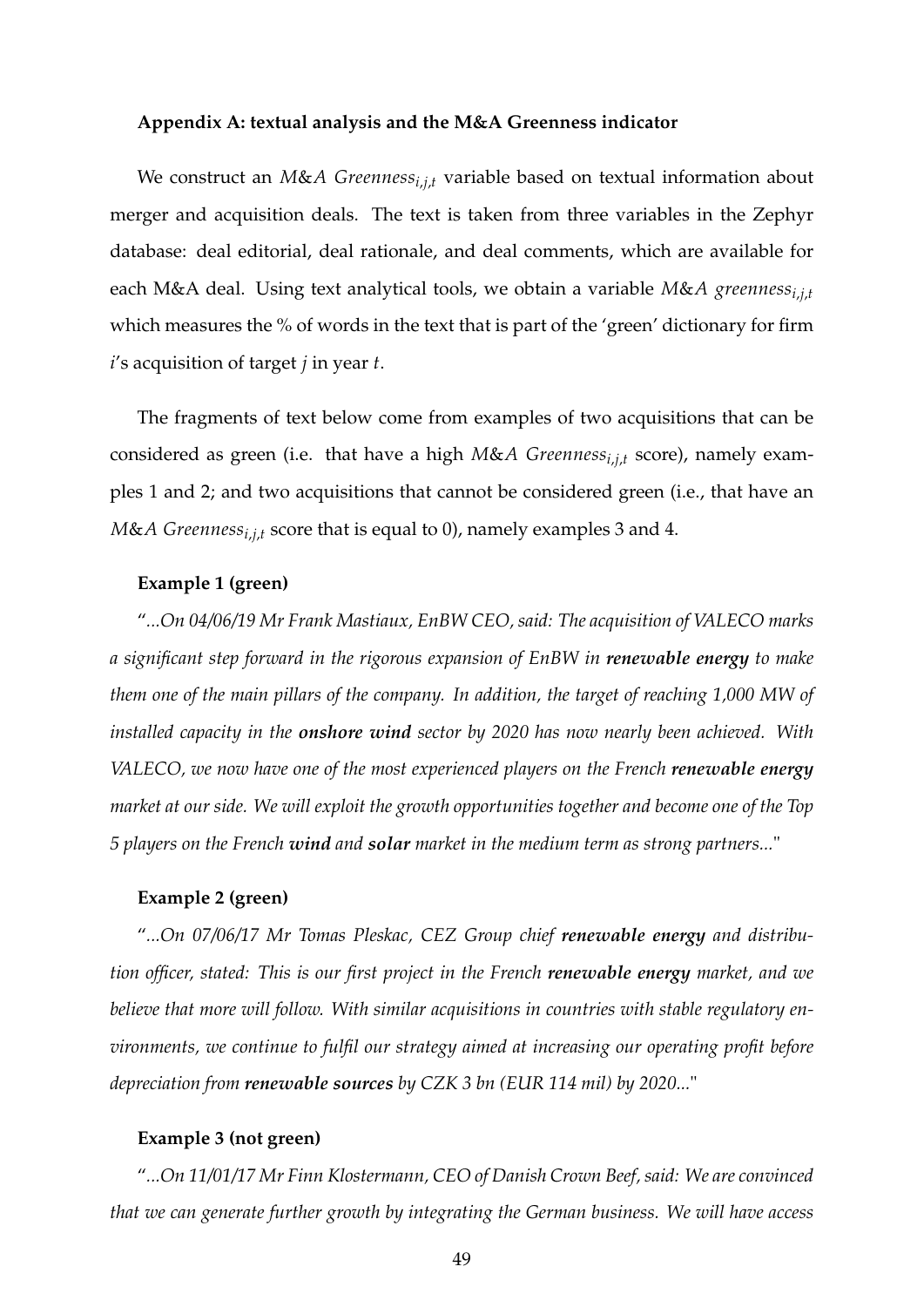#### **Appendix A: textual analysis and the M&A Greenness indicator**

We construct an *M&A* Greenness<sub>*i,j,t*</sub> variable based on textual information about merger and acquisition deals. The text is taken from three variables in the Zephyr database: deal editorial, deal rationale, and deal comments, which are available for each M&A deal. Using text analytical tools, we obtain a variable *M*&*A greennessi*,*j*,*<sup>t</sup>* which measures the % of words in the text that is part of the 'green' dictionary for firm *i*'s acquisition of target *j* in year *t*.

The fragments of text below come from examples of two acquisitions that can be considered as green (i.e. that have a high *M*&*A Greennessi*,*j*,*<sup>t</sup>* score), namely examples 1 and 2; and two acquisitions that cannot be considered green (i.e., that have an *M*&*A Greennessi*,*j*,*<sup>t</sup>* score that is equal to 0), namely examples 3 and 4.

# **Example 1 (green)**

"*...On 04/06/19 Mr Frank Mastiaux, EnBW CEO, said: The acquisition of VALECO marks a significant step forward in the rigorous expansion of EnBW in renewable energy to make them one of the main pillars of the company. In addition, the target of reaching 1,000 MW of installed capacity in the onshore wind sector by 2020 has now nearly been achieved. With VALECO, we now have one of the most experienced players on the French renewable energy market at our side. We will exploit the growth opportunities together and become one of the Top 5 players on the French wind and solar market in the medium term as strong partners...*"

## **Example 2 (green)**

"*...On 07/06/17 Mr Tomas Pleskac, CEZ Group chief renewable energy and distribution officer, stated: This is our first project in the French renewable energy market, and we believe that more will follow. With similar acquisitions in countries with stable regulatory environments, we continue to fulfil our strategy aimed at increasing our operating profit before depreciation from renewable sources by CZK 3 bn (EUR 114 mil) by 2020...*"

#### **Example 3 (not green)**

"*...On 11/01/17 Mr Finn Klostermann, CEO of Danish Crown Beef, said: We are convinced that we can generate further growth by integrating the German business. We will have access*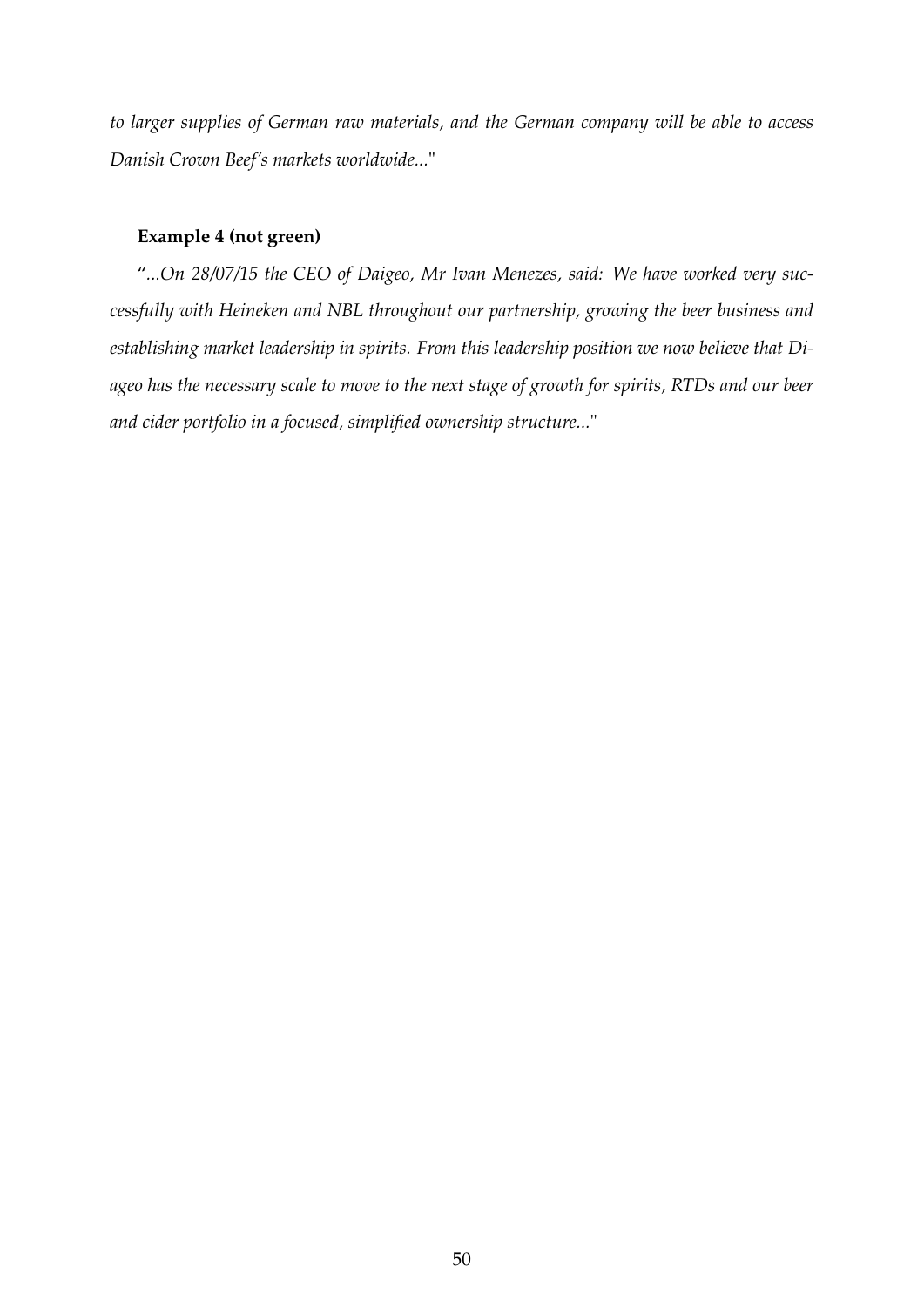*to larger supplies of German raw materials, and the German company will be able to access Danish Crown Beef's markets worldwide...*"

# **Example 4 (not green)**

"*...On 28/07/15 the CEO of Daigeo, Mr Ivan Menezes, said: We have worked very successfully with Heineken and NBL throughout our partnership, growing the beer business and establishing market leadership in spirits. From this leadership position we now believe that Diageo has the necessary scale to move to the next stage of growth for spirits, RTDs and our beer and cider portfolio in a focused, simplified ownership structure...*"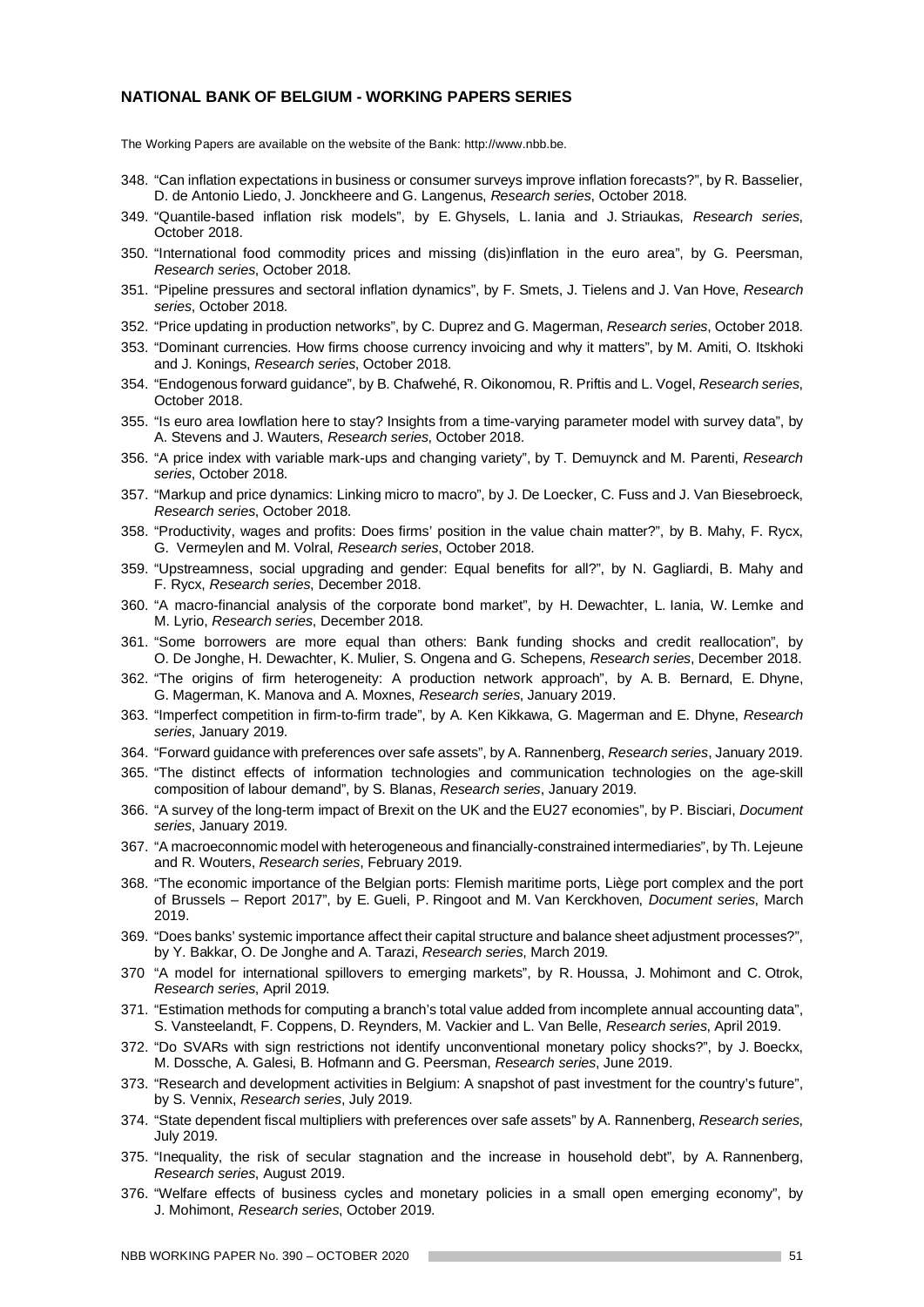### **NATIONAL BANK OF BELGIUM - WORKING PAPERS SERIES**

The Working Papers are available on the website of the Bank: http://www.nbb.be.

- 348. "Can inflation expectations in business or consumer surveys improve inflation forecasts?", by R. Basselier, D. de Antonio Liedo, J. Jonckheere and G. Langenus, *Research series*, October 2018.
- 349. "Quantile-based inflation risk models", by E. Ghysels, L. Iania and J. Striaukas, *Research series*, October 2018.
- 350. "International food commodity prices and missing (dis)inflation in the euro area", by G. Peersman, *Research series*, October 2018.
- 351. "Pipeline pressures and sectoral inflation dynamics", by F. Smets, J. Tielens and J. Van Hove, *Research series*, October 2018.
- 352. "Price updating in production networks", by C. Duprez and G. Magerman, *Research series*, October 2018.
- 353. "Dominant currencies. How firms choose currency invoicing and why it matters", by M. Amiti, O. Itskhoki and J. Konings, *Research series*, October 2018.
- 354. "Endogenous forward guidance", by B. Chafwehé, R. Oikonomou, R. Priftis and L. Vogel, *Research series*, October 2018.
- 355. "Is euro area Iowflation here to stay? Insights from a time-varying parameter model with survey data", by A. Stevens and J. Wauters, *Research series*, October 2018.
- 356. "A price index with variable mark-ups and changing variety", by T. Demuynck and M. Parenti, *Research series*, October 2018.
- 357. "Markup and price dynamics: Linking micro to macro", by J. De Loecker, C. Fuss and J. Van Biesebroeck, *Research series*, October 2018.
- 358. "Productivity, wages and profits: Does firms' position in the value chain matter?", by B. Mahy, F. Rycx, G. Vermeylen and M. Volral, *Research series*, October 2018.
- 359. "Upstreamness, social upgrading and gender: Equal benefits for all?", by N. Gagliardi, B. Mahy and F. Rycx, *Research series*, December 2018.
- 360. "A macro-financial analysis of the corporate bond market", by H. Dewachter, L. Iania, W. Lemke and M. Lyrio, *Research series*, December 2018.
- 361. "Some borrowers are more equal than others: Bank funding shocks and credit reallocation", by O. De Jonghe, H. Dewachter, K. Mulier, S. Ongena and G. Schepens, *Research series*, December 2018.
- 362. "The origins of firm heterogeneity: A production network approach", by A. B. Bernard, E. Dhyne, G. Magerman, K. Manova and A. Moxnes, *Research series*, January 2019.
- 363. "Imperfect competition in firm-to-firm trade", by A. Ken Kikkawa, G. Magerman and E. Dhyne, *Research series*, January 2019.
- 364. "Forward guidance with preferences over safe assets", by A. Rannenberg, *Research series*, January 2019.
- 365. "The distinct effects of information technologies and communication technologies on the age-skill composition of labour demand", by S. Blanas, *Research series*, January 2019.
- 366. "A survey of the long-term impact of Brexit on the UK and the EU27 economies", by P. Bisciari, *Document series*, January 2019.
- 367. "A macroeconnomic model with heterogeneous and financially-constrained intermediaries", by Th. Lejeune and R. Wouters, *Research series*, February 2019.
- 368. "The economic importance of the Belgian ports: Flemish maritime ports, Liège port complex and the port of Brussels – Report 2017", by E. Gueli, P. Ringoot and M. Van Kerckhoven, *Document series*, March 2019.
- 369. "Does banks' systemic importance affect their capital structure and balance sheet adjustment processes?", by Y. Bakkar, O. De Jonghe and A. Tarazi, *Research series*, March 2019.
- 370 "A model for international spillovers to emerging markets", by R. Houssa, J. Mohimont and C. Otrok, *Research series*, April 2019.
- 371. "Estimation methods for computing a branch's total value added from incomplete annual accounting data", S. Vansteelandt, F. Coppens, D. Reynders, M. Vackier and L. Van Belle, *Research series*, April 2019.
- 372. "Do SVARs with sign restrictions not identify unconventional monetary policy shocks?", by J. Boeckx, M. Dossche, A. Galesi, B. Hofmann and G. Peersman, *Research series*, June 2019.
- 373. "Research and development activities in Belgium: A snapshot of past investment for the country's future", by S. Vennix, *Research series*, July 2019.
- 374. "State dependent fiscal multipliers with preferences over safe assets" by A. Rannenberg, *Research series*, July 2019.
- 375. "Inequality, the risk of secular stagnation and the increase in household debt", by A. Rannenberg, *Research series*, August 2019.
- 376. "Welfare effects of business cycles and monetary policies in a small open emerging economy", by J. Mohimont, *Research series*, October 2019.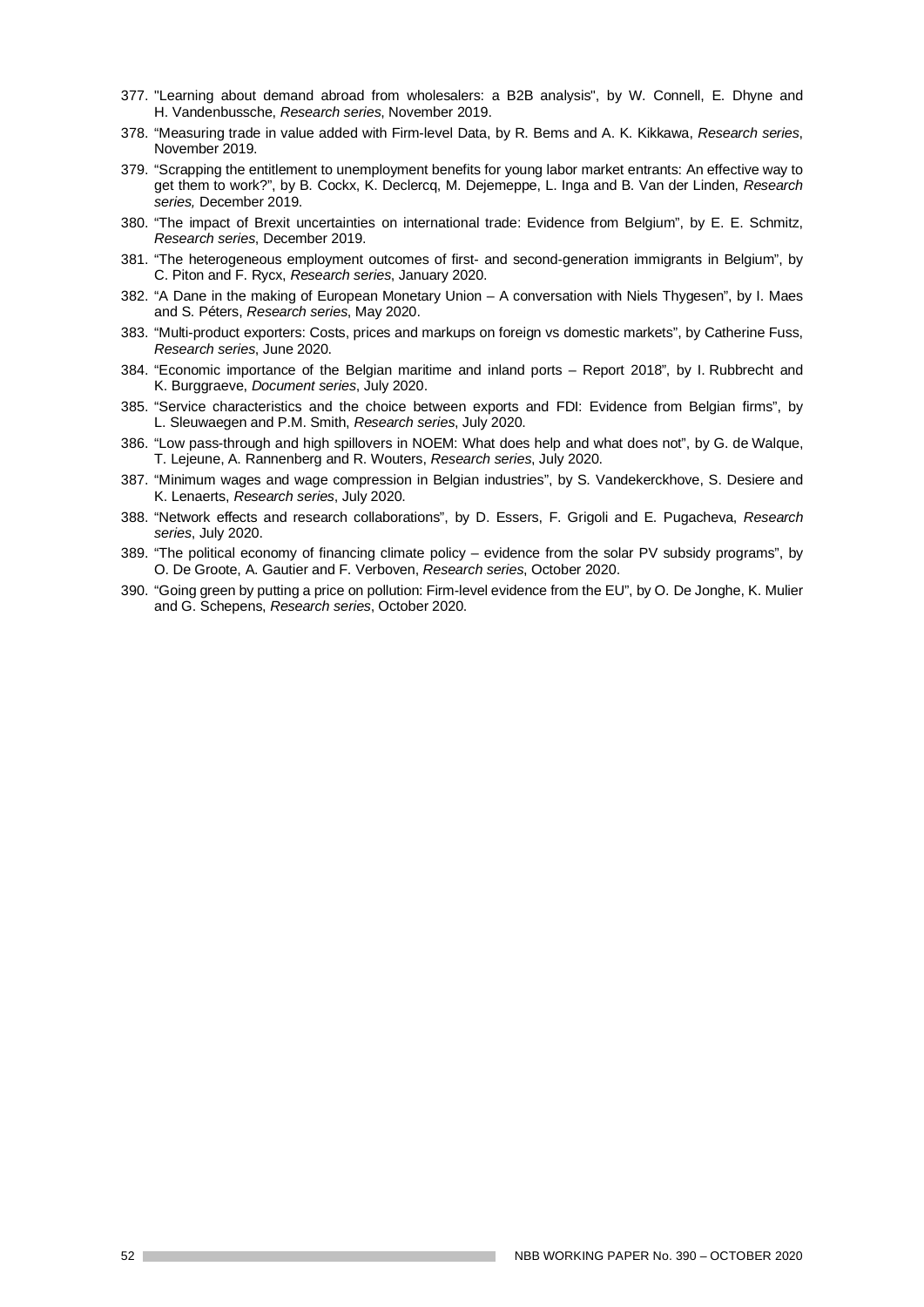- 377. "Learning about demand abroad from wholesalers: a B2B analysis", by W. Connell, E. Dhyne and H. Vandenbussche, *Research series*, November 2019.
- 378. "Measuring trade in value added with Firm-level Data, by R. Bems and A. K. Kikkawa, *Research series*, November 2019.
- 379. "Scrapping the entitlement to unemployment benefits for young labor market entrants: An effective way to get them to work?", by B. Cockx, K. Declercq, M. Dejemeppe, L. Inga and B. Van der Linden, *Research series,* December 2019.
- 380. "The impact of Brexit uncertainties on international trade: Evidence from Belgium", by E. E. Schmitz, *Research series*, December 2019.
- 381. "The heterogeneous employment outcomes of first- and second-generation immigrants in Belgium", by C. Piton and F. Rycx, *Research series*, January 2020.
- 382. "A Dane in the making of European Monetary Union A conversation with Niels Thygesen", by I. Maes and S. Péters, *Research series*, May 2020.
- 383. "Multi-product exporters: Costs, prices and markups on foreign vs domestic markets", by Catherine Fuss, *Research series*, June 2020.
- 384. "Economic importance of the Belgian maritime and inland ports Report 2018", by I. Rubbrecht and K. Burggraeve, *Document series*, July 2020.
- 385. "Service characteristics and the choice between exports and FDI: Evidence from Belgian firms", by L. Sleuwaegen and P.M. Smith, *Research series*, July 2020.
- 386. "Low pass-through and high spillovers in NOEM: What does help and what does not", by G. de Walque, T. Lejeune, A. Rannenberg and R. Wouters, *Research series*, July 2020.
- 387. "Minimum wages and wage compression in Belgian industries", by S. Vandekerckhove, S. Desiere and K. Lenaerts, *Research series*, July 2020.
- 388. "Network effects and research collaborations", by D. Essers, F. Grigoli and E. Pugacheva, *Research series*, July 2020.
- 389. "The political economy of financing climate policy evidence from the solar PV subsidy programs", by O. De Groote, A. Gautier and F. Verboven, *Research series*, October 2020.
- 390. "Going green by putting a price on pollution: Firm-level evidence from the EU", by O. De Jonghe, K. Mulier and G. Schepens, *Research series*, October 2020.